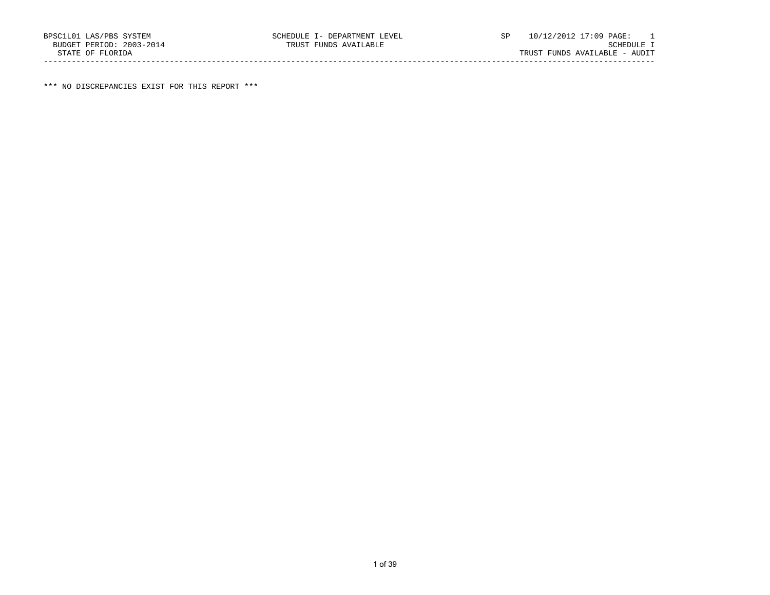\*\*\* NO DISCREPANCIES EXIST FOR THIS REPORT \*\*\*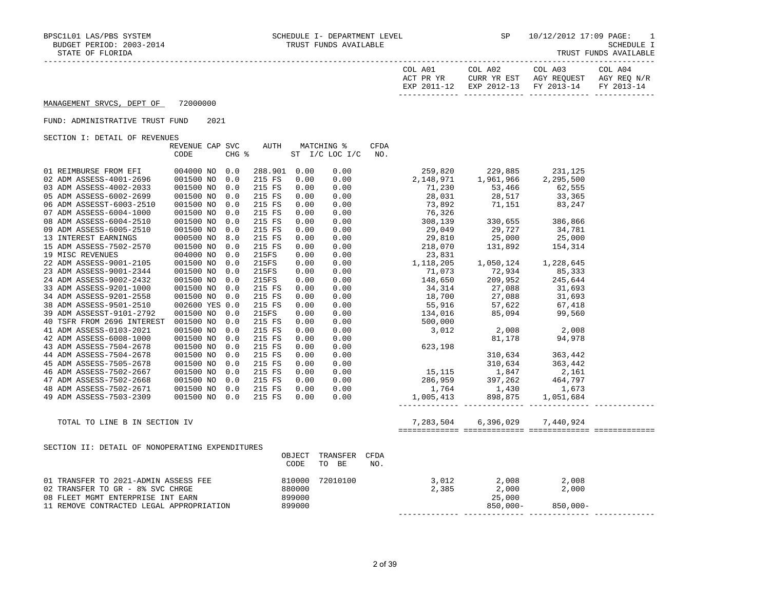| COL A01<br>ACT PR YR | COL A02<br>CURR YR EST            | COL A03<br>AGY REOUEST | COL A04<br>AGY REO N/R |
|----------------------|-----------------------------------|------------------------|------------------------|
| EXP 2011-12          | EXP 2012-13 FY 2013-14 FY 2013-14 |                        |                        |

## MANAGEMENT SRVCS, DEPT OF 72000000

## FUND: ADMINISTRATIVE TRUST FUND 2021

SECTION I: DETAIL OF REVENUES

|                                                 | REVENUE CAP SVC |       | AUTH         |        | MATCHING %                    | CFDA |                                                                                                                                                                                                      |                       |  |
|-------------------------------------------------|-----------------|-------|--------------|--------|-------------------------------|------|------------------------------------------------------------------------------------------------------------------------------------------------------------------------------------------------------|-----------------------|--|
|                                                 | CODE            | CHG % |              |        | ST I/C LOC I/C                | NO.  |                                                                                                                                                                                                      |                       |  |
|                                                 |                 |       |              |        |                               |      |                                                                                                                                                                                                      |                       |  |
| 01 REIMBURSE FROM EFI                           | 004000 NO 0.0   |       | 288.901 0.00 |        | 0.00                          |      | 259,820 229,885 231,125                                                                                                                                                                              |                       |  |
| 02 ADM ASSESS-4001-2696                         | 001500 NO       | 0.0   | 215 FS       | 0.00   | 0.00                          |      | 2, 148, 971 1, 961, 966                                                                                                                                                                              | 2,295,500             |  |
| 03 ADM ASSESS-4002-2033                         | 001500 NO       | 0.0   | 215 FS       | 0.00   | 0.00                          |      | $71,230$ $53,466$ $62,555$<br>$28,031$ $28,517$ $33,365$<br>$73,892$ $71,151$ $83,247$                                                                                                               |                       |  |
| 05 ADM ASSESS-6002-2699                         | 001500 NO       | 0.0   | 215 FS       | 0.00   | 0.00                          |      |                                                                                                                                                                                                      |                       |  |
| 06 ADM ASSESST-6003-2510                        | 001500 NO       | 0.0   | 215 FS       | 0.00   | 0.00                          |      | 73,892                                                                                                                                                                                               |                       |  |
| 07 ADM ASSESS-6004-1000                         | 001500 NO       | 0.0   | 215 FS       | 0.00   | 0.00                          |      | $76,326$<br>$308,139$<br>$29,049$<br>$29,727$<br>$29,810$<br>$218,070$<br>$31,892$<br>$131,892$<br>$154,314$<br>$23,831$<br>$25,000$<br>$218,070$<br>$131,892$<br>$154,314$<br>$23,831$              |                       |  |
| 08 ADM ASSESS-6004-2510                         | 001500 NO       | 0.0   | 215 FS       | 0.00   | 0.00                          |      |                                                                                                                                                                                                      |                       |  |
| 09 ADM ASSESS-6005-2510                         | 001500 NO       | 0.0   | 215 FS       | 0.00   | 0.00                          |      |                                                                                                                                                                                                      |                       |  |
| 13 INTEREST EARNINGS                            | 000500 NO       | 8.0   | 215 FS       | 0.00   | 0.00                          |      |                                                                                                                                                                                                      |                       |  |
| 15 ADM ASSESS-7502-2570                         | 001500 NO       | 0.0   | 215 FS       | 0.00   | 0.00                          |      |                                                                                                                                                                                                      |                       |  |
| 19 MISC REVENUES                                | 004000 NO       | 0.0   | 215FS        | 0.00   | 0.00                          |      |                                                                                                                                                                                                      |                       |  |
| 22 ADM ASSESS-9001-2105                         | 001500 NO       | 0.0   | 215FS        | 0.00   | 0.00                          |      | $\begin{array}{cccc} 23,831 \\ 2,831 \end{array}$<br>1,118,205 1,050,124 1,228,645                                                                                                                   |                       |  |
| 23 ADM ASSESS-9001-2344                         | 001500 NO       | 0.0   | 215FS        | 0.00   |                               |      | $\begin{array}{cccc} 0.00 & 71,073 & 72,934 & 85,333 \\ 0.00 & 148,650 & 209,952 & 245,644 \end{array}$                                                                                              |                       |  |
| 24 ADM ASSESS-9002-2432                         | 001500 NO       | 0.0   | 215FS        | 0.00   |                               |      |                                                                                                                                                                                                      |                       |  |
| 33 ADM ASSESS-9201-1000                         | 001500 NO       | 0.0   | 215 FS       | 0.00   | 0.00                          |      |                                                                                                                                                                                                      |                       |  |
| 34 ADM ASSESS-9201-2558                         | 001500 NO       | 0.0   | 215 FS       | 0.00   | 0.00                          |      |                                                                                                                                                                                                      |                       |  |
| 38 ADM ASSESS-9501-2510                         | 002600 YES 0.0  |       | 215 FS       | 0.00   | 0.00                          |      |                                                                                                                                                                                                      |                       |  |
| 39 ADM ASSESST-9101-2792                        | 001500 NO       | 0.0   | 215FS        | 0.00   | 0.00                          |      |                                                                                                                                                                                                      |                       |  |
| 40 TSFR FROM 2696 INTEREST                      | 001500 NO       | 0.0   | 215 FS       | 0.00   | 0.00                          |      | $209,952$<br>$34,314$<br>$18,700$<br>$55,916$<br>$134,016$<br>$500,000$<br>$3,012$<br>$27,088$<br>$57,622$<br>$67,418$<br>$99,560$<br>$2,008$<br>$2,008$<br>$2,008$<br>$2,008$<br>$2,008$<br>$2,008$ |                       |  |
| 41 ADM ASSESS-0103-2021                         | 001500 NO       | 0.0   | 215 FS       | 0.00   |                               |      |                                                                                                                                                                                                      |                       |  |
| 42 ADM ASSESS-6008-1000                         | 001500 NO       | 0.0   | 215 FS       | 0.00   |                               |      |                                                                                                                                                                                                      |                       |  |
| 43 ADM ASSESS-7504-2678                         | 001500 NO       | 0.0   | 215 FS       | 0.00   |                               |      |                                                                                                                                                                                                      |                       |  |
| 44 ADM ASSESS-7504-2678                         | 001500 NO       | 0.0   | 215 FS       | 0.00   |                               |      |                                                                                                                                                                                                      |                       |  |
| 45 ADM ASSESS-7505-2678                         | 001500 NO       | 0.0   | 215 FS       | 0.00   |                               |      |                                                                                                                                                                                                      |                       |  |
| 46 ADM ASSESS-7502-2667                         | 001500 NO       | 0.0   | 215 FS       | 0.00   |                               |      |                                                                                                                                                                                                      |                       |  |
| 47 ADM ASSESS-7502-2668                         | 001500 NO       | 0.0   | 215 FS       | 0.00   |                               |      |                                                                                                                                                                                                      |                       |  |
| 48 ADM ASSESS-7502-2671                         | 001500 NO       | 0.0   | 215 FS       | 0.00   |                               |      |                                                                                                                                                                                                      |                       |  |
| 49 ADM ASSESS-7503-2309                         | 001500 NO 0.0   |       | 215 FS       | 0.00   |                               |      |                                                                                                                                                                                                      |                       |  |
|                                                 |                 |       |              |        |                               |      |                                                                                                                                                                                                      |                       |  |
| TOTAL TO LINE B IN SECTION IV                   |                 |       |              |        |                               |      |                                                                                                                                                                                                      |                       |  |
|                                                 |                 |       |              |        |                               |      |                                                                                                                                                                                                      |                       |  |
| SECTION II: DETAIL OF NONOPERATING EXPENDITURES |                 |       |              |        |                               |      |                                                                                                                                                                                                      |                       |  |
|                                                 |                 |       |              | CODE   | OBJECT TRANSFER CFDA<br>TO BE | NO.  |                                                                                                                                                                                                      |                       |  |
|                                                 |                 |       |              |        |                               |      |                                                                                                                                                                                                      |                       |  |
| 01 TRANSFER TO 2021-ADMIN ASSESS FEE            |                 |       | 810000       |        | 72010100                      |      | $\begin{array}{cccc} 3,012 & 2,008 & 2,008 \\ 2,385 & 2,000 & 2,000 \\ 25,000 & 25,000 & 850,000- \end{array}$                                                                                       |                       |  |
| 02 TRANSFER TO GR - 8% SVC CHRGE                |                 |       | 880000       |        |                               |      |                                                                                                                                                                                                      |                       |  |
| 08 FLEET MGMT ENTERPRISE INT EARN               |                 |       |              | 899000 |                               |      |                                                                                                                                                                                                      |                       |  |
| 11 REMOVE CONTRACTED LEGAL APPROPRIATION        |                 |       |              | 899000 |                               |      |                                                                                                                                                                                                      | $850,000 - 850,000 -$ |  |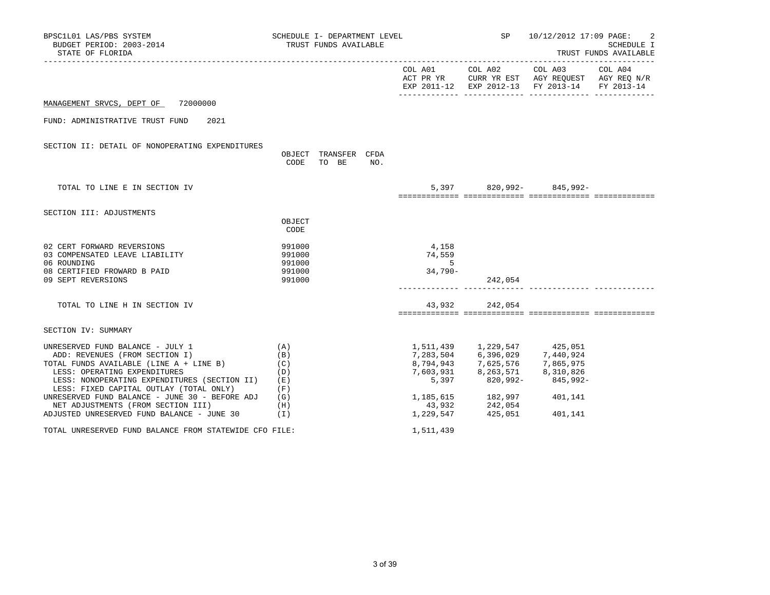| BPSC1L01 LAS/PBS SYSTEM<br>BUDGET PERIOD: 2003-2014<br>STATE OF FLORIDA                                                                                                                                                                      |                                      | SCHEDULE I- DEPARTMENT LEVEL<br>TRUST FUNDS AVAILABLE |     |                                             |                                                                                                                                                                      | SP 10/12/2012 17:09 PAGE:                                                                      | -2<br>SCHEDULE I<br>TRUST FUNDS AVAILABLE |
|----------------------------------------------------------------------------------------------------------------------------------------------------------------------------------------------------------------------------------------------|--------------------------------------|-------------------------------------------------------|-----|---------------------------------------------|----------------------------------------------------------------------------------------------------------------------------------------------------------------------|------------------------------------------------------------------------------------------------|-------------------------------------------|
|                                                                                                                                                                                                                                              |                                      |                                                       |     |                                             |                                                                                                                                                                      | ACT PR YR CURR YR EST AGY REQUEST AGY REQ N/R<br>EXP 2011-12 EXP 2012-13 FY 2013-14 FY 2013-14 |                                           |
| MANAGEMENT SRVCS, DEPT OF 72000000                                                                                                                                                                                                           |                                      |                                                       |     |                                             |                                                                                                                                                                      |                                                                                                |                                           |
| FUND: ADMINISTRATIVE TRUST FUND 2021                                                                                                                                                                                                         |                                      |                                                       |     |                                             |                                                                                                                                                                      |                                                                                                |                                           |
| SECTION II: DETAIL OF NONOPERATING EXPENDITURES                                                                                                                                                                                              | CODE                                 | OBJECT TRANSFER CFDA<br>TO BE                         | NO. |                                             |                                                                                                                                                                      |                                                                                                |                                           |
| TOTAL TO LINE E IN SECTION IV                                                                                                                                                                                                                |                                      |                                                       |     |                                             |                                                                                                                                                                      | 5,397 820,992- 845,992-                                                                        |                                           |
| SECTION III: ADJUSTMENTS                                                                                                                                                                                                                     | OBJECT<br>CODE                       |                                                       |     |                                             |                                                                                                                                                                      |                                                                                                |                                           |
| 02 CERT FORWARD REVERSIONS<br>03 COMPENSATED LEAVE LIABILITY<br>06 ROUNDING<br>08 CERTIFIED FROWARD B PAID                                                                                                                                   | 991000<br>991000<br>991000<br>991000 |                                                       |     | 4,158<br>74,559<br>$5^{\circ}$<br>$34,790-$ |                                                                                                                                                                      |                                                                                                |                                           |
| 09 SEPT REVERSIONS                                                                                                                                                                                                                           | 991000                               |                                                       |     |                                             | 242,054                                                                                                                                                              |                                                                                                |                                           |
| TOTAL TO LINE H IN SECTION IV                                                                                                                                                                                                                |                                      |                                                       |     |                                             | 43,932 242,054                                                                                                                                                       |                                                                                                |                                           |
| SECTION IV: SUMMARY                                                                                                                                                                                                                          |                                      |                                                       |     |                                             |                                                                                                                                                                      |                                                                                                |                                           |
| UNRESERVED FUND BALANCE - JULY 1<br>ADD: REVENUES (FROM SECTION I)<br>TOTAL FUNDS AVAILABLE (LINE A + LINE B)<br>LESS: OPERATING EXPENDITURES<br>LESS: NONOPERATING EXPENDITURES (SECTION II) (E)<br>LESS: FIXED CAPITAL OUTLAY (TOTAL ONLY) | (A)<br>(B)<br>(C)<br>(D)<br>(F)      |                                                       |     |                                             | 1,511,439 1,229,547 425,051<br>7, 283, 504 6, 396, 029 7, 440, 924<br>8, 794, 943 7, 625, 576 7, 865, 975<br>7,603,931 8,263,571 8,310,826<br>5,397 820,992- 845,992 | 845,992-                                                                                       |                                           |
| UNRESERVED FUND BALANCE - JUNE 30 - BEFORE ADJ $(G)$<br>NET ADJUSTMENTS (FROM SECTION III)<br>ADJUSTED UNRESERVED FUND BALANCE - JUNE $30$ (I)                                                                                               | (H)                                  |                                                       |     | 43,932<br>1,229,547                         | 1, 185, 615 182, 997 401, 141<br>242,054<br>425,051                                                                                                                  | 401,141                                                                                        |                                           |
| TOTAL UNRESERVED FUND BALANCE FROM STATEWIDE CFO FILE:                                                                                                                                                                                       |                                      |                                                       |     | 1,511,439                                   |                                                                                                                                                                      |                                                                                                |                                           |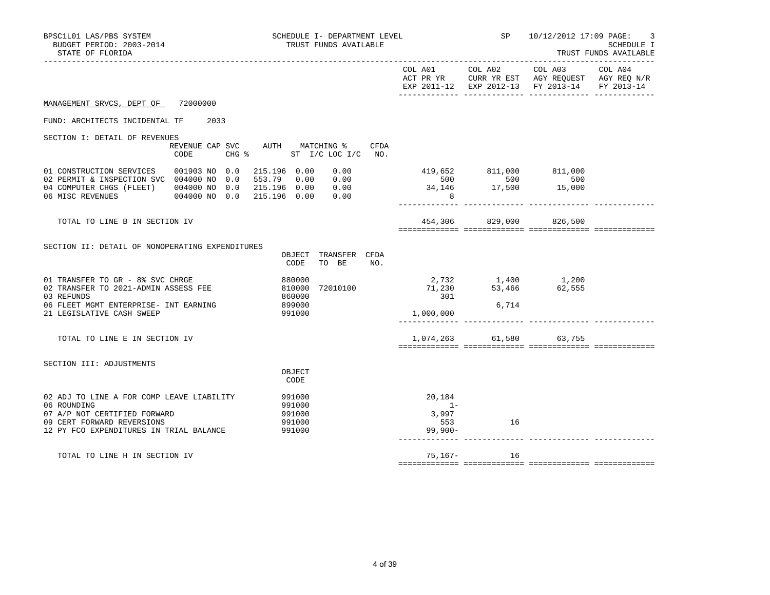| BPSC1L01 LAS/PBS SYSTEM<br>BUDGET PERIOD: 2003-2014<br>STATE OF FLORIDA                                                                                           | SCHEDULE I- DEPARTMENT LEVEL<br>TRUST FUNDS AVAILABLE                                       |                                            |            | SP 10/12/2012 17:09 PAGE:                                                                                                                                          | 3<br>SCHEDULE I<br>TRUST FUNDS AVAILABLE |
|-------------------------------------------------------------------------------------------------------------------------------------------------------------------|---------------------------------------------------------------------------------------------|--------------------------------------------|------------|--------------------------------------------------------------------------------------------------------------------------------------------------------------------|------------------------------------------|
|                                                                                                                                                                   |                                                                                             |                                            |            | EXP 2011-12 EXP 2012-13 FY 2013-14 FY 2013-14                                                                                                                      |                                          |
| MANAGEMENT SRVCS, DEPT OF 72000000                                                                                                                                |                                                                                             |                                            |            |                                                                                                                                                                    |                                          |
| FUND: ARCHITECTS INCIDENTAL TF 2033                                                                                                                               |                                                                                             |                                            |            |                                                                                                                                                                    |                                          |
| SECTION I: DETAIL OF REVENUES<br>CODE                                                                                                                             | REVENUE CAP SVC AUTH MATCHING %<br>CFDA<br>CHG % ST I/C LOC I/C NO.                         |                                            |            |                                                                                                                                                                    |                                          |
| 01 CONSTRUCTION SERVICES 001903 NO 0.0<br>02 PERMIT & INSPECTION SVC 004000 NO 0.0<br>04 COMPUTER CHGS (FLEET) 004000 NO 0.0<br>06 MISC REVENUES 004000 NO 0.0    | 215.196 0.00<br>0.00<br>553.79 0.00<br>0.00<br>0.00<br>215.196 0.00<br>215.196 0.00<br>0.00 | 8 <sup>8</sup>                             |            | $\begin{array}{cccc} 419\,,652 & \quad &811\,,000 & \quad &811\,,000 \\ 500 & \quad &500 & \quad &500 \\ 34\,,146 & \quad &17\,,500 & \quad &15\,,000 \end{array}$ |                                          |
| TOTAL TO LINE B IN SECTION IV                                                                                                                                     |                                                                                             |                                            |            | 454,306 829,000 826,500                                                                                                                                            |                                          |
| SECTION II: DETAIL OF NONOPERATING EXPENDITURES                                                                                                                   | OBJECT TRANSFER CFDA<br>CODE<br>TO BE NO.                                                   |                                            |            |                                                                                                                                                                    |                                          |
| 01 TRANSFER TO GR - 8% SVC CHRGE<br>02 TRANSFER TO 2021-ADMIN ASSESS FEE<br>03 REFUNDS<br>06 FLEET MGMT ENTERPRISE- INT EARNING                                   | 880000<br>72010100<br>810000<br>860000<br>899000                                            | $71,230$<br>$301$<br>$1,000,000$           | 6,714      | 2,732 1,400 1,200<br>53,466 62,555                                                                                                                                 |                                          |
| 21 LEGISLATIVE CASH SWEEP                                                                                                                                         | 991000                                                                                      |                                            |            |                                                                                                                                                                    |                                          |
| TOTAL TO LINE E IN SECTION IV                                                                                                                                     |                                                                                             |                                            |            | 1,074,263 61,580 63,755                                                                                                                                            |                                          |
| SECTION III: ADJUSTMENTS                                                                                                                                          | OBJECT<br>CODE                                                                              |                                            |            |                                                                                                                                                                    |                                          |
| 02 ADJ TO LINE A FOR COMP LEAVE LIABILITY<br>06 ROUNDING<br>07 A/P NOT CERTIFIED FORWARD<br>09 CERT FORWARD REVERSIONS<br>12 PY FCO EXPENDITURES IN TRIAL BALANCE | 991000<br>991000<br>991000<br>991000<br>991000                                              | 20,184<br>$1 -$<br>3,997<br>553<br>99,900- | 16         |                                                                                                                                                                    |                                          |
| TOTAL TO LINE H IN SECTION IV                                                                                                                                     |                                                                                             |                                            | 75,167- 16 |                                                                                                                                                                    |                                          |
|                                                                                                                                                                   |                                                                                             |                                            |            |                                                                                                                                                                    |                                          |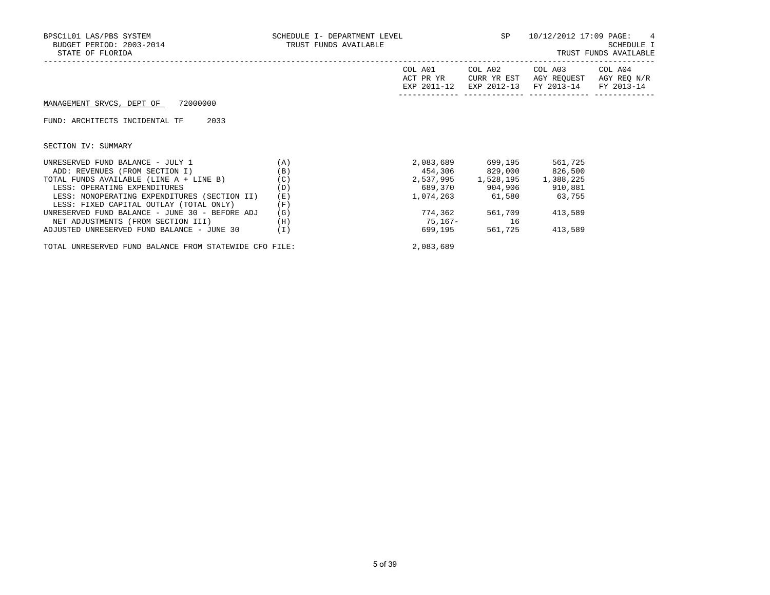| BPSC1L01 LAS/PBS SYSTEM<br>BUDGET PERIOD: 2003-2014<br>STATE OF FLORIDA | SCHEDULE I- DEPARTMENT LEVEL $SP$ 10/12/2012 17:09 PAGE: 4<br>TRUST FUNDS AVAILABLE |                                     |                               |                                                                                         | SCHEDULE I<br>TRUST FUNDS AVAILABLE |
|-------------------------------------------------------------------------|-------------------------------------------------------------------------------------|-------------------------------------|-------------------------------|-----------------------------------------------------------------------------------------|-------------------------------------|
|                                                                         |                                                                                     | COL A01<br>ACT PR YR<br>EXP 2011-12 | CURR YR EST                   | COL A02 COL A03 COL A04<br>AGY REOUEST AGY REO N/R<br>EXP 2012-13 FY 2013-14 FY 2013-14 |                                     |
| MANAGEMENT SRVCS, DEPT OF 72000000                                      |                                                                                     |                                     |                               |                                                                                         |                                     |
| 2033<br>FUND: ARCHITECTS INCIDENTAL TF                                  |                                                                                     |                                     |                               |                                                                                         |                                     |
| SECTION IV: SUMMARY                                                     |                                                                                     |                                     |                               |                                                                                         |                                     |
| UNRESERVED FUND BALANCE - JULY 1<br>(A)                                 |                                                                                     |                                     |                               | 2,083,689 699,195 561,725                                                               |                                     |
| ADD: REVENUES (FROM SECTION I)                                          | (B)                                                                                 |                                     |                               | 454,306 829,000 826,500                                                                 |                                     |
| TOTAL FUNDS AVAILABLE (LINE A + LINE B)                                 | (C)                                                                                 |                                     | 2,537,995 1,528,195 1,388,225 |                                                                                         |                                     |
| LESS: OPERATING EXPENDITURES                                            | (D)                                                                                 |                                     | 689,370 904,906 910,881       |                                                                                         |                                     |
| LESS: NONOPERATING EXPENDITURES (SECTION II)                            | (E)                                                                                 |                                     |                               | 1,074,263 61,580 63,755                                                                 |                                     |
| LESS: FIXED CAPITAL OUTLAY (TOTAL ONLY)                                 | (F)                                                                                 |                                     |                               |                                                                                         |                                     |
| UNRESERVED FUND BALANCE - JUNE 30 - BEFORE ADJ                          | (G)                                                                                 |                                     | 774,362 561,709               | 413,589                                                                                 |                                     |
| NET ADJUSTMENTS (FROM SECTION III)                                      | (H)                                                                                 | 75,167- 16                          |                               |                                                                                         |                                     |
| ADJUSTED UNRESERVED FUND BALANCE - JUNE 30                              | (I)                                                                                 | 699,195                             |                               | 561,725 413,589                                                                         |                                     |

TOTAL UNRESERVED FUND BALANCE FROM STATEWIDE CFO FILE: 2,083,689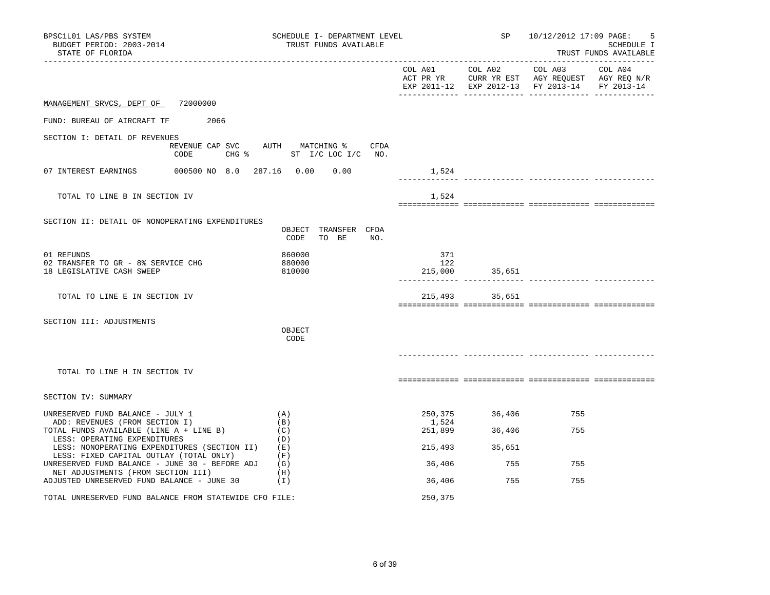| BPSC1L01 LAS/PBS SYSTEM<br>BUDGET PERIOD: 2003-2014<br>STATE OF FLORIDA                  | SCHEDULE I- DEPARTMENT LEVEL<br>TRUST FUNDS AVAILABLE                 |                       | SP and the set of the set of the set of the set of the set of the set of the set of the set of the set of the set of the set of the set of the set of the set of the set of the set of the set of the set of the set of the se | 10/12/2012 17:09 PAGE:<br>SCHEDULE I<br>TRUST FUNDS AVAILABLE                                                                                                                 |  |
|------------------------------------------------------------------------------------------|-----------------------------------------------------------------------|-----------------------|--------------------------------------------------------------------------------------------------------------------------------------------------------------------------------------------------------------------------------|-------------------------------------------------------------------------------------------------------------------------------------------------------------------------------|--|
|                                                                                          |                                                                       |                       |                                                                                                                                                                                                                                | $COL A01 \qquad \qquad COL A02 \qquad \qquad COL A03 \qquad \qquad COL A04$<br>ACT PR YR CURR YR EST AGY REQUEST AGY REQ N/R<br>EXP 2011-12 EXP 2012-13 FY 2013-14 FY 2013-14 |  |
| MANAGEMENT SRVCS, DEPT OF 72000000                                                       |                                                                       |                       |                                                                                                                                                                                                                                |                                                                                                                                                                               |  |
| FUND: BUREAU OF AIRCRAFT TF 2066                                                         |                                                                       |                       |                                                                                                                                                                                                                                |                                                                                                                                                                               |  |
| SECTION I: DETAIL OF REVENUES                                                            | REVENUE CAP SVC AUTH MATCHING % CFDA<br>CODE CHG % ST I/C LOC I/C NO. |                       |                                                                                                                                                                                                                                |                                                                                                                                                                               |  |
|                                                                                          |                                                                       | 1,524                 |                                                                                                                                                                                                                                |                                                                                                                                                                               |  |
| TOTAL TO LINE B IN SECTION IV                                                            |                                                                       | 1,524                 |                                                                                                                                                                                                                                |                                                                                                                                                                               |  |
| SECTION II: DETAIL OF NONOPERATING EXPENDITURES                                          | OBJECT TRANSFER CFDA<br>CODE<br>TO BE<br>NO.                          |                       |                                                                                                                                                                                                                                |                                                                                                                                                                               |  |
| 01 REFUNDS<br>02 TRANSFER TO GR - 8% SERVICE CHG<br>18 LEGISLATIVE CASH SWEEP            | 860000<br>880000<br>810000                                            | 371<br>122<br>215,000 | 35,651                                                                                                                                                                                                                         |                                                                                                                                                                               |  |
| TOTAL TO LINE E IN SECTION IV                                                            |                                                                       |                       | 215,493 35,651                                                                                                                                                                                                                 |                                                                                                                                                                               |  |
| SECTION III: ADJUSTMENTS                                                                 | OBJECT<br>CODE                                                        |                       |                                                                                                                                                                                                                                |                                                                                                                                                                               |  |
| TOTAL TO LINE H IN SECTION IV                                                            |                                                                       |                       |                                                                                                                                                                                                                                |                                                                                                                                                                               |  |
| SECTION IV: SUMMARY                                                                      |                                                                       |                       |                                                                                                                                                                                                                                |                                                                                                                                                                               |  |
| UNRESERVED FUND BALANCE - JULY 1<br>ADD: REVENUES (FROM SECTION I)                       | (A)<br>(B)                                                            | 250,375<br>1,524      | 36,406                                                                                                                                                                                                                         | 755                                                                                                                                                                           |  |
| TOTAL FUNDS AVAILABLE (LINE A + LINE B)<br>LESS: OPERATING EXPENDITURES                  | (C)<br>(D)                                                            | 251,899               | 36,406                                                                                                                                                                                                                         | 755                                                                                                                                                                           |  |
| LESS: NONOPERATING EXPENDITURES (SECTION II)<br>LESS: FIXED CAPITAL OUTLAY (TOTAL ONLY)  | (E)<br>(F)                                                            | 215,493               | 35,651                                                                                                                                                                                                                         |                                                                                                                                                                               |  |
| UNRESERVED FUND BALANCE - JUNE 30 - BEFORE ADJ (G)<br>NET ADJUSTMENTS (FROM SECTION III) | (H)                                                                   | 36,406                | 755                                                                                                                                                                                                                            | 755                                                                                                                                                                           |  |
| ADJUSTED UNRESERVED FUND BALANCE - JUNE 30                                               | (1)                                                                   | 36,406                | 755                                                                                                                                                                                                                            | 755                                                                                                                                                                           |  |
| TOTAL UNRESERVED FUND BALANCE FROM STATEWIDE CFO FILE:                                   |                                                                       | 250,375               |                                                                                                                                                                                                                                |                                                                                                                                                                               |  |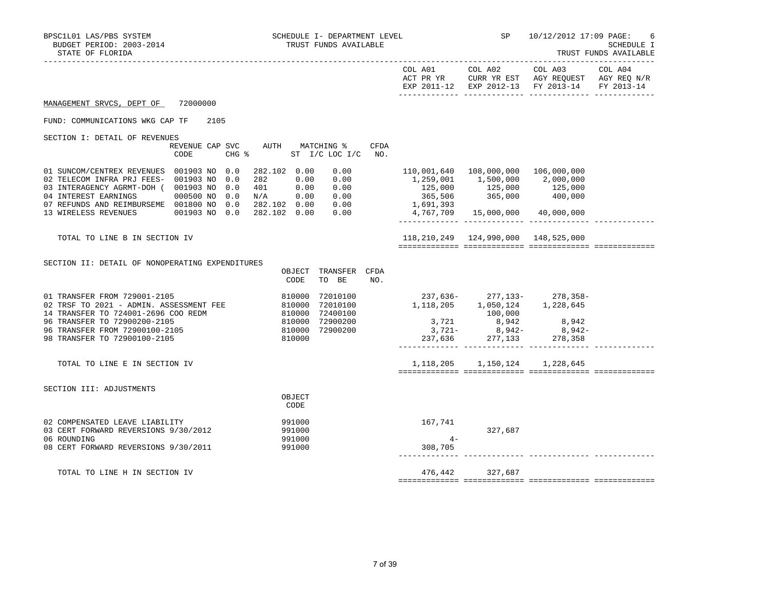|                                                                                                                                                                                                                                            |                         |                                                                            |                                      |                                                                                                                                                         | EXP 2011-12 EXP 2012-13 FY 2013-14 FY 2013-14                            |  |
|--------------------------------------------------------------------------------------------------------------------------------------------------------------------------------------------------------------------------------------------|-------------------------|----------------------------------------------------------------------------|--------------------------------------|---------------------------------------------------------------------------------------------------------------------------------------------------------|--------------------------------------------------------------------------|--|
| MANAGEMENT SRVCS, DEPT OF                                                                                                                                                                                                                  | 72000000                |                                                                            |                                      |                                                                                                                                                         |                                                                          |  |
| FUND: COMMUNICATIONS WKG CAP TF                                                                                                                                                                                                            | 2105                    |                                                                            |                                      |                                                                                                                                                         |                                                                          |  |
| SECTION I: DETAIL OF REVENUES                                                                                                                                                                                                              | REVENUE CAP SVC<br>CODE | AUTH MATCHING %                                                            | CFDA<br>CHG % ST I/C LOC I/C NO.     |                                                                                                                                                         |                                                                          |  |
| 01 SUNCOM/CENTREX REVENUES 001903 NO 0.0<br>02 TELECOM INFRA PRJ FEES- 001903 NO 0.0<br>03 INTERAGENCY AGRMT-DOH ( 001903 NO 0.0<br>04 INTEREST EARNINGS 000500 NO 0.0<br>07 REFUNDS AND REIMBURSEME 001800 NO 0.0<br>13 WIRELESS REVENUES |                         | 282.102 0.00<br>$282$ $0.00$ $0.00$<br>$401$ $0.00$ $0.00$                 | 0.00                                 | $1,259,001$ $1,500,000$ $2,000,000$<br>$125,000$ $125,000$ $125,000$ $125,000$<br>365,506 365,000 400,000<br>1,691,393 365,000 400,000                  | 110,001,640  108,000,000  106,000,000<br>4,767,709 15,000,000 40,000,000 |  |
| TOTAL TO LINE B IN SECTION IV                                                                                                                                                                                                              |                         |                                                                            |                                      |                                                                                                                                                         | 118, 210, 249 124, 990, 000 148, 525, 000                                |  |
| SECTION II: DETAIL OF NONOPERATING EXPENDITURES                                                                                                                                                                                            |                         | CODE                                                                       | OBJECT TRANSFER CFDA<br>TO BE<br>NO. |                                                                                                                                                         |                                                                          |  |
| 01 TRANSFER FROM 729001-2105<br>02 TRSF TO 2021 - ADMIN. ASSESSMENT FEE<br>14 TRANSFER TO 724001-2696 COO REDM<br>96 TRANSFER TO 72900200-2105<br>96 TRANSFER FROM 72900100-2105<br>98 TRANSFER TO 72900100-2105                           |                         | 810000<br>810000<br>810000<br>810000 72900200<br>810000 72900200<br>810000 | 72010100<br>72010100<br>72400100     | 1, 118, 205 1, 050, 124 1, 228, 645<br>$3, 721$<br>$3, 721$<br>$8, 942$<br>$3, 721$<br>$8, 942$<br>$237, 636$<br>$277, 133$<br>$278, 358$<br>$278, 358$ | 237,636-277,133-278,358-<br>100,000                                      |  |
| TOTAL TO LINE E IN SECTION IV                                                                                                                                                                                                              |                         |                                                                            |                                      |                                                                                                                                                         | 1, 118, 205 1, 150, 124 1, 228, 645                                      |  |
| SECTION III: ADJUSTMENTS                                                                                                                                                                                                                   |                         | OBJECT<br>CODE                                                             |                                      |                                                                                                                                                         |                                                                          |  |
| 02 COMPENSATED LEAVE LIABILITY<br>03 CERT FORWARD REVERSIONS 9/30/2012<br>06 ROUNDING<br>08 CERT FORWARD REVERSIONS 9/30/2011                                                                                                              |                         | 991000<br>991000<br>991000<br>991000                                       |                                      | 167,741<br>$4-$<br>308,705                                                                                                                              | 327,687                                                                  |  |
| TOTAL TO LINE H IN SECTION IV                                                                                                                                                                                                              |                         |                                                                            |                                      |                                                                                                                                                         | 476,442 327,687                                                          |  |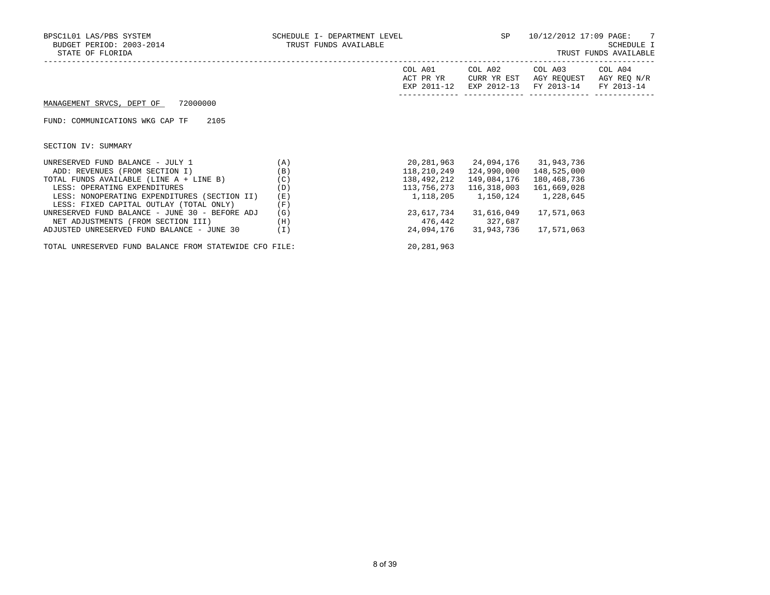| BPSC1L01 LAS/PBS SYSTEM<br>BUDGET PERIOD: 2003-2014<br>STATE OF FLORIDA | SCHEDULE I- DEPARTMENT LEVEL<br>TRUST FUNDS AVAILABLE |                      |                                     | SP 10/12/2012 17:09 PAGE: 7                                                                         | SCHEDULE I<br>TRUST FUNDS AVAILABLE |
|-------------------------------------------------------------------------|-------------------------------------------------------|----------------------|-------------------------------------|-----------------------------------------------------------------------------------------------------|-------------------------------------|
|                                                                         |                                                       | COL A01<br>ACT PR YR | CURR YR EST                         | COL A02 COL A03 COL A04<br>AGY REQUEST AGY REQ N/R<br>EXP 2011-12 EXP 2012-13 FY 2013-14 FY 2013-14 |                                     |
| MANAGEMENT SRVCS, DEPT OF 72000000                                      |                                                       |                      |                                     |                                                                                                     |                                     |
| FUND: COMMUNICATIONS WKG CAP TF<br>2105                                 |                                                       |                      |                                     |                                                                                                     |                                     |
| SECTION IV: SUMMARY                                                     |                                                       |                      |                                     |                                                                                                     |                                     |
| (A)<br>UNRESERVED FUND BALANCE - JULY 1                                 |                                                       |                      |                                     |                                                                                                     |                                     |
| ADD: REVENUES (FROM SECTION I)                                          | (B)                                                   | 118,210,249          |                                     | 124,990,000 148,525,000                                                                             |                                     |
| TOTAL FUNDS AVAILABLE (LINE $A + LINE B$ ) (C)                          |                                                       | 138,492,212          |                                     | 149,084,176 180,468,736                                                                             |                                     |
| LESS: OPERATING EXPENDITURES                                            | (D)                                                   | 113,756,273          |                                     | 116,318,003   161,669,028                                                                           |                                     |
| LESS: NONOPERATING EXPENDITURES (SECTION II)                            | (E)                                                   |                      | 1, 118, 205 1, 150, 124 1, 228, 645 |                                                                                                     |                                     |
| LESS: FIXED CAPITAL OUTLAY (TOTAL ONLY)                                 | (F)                                                   |                      |                                     |                                                                                                     |                                     |
| UNRESERVED FUND BALANCE - JUNE 30 - BEFORE ADJ                          | (G)                                                   |                      | 23,617,734 31,616,049               | 17,571,063                                                                                          |                                     |
| NET ADJUSTMENTS (FROM SECTION III)                                      | (H)                                                   | 476,442 327,687      |                                     |                                                                                                     |                                     |
| ADJUSTED UNRESERVED FUND BALANCE - JUNE 30                              | (I)                                                   |                      | 24,094,176 31,943,736               | 17,571,063                                                                                          |                                     |

TOTAL UNRESERVED FUND BALANCE FROM STATEWIDE CFO FILE: 20,281,963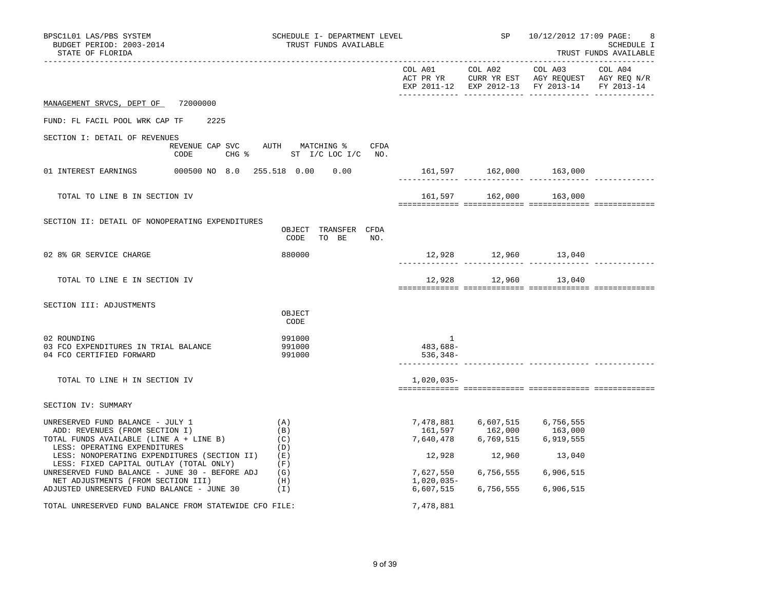| BPSC1L01 LAS/PBS SYSTEM<br>BUDGET PERIOD: 2003-2014<br>STATE OF FLORIDA                                                                         | SCHEDULE I- DEPARTMENT LEVEL<br>TRUST FUNDS AVAILABLE            |                           | SP 10/12/2012 17:09 PAGE:                                                                      | -8<br><b>SCHEDULE I</b><br>TRUST FUNDS AVAILABLE |
|-------------------------------------------------------------------------------------------------------------------------------------------------|------------------------------------------------------------------|---------------------------|------------------------------------------------------------------------------------------------|--------------------------------------------------|
|                                                                                                                                                 |                                                                  |                           | ACT PR YR CURR YR EST AGY REQUEST AGY REQ N/R<br>EXP 2011-12 EXP 2012-13 FY 2013-14 FY 2013-14 |                                                  |
| MANAGEMENT SRVCS, DEPT OF 72000000                                                                                                              |                                                                  |                           |                                                                                                |                                                  |
| 2225<br>FUND: FL FACIL POOL WRK CAP TF                                                                                                          |                                                                  |                           |                                                                                                |                                                  |
| SECTION I: DETAIL OF REVENUES<br>CODE                                                                                                           | REVENUE CAP SVC AUTH MATCHING % CFDA<br>CHG % ST I/C LOC I/C NO. |                           |                                                                                                |                                                  |
|                                                                                                                                                 |                                                                  |                           | 161,597 162,000 163,000                                                                        |                                                  |
| TOTAL TO LINE B IN SECTION IV                                                                                                                   |                                                                  |                           | 161,597 162,000 163,000                                                                        |                                                  |
| SECTION II: DETAIL OF NONOPERATING EXPENDITURES                                                                                                 | OBJECT TRANSFER CFDA<br>CODE<br>TO BE<br>NO.                     |                           |                                                                                                |                                                  |
| 02 8% GR SERVICE CHARGE                                                                                                                         | 880000                                                           |                           |                                                                                                |                                                  |
| TOTAL TO LINE E IN SECTION IV                                                                                                                   |                                                                  |                           | 12,928 12,960 13,040                                                                           |                                                  |
| SECTION III: ADJUSTMENTS                                                                                                                        | OBJECT<br>CODE                                                   |                           |                                                                                                |                                                  |
| 02 ROUNDING<br>03 FCO EXPENDITURES IN TRIAL BALANCE<br>04 FCO CERTIFIED FORWARD                                                                 | 991000<br>991000<br>991000                                       | 1<br>483,688-<br>536,348- |                                                                                                |                                                  |
| TOTAL TO LINE H IN SECTION IV                                                                                                                   |                                                                  | 1,020,035-                |                                                                                                |                                                  |
| SECTION IV: SUMMARY                                                                                                                             |                                                                  |                           |                                                                                                |                                                  |
| UNRESERVED FUND BALANCE - JULY 1<br>ADD: REVENUES (FROM SECTION I)<br>TOTAL FUNDS AVAILABLE (LINE A + LINE B)<br>LESS: OPERATING EXPENDITURES   | (A)<br>(B)<br>(C)<br>(D)                                         |                           | 7,478,881 6,607,515 6,756,555<br>161,597 162,000 163,000<br>7,640,478 6,769,515 6,919,555      |                                                  |
| LESS: NONOPERATING EXPENDITURES (SECTION II)<br>LESS: FIXED CAPITAL OUTLAY (TOTAL ONLY)<br>UNRESERVED FUND BALANCE - JUNE 30 - BEFORE ADJ $(G)$ | (E)<br>(F)                                                       | 7,627,550                 | 12,928 12,960 13,040<br>6,756,555 6,906,515                                                    |                                                  |
| NET ADJUSTMENTS (FROM SECTION III)<br>ADJUSTED UNRESERVED FUND BALANCE - JUNE 30                                                                | (H)<br>(1)                                                       | 1,020,035-                | 6,607,515 6,756,555 6,906,515                                                                  |                                                  |
| TOTAL UNRESERVED FUND BALANCE FROM STATEWIDE CFO FILE:                                                                                          |                                                                  | 7,478,881                 |                                                                                                |                                                  |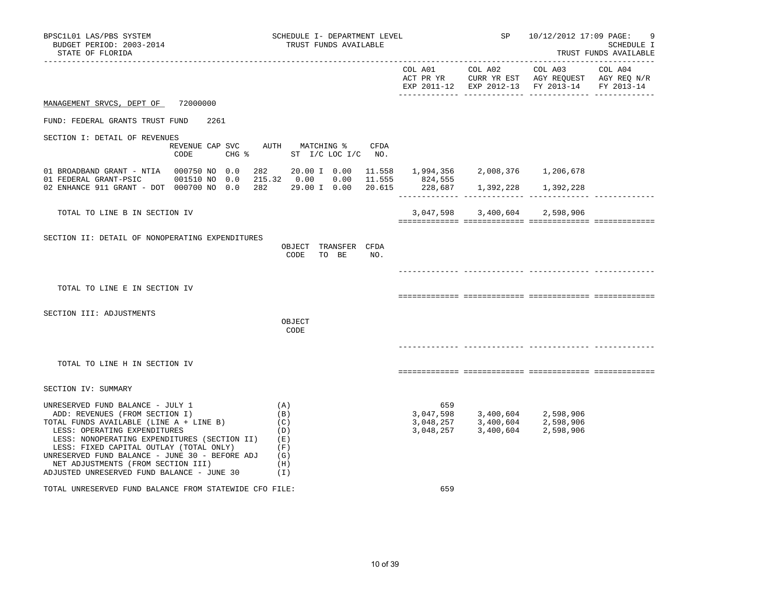| BPSC1L01 LAS/PBS SYSTEM<br>BUDGET PERIOD: 2003-2014<br>STATE OF FLORIDA                                                                                                                                                                                                                                                                                                              |      | SCHEDULE I- DEPARTMENT LEVEL<br>TRUST FUNDS AVAILABLE                 |     | <b>SP</b>                                                                                                                                          | 10/12/2012 17:09 PAGE:                                                                                                                                                                                                                                                                                                                                                                                                                                                                                                     | 9<br>SCHEDULE I<br>TRUST FUNDS AVAILABLE |
|--------------------------------------------------------------------------------------------------------------------------------------------------------------------------------------------------------------------------------------------------------------------------------------------------------------------------------------------------------------------------------------|------|-----------------------------------------------------------------------|-----|----------------------------------------------------------------------------------------------------------------------------------------------------|----------------------------------------------------------------------------------------------------------------------------------------------------------------------------------------------------------------------------------------------------------------------------------------------------------------------------------------------------------------------------------------------------------------------------------------------------------------------------------------------------------------------------|------------------------------------------|
|                                                                                                                                                                                                                                                                                                                                                                                      |      |                                                                       |     | COL A01 COL A02                                                                                                                                    | COL A03<br>$\begin{tabular}{lllllll} ACT & PR & T\\ \multicolumn{2}{l}{{\bf R} & T\\ \multicolumn{2}{l}{\bf R} & T\\ \multicolumn{2}{l}{\bf C} & T\\ \multicolumn{2}{l}{\bf R} & T\\ \multicolumn{2}{l}{\bf C} & T\\ \multicolumn{2}{l}{\bf R} & T\\ \multicolumn{2}{l}{\bf C} & T\\ \multicolumn{2}{l}{\bf R} & T\\ \multicolumn{2}{l}{\bf C} & T\\ \multicolumn{2}{l}{\bf R} & T\\ \multicolumn{2}{l}{\bf C} & T\\ \multicolumn{2}{l}{\bf R} & T\\ \multicolumn{2}{l}{$<br>EXP 2011-12 EXP 2012-13 FY 2013-14 FY 2013-14 | COL A04                                  |
| MANAGEMENT SRVCS, DEPT OF 72000000                                                                                                                                                                                                                                                                                                                                                   |      |                                                                       |     |                                                                                                                                                    |                                                                                                                                                                                                                                                                                                                                                                                                                                                                                                                            |                                          |
| FUND: FEDERAL GRANTS TRUST FUND                                                                                                                                                                                                                                                                                                                                                      | 2261 |                                                                       |     |                                                                                                                                                    |                                                                                                                                                                                                                                                                                                                                                                                                                                                                                                                            |                                          |
| SECTION I: DETAIL OF REVENUES                                                                                                                                                                                                                                                                                                                                                        |      | REVENUE CAP SVC AUTH MATCHING % CFDA<br>CODE CHG % ST I/C LOC I/C NO. |     |                                                                                                                                                    |                                                                                                                                                                                                                                                                                                                                                                                                                                                                                                                            |                                          |
| 01 BROADBAND GRANT - NTIA 000750 NO 0.0                                                                                                                                                                                                                                                                                                                                              | 282  | 20.00 I 0.00 11.558 1,994,356 2,008,376 1,206,678                     |     |                                                                                                                                                    |                                                                                                                                                                                                                                                                                                                                                                                                                                                                                                                            |                                          |
| 01 FEDERAL GRANT-PSIC 001510 NO 0.0 215.32 0.00 0.00 11.555 824,555<br>02 ENHANCE 911 GRANT - DOT 000700 NO 0.0 282 29.00 I 0.00 20.615 228,687 1,392,228 1,392,228                                                                                                                                                                                                                  |      |                                                                       |     |                                                                                                                                                    |                                                                                                                                                                                                                                                                                                                                                                                                                                                                                                                            |                                          |
| TOTAL TO LINE B IN SECTION IV                                                                                                                                                                                                                                                                                                                                                        |      |                                                                       |     | 3,047,598 3,400,604 2,598,906                                                                                                                      |                                                                                                                                                                                                                                                                                                                                                                                                                                                                                                                            |                                          |
| SECTION II: DETAIL OF NONOPERATING EXPENDITURES                                                                                                                                                                                                                                                                                                                                      |      | OBJECT TRANSFER CFDA<br>CODE TO BE<br>NO.                             |     |                                                                                                                                                    |                                                                                                                                                                                                                                                                                                                                                                                                                                                                                                                            |                                          |
| TOTAL TO LINE E IN SECTION IV                                                                                                                                                                                                                                                                                                                                                        |      |                                                                       |     |                                                                                                                                                    |                                                                                                                                                                                                                                                                                                                                                                                                                                                                                                                            |                                          |
| SECTION III: ADJUSTMENTS                                                                                                                                                                                                                                                                                                                                                             |      | OBJECT<br>CODE                                                        |     |                                                                                                                                                    |                                                                                                                                                                                                                                                                                                                                                                                                                                                                                                                            |                                          |
| TOTAL TO LINE H IN SECTION IV                                                                                                                                                                                                                                                                                                                                                        |      |                                                                       |     |                                                                                                                                                    |                                                                                                                                                                                                                                                                                                                                                                                                                                                                                                                            |                                          |
| SECTION IV: SUMMARY                                                                                                                                                                                                                                                                                                                                                                  |      |                                                                       |     |                                                                                                                                                    |                                                                                                                                                                                                                                                                                                                                                                                                                                                                                                                            |                                          |
| UNRESERVED FUND BALANCE - JULY 1<br>ADD: REVENUES (FROM SECTION I)<br>TOTAL FUNDS AVAILABLE (LINE A + LINE B)<br>LESS: OPERATING EXPENDITURES<br>LESS: NONOPERATING EXPENDITURES (SECTION II)<br>LESS: FIXED CAPITAL OUTLAY (TOTAL ONLY)<br>UNRESERVED FUND BALANCE - JUNE 30 - BEFORE ADJ $(G)$<br>NET ADJUSTMENTS (FROM SECTION III)<br>ADJUSTED UNRESERVED FUND BALANCE - JUNE 30 |      | (A)<br>(B)<br>(C)<br>(D)<br>(E)<br>(F)<br>(H)<br>(1)                  | 659 | 3,047,598 3,400,604 2,598,906<br>3, 048, 257 3, 400, 604 2, 598, 906<br>3, 048, 257 3, 400, 604 2, 598, 906<br>3, 048, 257 3, 400, 604 2, 598, 906 |                                                                                                                                                                                                                                                                                                                                                                                                                                                                                                                            |                                          |
| TOTAL UNRESERVED FUND BALANCE FROM STATEWIDE CFO FILE:                                                                                                                                                                                                                                                                                                                               |      |                                                                       | 659 |                                                                                                                                                    |                                                                                                                                                                                                                                                                                                                                                                                                                                                                                                                            |                                          |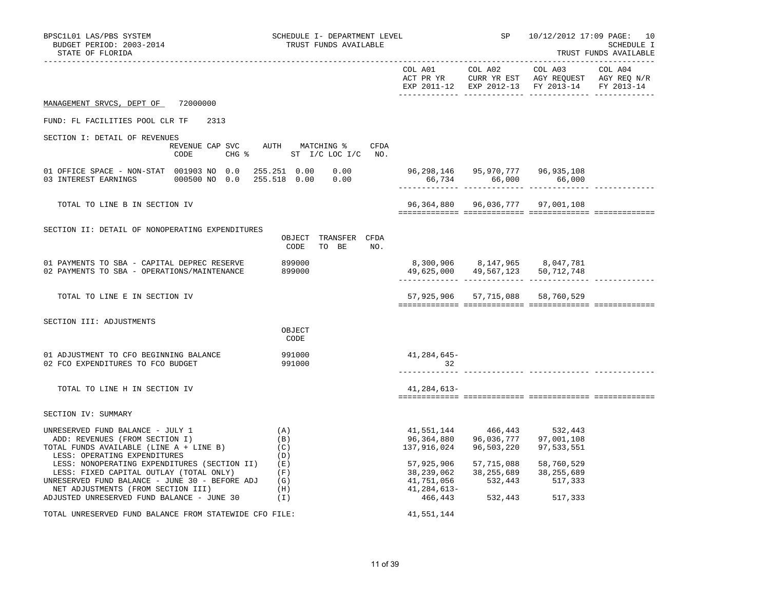| BPSC1L01 LAS/PBS SYSTEM<br>BUDGET PERIOD: 2003-2014<br>STATE OF FLORIDA                                                                                                         | SCHEDULE I- DEPARTMENT LEVEL<br>TRUST FUNDS AVAILABLE               |                                                       | SP 10/12/2012 17:09 PAGE: 10<br>SCHEDULE I<br>TRUST FUNDS AVAILABLE |                                               |  |
|---------------------------------------------------------------------------------------------------------------------------------------------------------------------------------|---------------------------------------------------------------------|-------------------------------------------------------|---------------------------------------------------------------------|-----------------------------------------------|--|
|                                                                                                                                                                                 |                                                                     |                                                       |                                                                     | EXP 2011-12 EXP 2012-13 FY 2013-14 FY 2013-14 |  |
| MANAGEMENT SRVCS, DEPT OF 72000000                                                                                                                                              |                                                                     |                                                       |                                                                     |                                               |  |
| FUND: FL FACILITIES POOL CLR TF<br>2313                                                                                                                                         |                                                                     |                                                       |                                                                     |                                               |  |
| SECTION I: DETAIL OF REVENUES<br>CODE                                                                                                                                           | REVENUE CAP SVC AUTH MATCHING %<br>CFDA<br>CHG % ST I/C LOC I/C NO. |                                                       |                                                                     |                                               |  |
| 01 OFFICE SPACE - NON-STAT 001903 NO 0.0                                                                                                                                        | 255.251 0.00<br>0.00                                                |                                                       |                                                                     | 66,734 66,000 66,000                          |  |
| TOTAL TO LINE B IN SECTION IV                                                                                                                                                   |                                                                     |                                                       |                                                                     | 96, 364, 880 96, 036, 777 97, 001, 108        |  |
| SECTION II: DETAIL OF NONOPERATING EXPENDITURES                                                                                                                                 | OBJECT TRANSFER CFDA<br>CODE<br>TO BE NO.                           |                                                       |                                                                     |                                               |  |
| 01 PAYMENTS TO SBA - CAPITAL DEPREC RESERVE<br>02 PAYMENTS TO SBA - OPERATIONS/MAINTENANCE                                                                                      | 899000<br>899000                                                    |                                                       | 8,300,906 8,147,965 8,047,781                                       | 49,625,000 49,567,123 50,712,748              |  |
| TOTAL TO LINE E IN SECTION IV                                                                                                                                                   |                                                                     |                                                       |                                                                     | 57,925,906 57,715,088 58,760,529              |  |
| SECTION III: ADJUSTMENTS                                                                                                                                                        | OBJECT<br>CODE                                                      |                                                       |                                                                     |                                               |  |
| 01 ADJUSTMENT TO CFO BEGINNING BALANCE<br>02 FCO EXPENDITURES TO FCO BUDGET                                                                                                     | 991000<br>991000                                                    | 41,284,645-<br>32                                     |                                                                     |                                               |  |
| TOTAL TO LINE H IN SECTION IV                                                                                                                                                   |                                                                     | 41,284,613-                                           |                                                                     |                                               |  |
| SECTION IV: SUMMARY                                                                                                                                                             |                                                                     |                                                       |                                                                     |                                               |  |
| UNRESERVED FUND BALANCE - JULY 1<br>ADD: REVENUES (FROM SECTION I)<br>TOTAL FUNDS AVAILABLE (LINE A + LINE B)<br>LESS: OPERATING EXPENDITURES                                   | (A)<br>(B)<br>(C)<br>(D)                                            | 96,364,880<br>137,916,024                             | 41,551,144 466,443<br>96,036,777<br>96,503,220                      | 532,443<br>97,001,108<br>97,533,551           |  |
| LESS: NONOPERATING EXPENDITURES (SECTION II)<br>LESS: FIXED CAPITAL OUTLAY (TOTAL ONLY)<br>UNRESERVED FUND BALANCE - JUNE 30 - BEFORE ADJ<br>NET ADJUSTMENTS (FROM SECTION III) | ( E )<br>(F)<br>(G)<br>(H)                                          | 57,925,906<br>38,239,062<br>41,751,056<br>41,284,613- | 57,715,088<br>38,255,689<br>532,443                                 | 58,760,529<br>38,255,689<br>517,333           |  |
| ADJUSTED UNRESERVED FUND BALANCE - JUNE $30$ (I)                                                                                                                                |                                                                     |                                                       | 466,443 532,443 517,333                                             |                                               |  |
| TOTAL UNRESERVED FUND BALANCE FROM STATEWIDE CFO FILE:                                                                                                                          |                                                                     | 41,551,144                                            |                                                                     |                                               |  |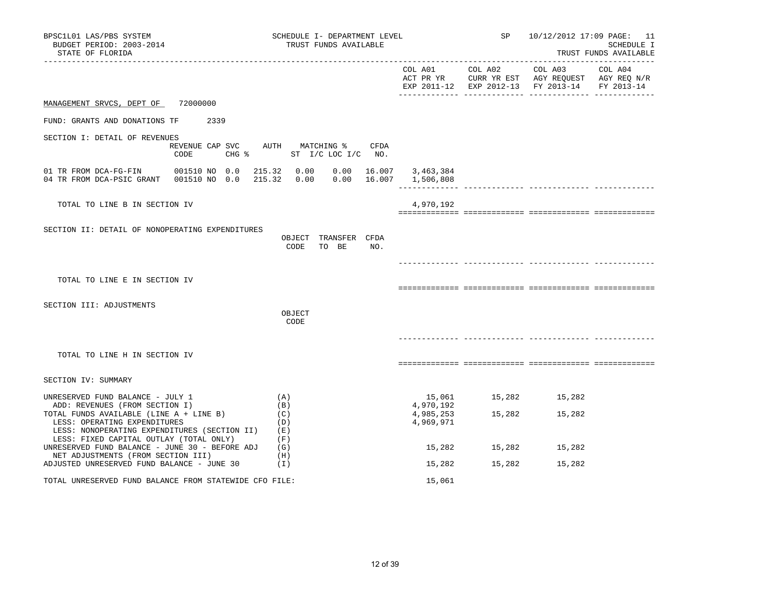| BPSC1L01 LAS/PBS SYSTEM<br>BUDGET PERIOD: 2003-2014<br>STATE OF FLORIDA<br>--------------------                                                               | SCHEDULE I- DEPARTMENT LEVEL<br>TRUST FUNDS AVAILABLE                        |                                     | SP            | 10/12/2012 17:09 PAGE: 11                                                                                                                                                     | SCHEDULE I<br>TRUST FUNDS AVAILABLE |
|---------------------------------------------------------------------------------------------------------------------------------------------------------------|------------------------------------------------------------------------------|-------------------------------------|---------------|-------------------------------------------------------------------------------------------------------------------------------------------------------------------------------|-------------------------------------|
|                                                                                                                                                               |                                                                              |                                     |               | $COL A01 \qquad \qquad COL A02 \qquad \qquad COL A03 \qquad \qquad COL A04$<br>ACT PR YR CURR YR EST AGY REQUEST AGY REQ N/R<br>EXP 2011-12 EXP 2012-13 FY 2013-14 FY 2013-14 |                                     |
| MANAGEMENT SRVCS, DEPT OF 72000000                                                                                                                            |                                                                              |                                     |               |                                                                                                                                                                               |                                     |
| FUND: GRANTS AND DONATIONS TF 2339                                                                                                                            |                                                                              |                                     |               |                                                                                                                                                                               |                                     |
| SECTION I: DETAIL OF REVENUES<br>CODE                                                                                                                         | REVENUE CAP SVC AUTH MATCHING % CFDA<br>CHG $\frac{1}{6}$ ST I/C LOC I/C NO. |                                     |               |                                                                                                                                                                               |                                     |
| 04 TR FROM DCA-PSIC GRANT  001510 NO  0.0  215.32  0.00  0.00  16.007  1,506,808                                                                              |                                                                              | $0.00$ 16.007 3,463,384             |               |                                                                                                                                                                               |                                     |
| TOTAL TO LINE B IN SECTION IV                                                                                                                                 |                                                                              | 4,970,192                           |               |                                                                                                                                                                               |                                     |
| SECTION II: DETAIL OF NONOPERATING EXPENDITURES                                                                                                               | OBJECT TRANSFER CFDA<br>CODE TO BE NO.                                       |                                     |               |                                                                                                                                                                               |                                     |
| TOTAL TO LINE E IN SECTION IV                                                                                                                                 |                                                                              |                                     |               |                                                                                                                                                                               |                                     |
| SECTION III: ADJUSTMENTS                                                                                                                                      | OBJECT<br>CODE                                                               |                                     |               |                                                                                                                                                                               |                                     |
| TOTAL TO LINE H IN SECTION IV                                                                                                                                 |                                                                              |                                     |               |                                                                                                                                                                               |                                     |
| SECTION IV: SUMMARY                                                                                                                                           |                                                                              |                                     |               |                                                                                                                                                                               |                                     |
| UNRESERVED FUND BALANCE - JULY 1                                                                                                                              | (A)                                                                          | 15,061                              | 15,282        | 15,282                                                                                                                                                                        |                                     |
| ADD: REVENUES (FROM SECTION I)<br>TOTAL FUNDS AVAILABLE (LINE A + LINE B)<br>LESS: OPERATING EXPENDITURES<br>LESS: NONOPERATING EXPENDITURES (SECTION II) (E) | (B)<br>(C)<br>(D)                                                            | 4,970,192<br>4,985,253<br>4,969,971 | 15,282        | 15,282                                                                                                                                                                        |                                     |
| LESS: FIXED CAPITAL OUTLAY (TOTAL ONLY)<br>UNRESERVED FUND BALANCE - JUNE 30 - BEFORE ADJ<br>NET ADJUSTMENTS (FROM SECTION III)                               | (F)<br>(G)<br>(H)                                                            |                                     | 15,282 15,282 | 15,282                                                                                                                                                                        |                                     |
| ADJUSTED UNRESERVED FUND BALANCE - JUNE 30                                                                                                                    | (1)                                                                          | 15,282                              | 15,282        | 15,282                                                                                                                                                                        |                                     |
| TOTAL UNRESERVED FUND BALANCE FROM STATEWIDE CFO FILE:                                                                                                        |                                                                              | 15,061                              |               |                                                                                                                                                                               |                                     |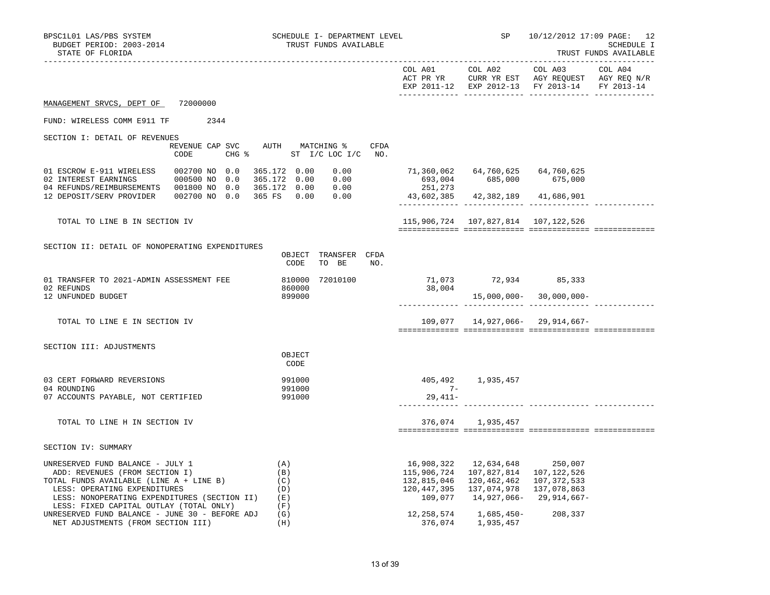| BPSC1L01 LAS/PBS SYSTEM<br>BUDGET PERIOD: 2003-2014<br>STATE OF FLORIDA          | SCHEDULE I- DEPARTMENT LEVEL<br>TRUST FUNDS AVAILABLE            |                                           | <b>SP</b> SP                    | 10/12/2012 17:09 PAGE: 12                                                                                                                                                                                                                                                                                                   | SCHEDULE I<br>TRUST FUNDS AVAILABLE |
|----------------------------------------------------------------------------------|------------------------------------------------------------------|-------------------------------------------|---------------------------------|-----------------------------------------------------------------------------------------------------------------------------------------------------------------------------------------------------------------------------------------------------------------------------------------------------------------------------|-------------------------------------|
|                                                                                  |                                                                  |                                           |                                 | $\begin{tabular}{lllllllllll} \multicolumn{2}{l}{{\text{COL A01}}} & \multicolumn{2}{c}{\text{COL A02}} & \multicolumn{2}{c}{\text{COL A03}} & \multicolumn{2}{c}{\text{COL A04}} \end{tabular}$<br>ACT PR YR $\,$ CURR YR EST $\,$ AGY REQUEST $\,$ AGY REQ $\,$ N/R $\,$<br>EXP 2011-12 EXP 2012-13 FY 2013-14 FY 2013-14 |                                     |
| MANAGEMENT SRVCS, DEPT OF 72000000                                               |                                                                  |                                           |                                 |                                                                                                                                                                                                                                                                                                                             |                                     |
| FUND: WIRELESS COMM E911 TF 2344                                                 |                                                                  |                                           |                                 |                                                                                                                                                                                                                                                                                                                             |                                     |
| SECTION I: DETAIL OF REVENUES                                                    |                                                                  |                                           |                                 |                                                                                                                                                                                                                                                                                                                             |                                     |
| CODE                                                                             | REVENUE CAP SVC AUTH MATCHING % CFDA<br>CHG % ST I/C LOC I/C NO. |                                           |                                 |                                                                                                                                                                                                                                                                                                                             |                                     |
| 01 ESCROW E-911 WIRELESS 002700 NO 0.0                                           | 365.172 0.00<br>0.00                                             |                                           |                                 |                                                                                                                                                                                                                                                                                                                             |                                     |
| 12 DEPOSIT/SERV PROVIDER  002700 NO 0.0 365 FS  0.00  0.00                       |                                                                  | 43,602,385 42,382,189 41,686,901          |                                 |                                                                                                                                                                                                                                                                                                                             |                                     |
| TOTAL TO LINE B IN SECTION IV                                                    |                                                                  | 115,906,724    107,827,814    107,122,526 |                                 |                                                                                                                                                                                                                                                                                                                             |                                     |
|                                                                                  |                                                                  |                                           |                                 |                                                                                                                                                                                                                                                                                                                             |                                     |
| SECTION II: DETAIL OF NONOPERATING EXPENDITURES                                  | OBJECT TRANSFER CFDA                                             |                                           |                                 |                                                                                                                                                                                                                                                                                                                             |                                     |
|                                                                                  | CODE<br>TO BE NO.                                                |                                           |                                 |                                                                                                                                                                                                                                                                                                                             |                                     |
| 01 TRANSFER TO 2021-ADMIN ASSESSMENT FEE                                         | 810000 72010100                                                  |                                           | 71,073 72,934 85,333            |                                                                                                                                                                                                                                                                                                                             |                                     |
| 02 REFUNDS<br>12 UNFUNDED BUDGET                                                 | 860000<br>899000                                                 | 38,004                                    |                                 | $15,000,000 - 30,000,000 -$                                                                                                                                                                                                                                                                                                 |                                     |
|                                                                                  |                                                                  |                                           |                                 |                                                                                                                                                                                                                                                                                                                             |                                     |
| TOTAL TO LINE E IN SECTION IV                                                    |                                                                  |                                           |                                 | $109,077$ 14,927,066- 29,914,667-                                                                                                                                                                                                                                                                                           |                                     |
|                                                                                  |                                                                  |                                           |                                 |                                                                                                                                                                                                                                                                                                                             |                                     |
| SECTION III: ADJUSTMENTS                                                         |                                                                  |                                           |                                 |                                                                                                                                                                                                                                                                                                                             |                                     |
|                                                                                  | OBJECT<br>CODE                                                   |                                           |                                 |                                                                                                                                                                                                                                                                                                                             |                                     |
| 03 CERT FORWARD REVERSIONS                                                       | 991000                                                           |                                           | 405,492 1,935,457               |                                                                                                                                                                                                                                                                                                                             |                                     |
| 04 ROUNDING                                                                      | 991000                                                           | $7-$                                      |                                 |                                                                                                                                                                                                                                                                                                                             |                                     |
| 07 ACCOUNTS PAYABLE, NOT CERTIFIED                                               | 991000                                                           | 29,411-                                   |                                 |                                                                                                                                                                                                                                                                                                                             |                                     |
| TOTAL TO LINE H IN SECTION IV                                                    |                                                                  |                                           | 376,074 1,935,457               |                                                                                                                                                                                                                                                                                                                             |                                     |
|                                                                                  |                                                                  |                                           |                                 |                                                                                                                                                                                                                                                                                                                             |                                     |
| SECTION IV: SUMMARY                                                              |                                                                  |                                           |                                 |                                                                                                                                                                                                                                                                                                                             |                                     |
| UNRESERVED FUND BALANCE - JULY 1                                                 | (A)                                                              |                                           | 16,908,322  12,634,648  250,007 |                                                                                                                                                                                                                                                                                                                             |                                     |
| ADD: REVENUES (FROM SECTION I)<br>TAL FUNDS AUATION -                            | (B)                                                              | 115,906,724                               | 107,827,814 107,122,526         |                                                                                                                                                                                                                                                                                                                             |                                     |
| TOTAL FUNDS AVAILABLE (LINE A + LINE B)                                          | (C)                                                              | 132,815,046                               | 120,462,462                     | 107,372,533                                                                                                                                                                                                                                                                                                                 |                                     |
| LESS: OPERATING EXPENDITURES<br>LESS: NONOPERATING EXPENDITURES (SECTION II) (E) | (D)                                                              | 120,447,395<br>109,077                    | 137,074,978 137,078,863         | 14,927,066- 29,914,667-                                                                                                                                                                                                                                                                                                     |                                     |
| LESS: FIXED CAPITAL OUTLAY (TOTAL ONLY)                                          | (F)                                                              |                                           |                                 |                                                                                                                                                                                                                                                                                                                             |                                     |
| UNRESERVED FUND BALANCE - JUNE 30 - BEFORE ADJ                                   | (G)                                                              | 12,258,574                                | 1,685,450-208,337               |                                                                                                                                                                                                                                                                                                                             |                                     |
| NET ADJUSTMENTS (FROM SECTION III)                                               | (H)                                                              | 376,074                                   | 1,935,457                       |                                                                                                                                                                                                                                                                                                                             |                                     |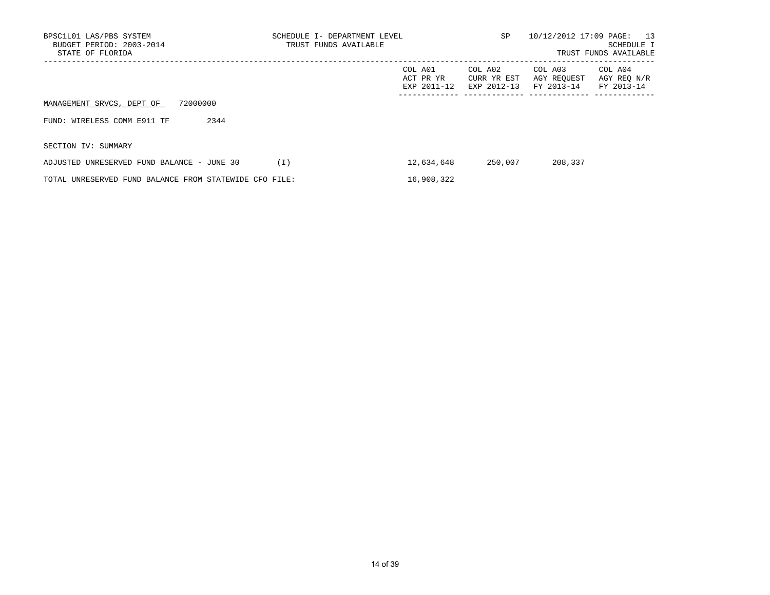| BPSC1L01 LAS/PBS SYSTEM<br>BUDGET PERIOD: 2003-2014<br>STATE OF FLORIDA | SCHEDULE I- DEPARTMENT LEVEL<br>TRUST FUNDS AVAILABLE | SP                                  | 10/12/2012 17:09 PAGE: 13<br>SCHEDULE I<br>TRUST FUNDS AVAILABLE |                                      |                                      |
|-------------------------------------------------------------------------|-------------------------------------------------------|-------------------------------------|------------------------------------------------------------------|--------------------------------------|--------------------------------------|
|                                                                         |                                                       | COL A01<br>ACT PR YR<br>EXP 2011-12 | COL A02<br>CURR YR EST<br>EXP 2012-13                            | COL A03<br>AGY REOUEST<br>FY 2013-14 | COL A04<br>AGY REO N/R<br>FY 2013-14 |
| 72000000<br>MANAGEMENT SRVCS, DEPT OF                                   |                                                       |                                     |                                                                  |                                      |                                      |
| FUND: WIRELESS COMM E911 TF<br>2344                                     |                                                       |                                     |                                                                  |                                      |                                      |
| SECTION IV: SUMMARY                                                     |                                                       |                                     |                                                                  |                                      |                                      |
| ADJUSTED UNRESERVED FUND BALANCE - JUNE 30                              | (I)                                                   | 12,634,648                          | 250,007                                                          | 208,337                              |                                      |
| TOTAL UNRESERVED FUND BALANCE FROM STATEWIDE CFO FILE:                  |                                                       | 16,908,322                          |                                                                  |                                      |                                      |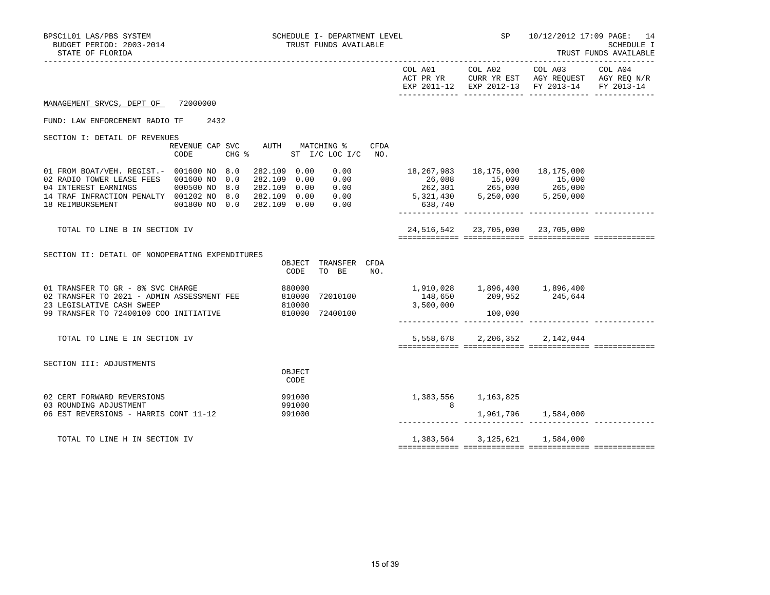| BPSC1L01 LAS/PBS SYSTEM<br>BUDGET PERIOD: 2003-2014<br>STATE OF FLORIDA                                                                                                                                     | SCHEDULE I- DEPARTMENT LEVEL<br>TRUST FUNDS AVAILABLE                                                                                                             |                                                                                             |                 | SP 10/12/2012 17:09 PAGE: 14<br>SCHEDULE I<br>TRUST FUNDS AVAILABLE                                                                            |         |
|-------------------------------------------------------------------------------------------------------------------------------------------------------------------------------------------------------------|-------------------------------------------------------------------------------------------------------------------------------------------------------------------|---------------------------------------------------------------------------------------------|-----------------|------------------------------------------------------------------------------------------------------------------------------------------------|---------|
|                                                                                                                                                                                                             |                                                                                                                                                                   |                                                                                             | COL A01 COL A02 | COL A03<br>ACT PR YR CURR YR EST AGY REQUEST AGY REQ N/R<br>EXP 2011-12 EXP 2012-13 FY 2013-14 FY 2013-14                                      | COL A04 |
| MANAGEMENT SRVCS, DEPT OF 72000000                                                                                                                                                                          |                                                                                                                                                                   |                                                                                             |                 |                                                                                                                                                |         |
| FUND: LAW ENFORCEMENT RADIO TF 2432                                                                                                                                                                         |                                                                                                                                                                   |                                                                                             |                 |                                                                                                                                                |         |
| SECTION I: DETAIL OF REVENUES<br>REVENUE CAP SVC AUTH MATCHING %<br>CODE                                                                                                                                    | CFDA<br>CHG % ST I/C LOC I/C NO.                                                                                                                                  |                                                                                             |                 |                                                                                                                                                |         |
| 01 FROM BOAT/VEH. REGIST. - 001600 NO 8.0<br>02 RADIO TOWER LEASE FEES 001600 NO 0.0<br>04 INTEREST EARNINGS 000500 NO 8.0<br>14 TRAF INFRACTION PENALTY 001202 NO 8.0<br>18 REIMBURSEMENT<br>001800 NO 0.0 | 282.109 0.00<br>0.00<br>282.109 0.00<br>$\begin{array}{c} 0\, .\, 00\ 0\, .\, 00\ 0\, .\, 00 \end{array}$<br>282.109 0.00<br>282.109 0.00<br>282.109 0.00<br>0.00 | 26,088 15,000 15,000<br>262,301 265,000 265,000<br>5,321,430 5,250,000 5,250,000<br>638,740 |                 | 18,267,983  18,175,000  18,175,000                                                                                                             |         |
| TOTAL TO LINE B IN SECTION IV                                                                                                                                                                               |                                                                                                                                                                   |                                                                                             |                 | 24,516,542 23,705,000 23,705,000                                                                                                               |         |
| SECTION II: DETAIL OF NONOPERATING EXPENDITURES                                                                                                                                                             | OBJECT TRANSFER CFDA<br>TO BE<br>CODE<br>NO.                                                                                                                      |                                                                                             |                 |                                                                                                                                                |         |
| 01 TRANSFER TO GR - 8% SVC CHARGE<br>02 TRANSFER TO 2021 - ADMIN ASSESSMENT FEE<br>23 LEGISLATIVE CASH SWEEP<br>99 TRANSFER TO 72400100 COO INITIATIVE                                                      | 880000<br>810000<br>72010100<br>810000<br>810000 72400100                                                                                                         | 3,500,000                                                                                   | 100,000         | $\begin{array}{cccc} 1,910\,,028 & \quad & 1,896\,,400 & \quad & 1,896\,,400 \\ 148\,,650 & \quad & 209\,,952 & \quad & 245\,,644 \end{array}$ |         |
| TOTAL TO LINE E IN SECTION IV                                                                                                                                                                               |                                                                                                                                                                   |                                                                                             |                 | 5,558,678 2,206,352 2,142,044                                                                                                                  |         |
| SECTION III: ADJUSTMENTS                                                                                                                                                                                    | OBJECT<br>CODE                                                                                                                                                    |                                                                                             |                 |                                                                                                                                                |         |
| 02 CERT FORWARD REVERSIONS                                                                                                                                                                                  | 991000                                                                                                                                                            | 1,383,556 1,163,825                                                                         |                 |                                                                                                                                                |         |
| 03 ROUNDING ADJUSTMENT<br>06 EST REVERSIONS - HARRIS CONT 11-12                                                                                                                                             | 991000<br>991000                                                                                                                                                  | $\overline{\mathbf{8}}$                                                                     |                 | 1,961,796 1,584,000                                                                                                                            |         |
| TOTAL TO LINE H IN SECTION IV                                                                                                                                                                               |                                                                                                                                                                   |                                                                                             |                 | 1,383,564 3,125,621 1,584,000                                                                                                                  |         |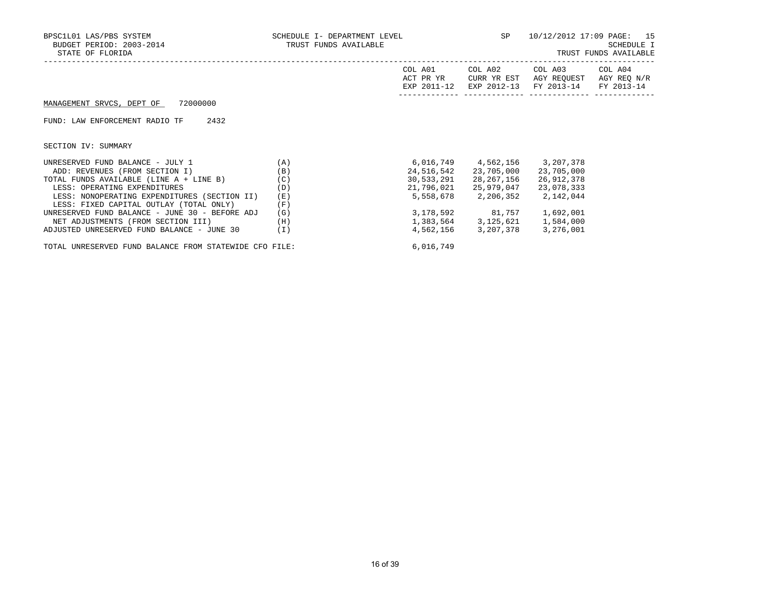| BPSC1L01 LAS/PBS SYSTEM<br>BUDGET PERIOD: 2003-2014<br>STATE OF FLORIDA | SCHEDULE I- DEPARTMENT LEVEL<br>TRUST FUNDS AVAILABLE |                                     | SP                                    | 10/12/2012 17:09 PAGE: 15            | SCHEDULE I<br>TRUST FUNDS AVAILABLE  |
|-------------------------------------------------------------------------|-------------------------------------------------------|-------------------------------------|---------------------------------------|--------------------------------------|--------------------------------------|
|                                                                         |                                                       | COL A01<br>ACT PR YR<br>EXP 2011-12 | COL A02<br>CURR YR EST<br>EXP 2012-13 | COL A03<br>AGY REOUEST<br>FY 2013-14 | COL A04<br>AGY REQ N/R<br>FY 2013-14 |
| 72000000<br>MANAGEMENT SRVCS, DEPT OF                                   |                                                       |                                     |                                       |                                      |                                      |
| 2432<br>FUND: LAW ENFORCEMENT RADIO TF                                  |                                                       |                                     |                                       |                                      |                                      |
| SECTION IV: SUMMARY                                                     |                                                       |                                     |                                       |                                      |                                      |
| UNRESERVED FUND BALANCE - JULY 1                                        | (A)                                                   |                                     | 6,016,749 4,562,156                   | 3,207,378                            |                                      |
| ADD: REVENUES (FROM SECTION I)                                          | (B)                                                   | 24,516,542                          | 23,705,000                            | 23,705,000                           |                                      |
| TOTAL FUNDS AVAILABLE (LINE A + LINE B)                                 | (C)                                                   | 30,533,291                          | 28,267,156                            | 26,912,378                           |                                      |
| LESS: OPERATING EXPENDITURES                                            | (D)                                                   | 21,796,021                          | 25,979,047                            | 23,078,333                           |                                      |
| LESS: NONOPERATING EXPENDITURES (SECTION II)                            | (E)                                                   | 5,558,678                           | 2,206,352                             | 2,142,044                            |                                      |
| LESS: FIXED CAPITAL OUTLAY (TOTAL ONLY)                                 | (F)                                                   |                                     |                                       |                                      |                                      |
| UNRESERVED FUND BALANCE - JUNE 30 - BEFORE ADJ                          | (G)                                                   |                                     | 3,178,592 81,757                      | 1,692,001                            |                                      |
| NET ADJUSTMENTS (FROM SECTION III)                                      | (H)                                                   |                                     | 1,383,564 3,125,621                   | 1,584,000                            |                                      |
| ADJUSTED UNRESERVED FUND BALANCE - JUNE 30                              | (I)                                                   | 4,562,156                           | 3,207,378                             | 3,276,001                            |                                      |

TOTAL UNRESERVED FUND BALANCE FROM STATEWIDE CFO FILE: 6,016,749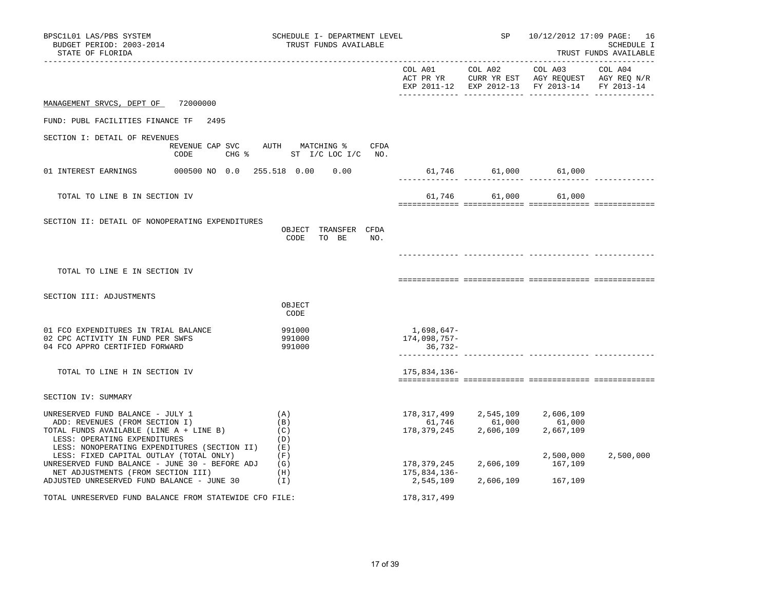| BPSC1L01 LAS/PBS SYSTEM<br>BUDGET PERIOD: 2003-2014<br>STATE OF FLORIDA                                                                                                                       | SCHEDULE I- DEPARTMENT LEVEL<br>TRUST FUNDS AVAILABLE            |                                          | SP and the set of the set of the set of the set of the set of the set of the set of the set of the set of the s | 10/12/2012 17:09 PAGE: 16<br><b>SCHEDULE I</b><br>TRUST FUNDS AVAILABLE                                                                                                      |           |
|-----------------------------------------------------------------------------------------------------------------------------------------------------------------------------------------------|------------------------------------------------------------------|------------------------------------------|-----------------------------------------------------------------------------------------------------------------|------------------------------------------------------------------------------------------------------------------------------------------------------------------------------|-----------|
|                                                                                                                                                                                               |                                                                  |                                          |                                                                                                                 | COL A01 COL A02 COL A03 COL A04<br>ACT PR YR CURR YR EST AGY REQUEST AGY REQ N/R<br>EXP 2011-12 EXP 2012-13 FY 2013-14 FY 2013-14                                            |           |
| MANAGEMENT SRVCS, DEPT OF 72000000                                                                                                                                                            |                                                                  |                                          |                                                                                                                 |                                                                                                                                                                              |           |
| FUND: PUBL FACILITIES FINANCE TF 2495                                                                                                                                                         |                                                                  |                                          |                                                                                                                 |                                                                                                                                                                              |           |
| SECTION I: DETAIL OF REVENUES<br>CODE                                                                                                                                                         | REVENUE CAP SVC AUTH MATCHING % CFDA<br>CHG % ST I/C LOC I/C NO. |                                          |                                                                                                                 |                                                                                                                                                                              |           |
|                                                                                                                                                                                               |                                                                  | 61,746 61,000 61,000                     |                                                                                                                 |                                                                                                                                                                              |           |
| TOTAL TO LINE B IN SECTION IV                                                                                                                                                                 |                                                                  |                                          |                                                                                                                 | 61,746 61,000 61,000                                                                                                                                                         |           |
| SECTION II: DETAIL OF NONOPERATING EXPENDITURES                                                                                                                                               | OBJECT TRANSFER CFDA<br>CODE<br>TO BE<br>NO.                     |                                          |                                                                                                                 |                                                                                                                                                                              |           |
| TOTAL TO LINE E IN SECTION IV                                                                                                                                                                 |                                                                  |                                          |                                                                                                                 |                                                                                                                                                                              |           |
| SECTION III: ADJUSTMENTS                                                                                                                                                                      | OBJECT<br>CODE                                                   |                                          |                                                                                                                 |                                                                                                                                                                              |           |
| 01 FCO EXPENDITURES IN TRIAL BALANCE<br>02 CPC ACTIVITY IN FUND PER SWFS<br>04 FCO APPRO CERTIFIED FORWARD                                                                                    | 991000<br>991000<br>991000                                       | 1,698,647-<br>174,098,757-<br>36,732-    |                                                                                                                 |                                                                                                                                                                              |           |
| TOTAL TO LINE H IN SECTION IV                                                                                                                                                                 |                                                                  | 175,834,136-                             |                                                                                                                 |                                                                                                                                                                              |           |
| SECTION IV: SUMMARY                                                                                                                                                                           |                                                                  |                                          |                                                                                                                 |                                                                                                                                                                              |           |
| UNRESERVED FUND BALANCE - JULY 1<br>ADD: REVENUES (FROM SECTION I)<br>TOTAL FUNDS AVAILABLE (LINE A + LINE B)<br>LESS: OPERATING EXPENDITURES<br>LESS: NONOPERATING EXPENDITURES (SECTION II) | (A)<br>(B)<br>(C)<br>(D)<br>(E)                                  |                                          |                                                                                                                 | $\begin{array}{cccc} 178,317,499 & \quad 2,545,109 & \quad 2,606,109 \\ 61,746 & \quad 61,000 & \quad 61,000 \\ 178,379,245 & \quad 2,606,109 & \quad 2,667,109 \end{array}$ |           |
| LESS: FIXED CAPITAL OUTLAY (TOTAL ONLY)<br>UNRESERVED FUND BALANCE - JUNE 30 - BEFORE ADJ<br>NET ADJUSTMENTS (FROM SECTION III)<br>ADJUSTED UNRESERVED FUND BALANCE - JUNE 30                 | (F)<br>(G)<br>(H)<br>(1)                                         | 178,379,245<br>175,834,136-<br>2,545,109 | 2,606,109                                                                                                       | 2,500,000<br>167,109<br>2,606,109 167,109                                                                                                                                    | 2,500,000 |
| TOTAL UNRESERVED FUND BALANCE FROM STATEWIDE CFO FILE:                                                                                                                                        |                                                                  | 178,317,499                              |                                                                                                                 |                                                                                                                                                                              |           |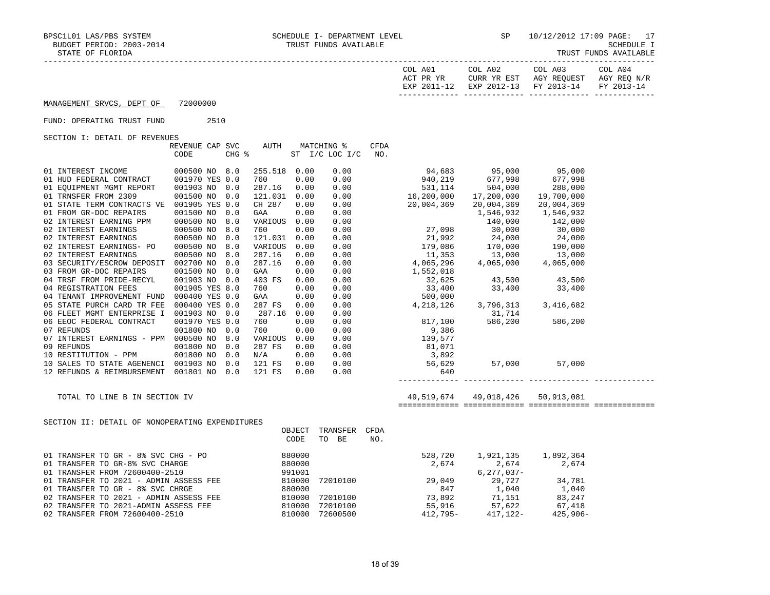|  |  | IRUSI FUNDS AVAILABLE |  |
|--|--|-----------------------|--|
|--|--|-----------------------|--|

| STATE OF FLORIDA                                                 |                         |            |                        |                |                              |                    |                                                                                                                                                                                        | __________________________         |                                                              | TRUST FUNDS AVAILABLE |
|------------------------------------------------------------------|-------------------------|------------|------------------------|----------------|------------------------------|--------------------|----------------------------------------------------------------------------------------------------------------------------------------------------------------------------------------|------------------------------------|--------------------------------------------------------------|-----------------------|
|                                                                  |                         |            |                        |                |                              |                    | COL A01<br>ACT PR YR                                                                                                                                                                   | COL A02<br>EXP 2011-12 EXP 2012-13 | COL A03<br>CURR YR EST AGY REQUEST AGY REQ N/R<br>FY 2013-14 | COL A04<br>FY 2013-14 |
| MANAGEMENT SRVCS, DEPT OF                                        | 72000000                |            |                        |                |                              |                    |                                                                                                                                                                                        |                                    |                                                              |                       |
| FUND: OPERATING TRUST FUND                                       | 2510                    |            |                        |                |                              |                    |                                                                                                                                                                                        |                                    |                                                              |                       |
| SECTION I: DETAIL OF REVENUES                                    |                         |            |                        |                |                              |                    |                                                                                                                                                                                        |                                    |                                                              |                       |
|                                                                  | REVENUE CAP SVC<br>CODE | CHG %      | AUTH                   |                | MATCHING %<br>ST I/C LOC I/C | <b>CFDA</b><br>NO. |                                                                                                                                                                                        |                                    |                                                              |                       |
| 01 INTEREST INCOME<br>01 HUD FEDERAL CONTRACT                    | 000500 NO 8.0           |            | 255.518 0.00           |                | 0.00                         |                    | 94,683                                                                                                                                                                                 | 95,000                             | 95,000                                                       |                       |
|                                                                  | 001970 YES 0.0          |            | 760                    | 0.00           | 0.00                         |                    | 940,219                                                                                                                                                                                | 000 , 99<br>677 , 998              | 677,998                                                      |                       |
| 01 EQUIPMENT MGMT REPORT<br>01 TRNSFER FROM 2309                 | 001903 NO<br>001500 NO  | 0.0<br>0.0 | 287.16<br>121.031 0.00 | 0.00           | 0.00<br>0.00                 |                    | 531,114                                                                                                                                                                                | 504,000                            | 288,000<br>19,700,000                                        |                       |
| 01 STATE TERM CONTRACTS VE 001905 YES 0.0                        |                         |            | CH 287                 | 0.00           | 0.00                         |                    | $16,200,000$<br>$20,004,369$<br>$20,004,369$<br>$20,004,369$                                                                                                                           |                                    | 20,004,369                                                   |                       |
| 01 FROM GR-DOC REPAIRS                                           | 001500 NO               | 0.0        | GAA                    | 0.00           | 0.00                         |                    | $1,546,932$<br>$1,546,932$<br>$140,000$<br>$27,098$<br>$30,000$<br>$21,992$<br>$24,000$<br>$179,086$<br>$170,000$<br>$11,353$<br>$13,000$<br>$4,065,000$<br>$1,562,296$<br>$4,065,000$ |                                    | 1,546,932                                                    |                       |
| 02 INTEREST EARNING PPM                                          | 000500 NO               | 8.0        | VARIOUS 0.00           |                | 0.00                         |                    |                                                                                                                                                                                        |                                    | 142,000                                                      |                       |
| 02 INTEREST EARNINGS                                             | 000500 NO               | 8.0        | 760                    | 0.00           | 0.00                         |                    |                                                                                                                                                                                        |                                    | 30,000                                                       |                       |
| 02 INTEREST EARNINGS                                             | 000500 NO               | 0.0        | 121.031 0.00           |                | 0.00                         |                    |                                                                                                                                                                                        |                                    | 24,000                                                       |                       |
| 02 INTEREST EARNINGS- PO                                         | 000500 NO               | 8.0        | VARIOUS                | 0.00           | 0.00                         |                    |                                                                                                                                                                                        |                                    | 190,000<br>13,000                                            |                       |
| 02 INTEREST EARNINGS<br>03 SECURITY/ESCROW DEPOSIT 002700 NO     | 000500 NO               | 8.0<br>0.0 | 287.16<br>287.16       | 0.00<br>0.00   | 0.00<br>0.00                 |                    |                                                                                                                                                                                        |                                    | 4,065,000                                                    |                       |
| 03 FROM GR-DOC REPAIRS                                           | 001500 NO               | 0.0        | GAA                    | 0.00           | 0.00                         |                    | 1,552,018                                                                                                                                                                              |                                    |                                                              |                       |
| 04 TRSF FROM PRIDE-RECYL                                         | 001903 NO               | 0.0        | 403 FS                 | 0.00           | 0.00                         |                    |                                                                                                                                                                                        | 43,500 43,500<br>33,400 33,400     |                                                              |                       |
| 04 REGISTRATION FEES                                             | 001905 YES 8.0          |            | 760                    | 0.00           | 0.00                         |                    | 32,625<br>33,400                                                                                                                                                                       |                                    |                                                              |                       |
| 04 TENANT IMPROVEMENT FUND 000400 YES 0.0                        |                         |            | GAA                    | 0.00           | 0.00                         |                    | $500,000$<br>4,218,126 3,796,313 3,416,682                                                                                                                                             |                                    |                                                              |                       |
| 05 STATE PURCH CARD TR FEE 000400 YES 0.0                        |                         |            | 287 FS                 | 0.00           | 0.00                         |                    |                                                                                                                                                                                        |                                    |                                                              |                       |
| 06 FLEET MGMT ENTERPRISE I 001903 NO<br>06 EEOC FEDERAL CONTRACT | 001970 YES 0.0          | 0.0        | 287.16<br>760          | 0.00<br>0.00   | 0.00                         |                    | 817,100                                                                                                                                                                                | 31,714                             | 586,200                                                      |                       |
| 07 REFUNDS                                                       | 001800 NO               | 0.0        | 760                    | 0.00           | 0.00<br>0.00                 |                    | 9,386                                                                                                                                                                                  | 586,200                            |                                                              |                       |
| 07 INTEREST EARNINGS - PPM 000500 NO                             |                         | 8.0        | VARIOUS 0.00           |                | 0.00                         |                    | 139,577                                                                                                                                                                                |                                    |                                                              |                       |
| 09 REFUNDS                                                       | 001800 NO               | 0.0        | 287 FS                 | 0.00           | 0.00                         |                    | 81,071                                                                                                                                                                                 |                                    |                                                              |                       |
| 10 RESTITUTION - PPM                                             | 001800 NO               | 0.0        | N/A                    | 0.00           | 0.00                         |                    | 3,892                                                                                                                                                                                  |                                    |                                                              |                       |
| 10 SALES TO STATE AGENENCI 001903 NO                             |                         | 0.0        | 121 FS                 | 0.00           | 0.00                         |                    | 56,629                                                                                                                                                                                 |                                    | 57,000 57,000                                                |                       |
| 12 REFUNDS & REIMBURSEMENT 001801 NO 0.0                         |                         |            | 121 FS                 | 0.00           | 0.00                         |                    | 640                                                                                                                                                                                    |                                    |                                                              |                       |
| TOTAL TO LINE B IN SECTION IV                                    |                         |            |                        |                |                              |                    |                                                                                                                                                                                        | 49,519,674 49,018,426 50,913,081   |                                                              |                       |
|                                                                  |                         |            |                        |                |                              |                    |                                                                                                                                                                                        |                                    |                                                              |                       |
| SECTION II: DETAIL OF NONOPERATING EXPENDITURES                  |                         |            |                        |                |                              |                    |                                                                                                                                                                                        |                                    |                                                              |                       |
|                                                                  |                         |            |                        | OBJECT<br>CODE | TRANSFER CFDA<br>TO BE       | NO.                |                                                                                                                                                                                        |                                    |                                                              |                       |
|                                                                  |                         |            |                        |                |                              |                    |                                                                                                                                                                                        | 528,720 1,921,135                  | 1,892,364                                                    |                       |
|                                                                  |                         |            |                        |                |                              |                    | 2,674                                                                                                                                                                                  | 2,674                              | 2,674                                                        |                       |
|                                                                  |                         |            |                        |                |                              |                    |                                                                                                                                                                                        | 6,277,037-                         |                                                              |                       |
|                                                                  |                         |            |                        |                |                              |                    |                                                                                                                                                                                        |                                    | 34,781                                                       |                       |
|                                                                  |                         |            |                        |                |                              |                    |                                                                                                                                                                                        |                                    | 1,040                                                        |                       |
|                                                                  |                         |            |                        |                |                              |                    |                                                                                                                                                                                        |                                    | 83,247                                                       |                       |
| 02 TRANSFER FROM 72600400-2510                                   |                         |            |                        | 810000         | 72600500                     |                    | 412,795-                                                                                                                                                                               | 417,122-                           | 67,418<br>425,906-                                           |                       |
|                                                                  |                         |            |                        |                |                              |                    |                                                                                                                                                                                        |                                    |                                                              |                       |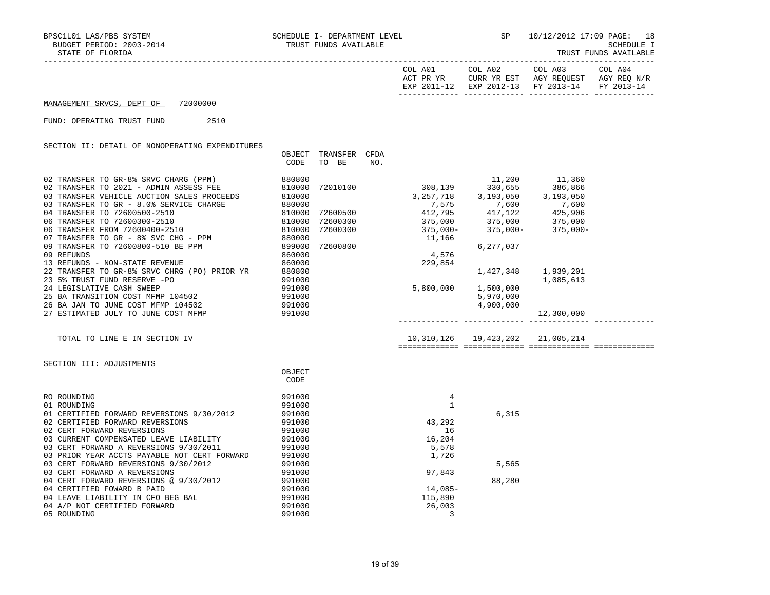| COL A01<br>ACT PR YR | COL A02 | COL A03<br>CURR YR EST AGY REOUEST AGY REO N/R | COL A04 |
|----------------------|---------|------------------------------------------------|---------|
|                      |         | EXP 2011-12 EXP 2012-13 FY 2013-14 FY 2013-14  |         |
|                      |         |                                                |         |

## MANAGEMENT SRVCS, DEPT OF 72000000

FUND: OPERATING TRUST FUND 2510

SECTION II: DETAIL OF NONOPERATING EXPENDITURES

|                                                                                                                  | OBJECT<br>CODE             | TRANSFER<br>TO BE | CFDA<br>NO. |                                                                                                                                                                                                                                                                  |           |            |  |
|------------------------------------------------------------------------------------------------------------------|----------------------------|-------------------|-------------|------------------------------------------------------------------------------------------------------------------------------------------------------------------------------------------------------------------------------------------------------------------|-----------|------------|--|
|                                                                                                                  |                            |                   |             |                                                                                                                                                                                                                                                                  |           |            |  |
|                                                                                                                  |                            |                   |             |                                                                                                                                                                                                                                                                  |           |            |  |
|                                                                                                                  |                            |                   |             |                                                                                                                                                                                                                                                                  |           |            |  |
|                                                                                                                  |                            |                   |             |                                                                                                                                                                                                                                                                  |           |            |  |
|                                                                                                                  |                            |                   |             |                                                                                                                                                                                                                                                                  |           |            |  |
|                                                                                                                  |                            |                   |             |                                                                                                                                                                                                                                                                  |           |            |  |
|                                                                                                                  |                            |                   |             |                                                                                                                                                                                                                                                                  |           |            |  |
|                                                                                                                  |                            |                   |             |                                                                                                                                                                                                                                                                  |           |            |  |
|                                                                                                                  |                            |                   |             |                                                                                                                                                                                                                                                                  |           |            |  |
|                                                                                                                  |                            |                   |             |                                                                                                                                                                                                                                                                  |           |            |  |
|                                                                                                                  |                            |                   |             |                                                                                                                                                                                                                                                                  |           |            |  |
| 13 REFUNDS - NON-STATE REVENUE                                                                                   | 860000                     |                   |             |                                                                                                                                                                                                                                                                  |           |            |  |
| 22 TRANSFER TO GR-8% SRVC CHRG (PO) PRIOR YR                                                                     | 880800                     |                   |             | $\begin{array}{cccc} 72600300 & 412,795 & 417,122 & 425,906 \\ 72600300 & 375,000 & 375,000 & 375,000 \\ 72600300 & 375,000- & 375,000- & 375,000- \\ 11,166 & 6,277,037 \\ 229,854 & 1,427,348 & 1,939,201 \\ 5,800,000 & 1,500,000 & 1,085,613 \\ \end{array}$ |           |            |  |
| 23 5% TRUST FUND RESERVE -PO<br>24 LEGISLATIVE CASH SWEEP<br>25 BA TRANSITION COST MFMP 104502                   | 991000                     |                   |             |                                                                                                                                                                                                                                                                  |           |            |  |
|                                                                                                                  | 991000<br>991000<br>991000 |                   |             |                                                                                                                                                                                                                                                                  |           |            |  |
|                                                                                                                  |                            |                   |             |                                                                                                                                                                                                                                                                  | 5,970,000 |            |  |
| 26 BA JAN TO JUNE COST MFMP 104502 991000                                                                        |                            |                   |             |                                                                                                                                                                                                                                                                  | 4,900,000 |            |  |
| 27 ESTIMATED JULY TO JUNE COST MFMP 991000                                                                       |                            |                   |             |                                                                                                                                                                                                                                                                  |           | 12,300,000 |  |
|                                                                                                                  |                            |                   |             |                                                                                                                                                                                                                                                                  |           |            |  |
| TOTAL TO LINE E IN SECTION IV                                                                                    |                            |                   |             | 10,310,126  19,423,202  21,005,214                                                                                                                                                                                                                               |           |            |  |
|                                                                                                                  |                            |                   |             |                                                                                                                                                                                                                                                                  |           |            |  |
|                                                                                                                  |                            |                   |             |                                                                                                                                                                                                                                                                  |           |            |  |
| SECTION III: ADJUSTMENTS                                                                                         |                            |                   |             |                                                                                                                                                                                                                                                                  |           |            |  |
|                                                                                                                  | OBJECT                     |                   |             |                                                                                                                                                                                                                                                                  |           |            |  |
|                                                                                                                  | CODE                       |                   |             |                                                                                                                                                                                                                                                                  |           |            |  |
| RO ROUNDING                                                                                                      | 991000                     |                   |             | 4                                                                                                                                                                                                                                                                |           |            |  |
| 01 ROUNDING                                                                                                      | 991000                     |                   |             | $\mathbf{1}$                                                                                                                                                                                                                                                     |           |            |  |
| 01 CERTIFIED FORWARD REVERSIONS 9/30/2012                                                                        | 991000                     |                   |             |                                                                                                                                                                                                                                                                  | 6,315     |            |  |
| 02 CERTIFIED FORWARD REVERSIONS                                                                                  | 991000<br>991000           |                   |             | $\begin{array}{c} 1 \\ 43,292 \end{array}$                                                                                                                                                                                                                       |           |            |  |
| 02 CERT FORWARD REVERSIONS                                                                                       | 991000                     |                   |             | 16                                                                                                                                                                                                                                                               |           |            |  |
| 03 CURRENT COMPENSATED LEAVE LIABILITY                                                                           | 991000                     |                   |             | 16,204                                                                                                                                                                                                                                                           |           |            |  |
| 03 CERT FORWARD A REVERSIONS 9/30/2011                                                                           | 991000                     |                   |             | 5,578                                                                                                                                                                                                                                                            |           |            |  |
| 03 PRIOR YEAR ACCTS PAYABLE NOT CERT FORWARD                                                                     |                            |                   |             |                                                                                                                                                                                                                                                                  |           |            |  |
|                                                                                                                  |                            |                   |             |                                                                                                                                                                                                                                                                  | 5,565     |            |  |
| 03 PRIOR YEAR ACCTS PAYABLE NOT USING SUITE 391000<br>03 CERT FORWARD REVERSIONS 9/30/2012<br>291000             |                            |                   |             | 1,726<br>97,843                                                                                                                                                                                                                                                  |           |            |  |
| 03 CERT FORWARD A REVERSIONS<br>03 CERT FORWARD A REVERSIONS<br>04 CERT FORWARD REVERSIONS @ 9/30/2012<br>991000 |                            |                   |             |                                                                                                                                                                                                                                                                  | 88,280    |            |  |
| 04 CERTIFIED FOWARD B PAID                                                                                       | 991000<br>991000           |                   |             | $14,085-$                                                                                                                                                                                                                                                        |           |            |  |
| 04 LEAVE LIABILITY IN CFO BEG BAL                                                                                |                            |                   |             | 115,890                                                                                                                                                                                                                                                          |           |            |  |
| 04 A/P NOT CERTIFIED FORWARD                                                                                     |                            |                   |             |                                                                                                                                                                                                                                                                  |           |            |  |
|                                                                                                                  | 991000<br>991000           |                   |             | 26,003                                                                                                                                                                                                                                                           |           |            |  |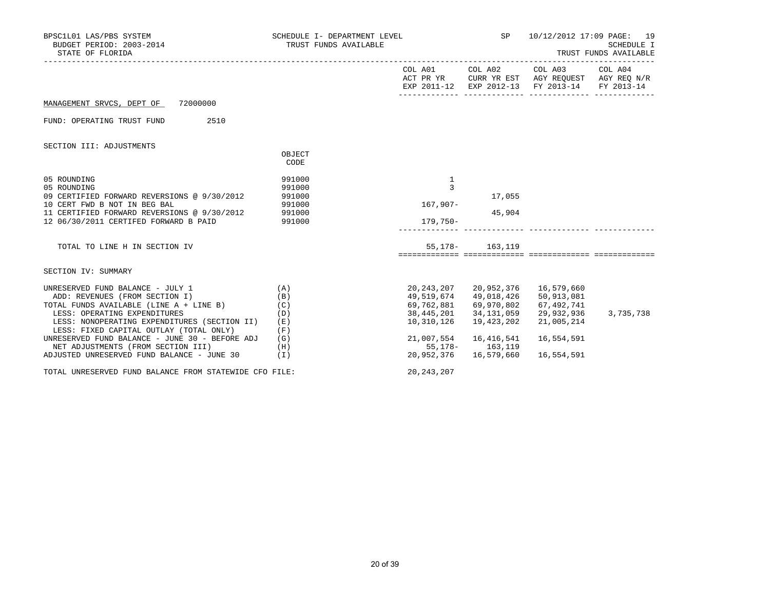| BPSC1L01 LAS/PBS SYSTEM<br>BUDGET PERIOD: 2003-2014<br>STATE OF FLORIDA | SCHEDULE I- DEPARTMENT LEVEL<br>TRUST FUNDS AVAILABLE |                                  | <b>SP</b>                              | 10/12/2012 17:09 PAGE: 19                                                                                                                              | <b>SCHEDULE I</b><br>TRUST FUNDS AVAILABLE |
|-------------------------------------------------------------------------|-------------------------------------------------------|----------------------------------|----------------------------------------|--------------------------------------------------------------------------------------------------------------------------------------------------------|--------------------------------------------|
|                                                                         |                                                       |                                  |                                        | COL A01 COL A02 COL A03 COL A04<br>ACT PR YR $\,$ CURR YR EST $\,$ AGY REQUEST $\,$ AGY REQ $\rm N/R$<br>EXP 2011-12 EXP 2012-13 FY 2013-14 FY 2013-14 |                                            |
| MANAGEMENT SRVCS, DEPT OF 72000000                                      |                                                       |                                  |                                        |                                                                                                                                                        |                                            |
| 2510<br>FUND: OPERATING TRUST FUND                                      |                                                       |                                  |                                        |                                                                                                                                                        |                                            |
| SECTION III: ADJUSTMENTS                                                |                                                       |                                  |                                        |                                                                                                                                                        |                                            |
|                                                                         | OBJECT<br>CODE                                        |                                  |                                        |                                                                                                                                                        |                                            |
| 05 ROUNDING<br>05 ROUNDING                                              | 991000<br>991000                                      | 1<br>3                           |                                        |                                                                                                                                                        |                                            |
| 09 CERTIFIED FORWARD REVERSIONS @ 9/30/2012                             | 991000                                                |                                  | 17,055                                 |                                                                                                                                                        |                                            |
| 10 CERT FWD B NOT IN BEG BAL                                            | 991000                                                | 167,907-                         |                                        |                                                                                                                                                        |                                            |
| 11 CERTIFIED FORWARD REVERSIONS @ 9/30/2012                             | 991000                                                |                                  | 45,904                                 |                                                                                                                                                        |                                            |
| 12 06/30/2011 CERTIFED FORWARD B PAID                                   | 991000                                                | 179,750-                         |                                        |                                                                                                                                                        |                                            |
| TOTAL TO LINE H IN SECTION IV                                           |                                                       |                                  | 55, 178 - 163, 119                     |                                                                                                                                                        |                                            |
|                                                                         |                                                       |                                  |                                        |                                                                                                                                                        |                                            |
| SECTION IV: SUMMARY                                                     |                                                       |                                  |                                        |                                                                                                                                                        |                                            |
| UNRESERVED FUND BALANCE - JULY 1                                        | (A)                                                   |                                  | 20, 243, 207 20, 952, 376 16, 579, 660 |                                                                                                                                                        |                                            |
| ADD: REVENUES (FROM SECTION I)                                          | (B)                                                   | 49,519,674 49,018,426            |                                        | 50,913,081                                                                                                                                             |                                            |
| TOTAL FUNDS AVAILABLE (LINE A + LINE B) (C)                             |                                                       | 69,762,881 69,970,802 67,492,741 |                                        |                                                                                                                                                        |                                            |
| LESS: OPERATING EXPENDITURES                                            | (D)                                                   |                                  | 38,445,201 34,131,059                  | 29,932,936                                                                                                                                             | 3,735,738                                  |
| LESS: NONOPERATING EXPENDITURES (SECTION II)                            | (E)                                                   | 10,310,126                       | 19,423,202                             | 21,005,214                                                                                                                                             |                                            |
| LESS: FIXED CAPITAL OUTLAY (TOTAL ONLY)                                 | (F)                                                   |                                  |                                        |                                                                                                                                                        |                                            |
| UNRESERVED FUND BALANCE - JUNE 30 - BEFORE ADJ                          | (G)                                                   |                                  | 21,007,554 16,416,541                  | 16,554,591                                                                                                                                             |                                            |
| NET ADJUSTMENTS (FROM SECTION III)                                      | (H)                                                   |                                  | 55, 178 - 163, 119                     |                                                                                                                                                        |                                            |
| ADJUSTED UNRESERVED FUND BALANCE - JUNE 30 (I)                          |                                                       |                                  | 20,952,376 16,579,660                  | 16,554,591                                                                                                                                             |                                            |
| TOTAL UNRESERVED FUND BALANCE FROM STATEWIDE CFO FILE:                  |                                                       | 20, 243, 207                     |                                        |                                                                                                                                                        |                                            |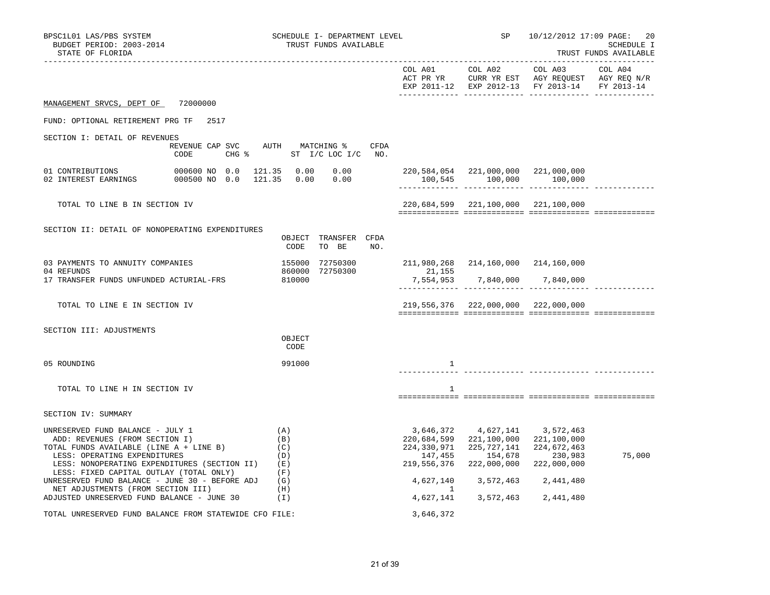| BPSC1L01 LAS/PBS SYSTEM<br>BUDGET PERIOD: 2003-2014<br>STATE OF FLORIDA                                                                                                                                                                  | SCHEDULE I- DEPARTMENT LEVEL<br>TRUST FUNDS AVAILABLE |                                                                   |                                                                                         | SP 10/12/2012 17:09 PAGE:<br>20<br>SCHEDULE I<br>TRUST FUNDS AVAILABLE |        |
|------------------------------------------------------------------------------------------------------------------------------------------------------------------------------------------------------------------------------------------|-------------------------------------------------------|-------------------------------------------------------------------|-----------------------------------------------------------------------------------------|------------------------------------------------------------------------|--------|
|                                                                                                                                                                                                                                          |                                                       |                                                                   |                                                                                         | EXP 2011-12 EXP 2012-13 FY 2013-14 FY 2013-14                          |        |
| MANAGEMENT SRVCS, DEPT OF 72000000                                                                                                                                                                                                       |                                                       |                                                                   |                                                                                         |                                                                        |        |
| FUND: OPTIONAL RETIREMENT PRG TF 2517                                                                                                                                                                                                    |                                                       |                                                                   |                                                                                         |                                                                        |        |
| SECTION I: DETAIL OF REVENUES<br>REVENUE CAP SVC AUTH MATCHING %<br>CODE                                                                                                                                                                 | CFDA<br>CHG % ST I/C LOC I/C NO.                      |                                                                   |                                                                                         |                                                                        |        |
| 000500 NO 0.0 121.35 0.00 0.00<br>02 INTEREST EARNINGS                                                                                                                                                                                   |                                                       |                                                                   | 100,545 100,000 100,000                                                                 |                                                                        |        |
| TOTAL TO LINE B IN SECTION IV                                                                                                                                                                                                            |                                                       |                                                                   | 220,684,599 221,100,000 221,100,000                                                     |                                                                        |        |
| SECTION II: DETAIL OF NONOPERATING EXPENDITURES                                                                                                                                                                                          | OBJECT TRANSFER CFDA<br>CODE<br>TO BE<br>NO.          |                                                                   |                                                                                         |                                                                        |        |
| 03 PAYMENTS TO ANNUITY COMPANIES<br>04 REFUNDS                                                                                                                                                                                           | 155000 72750300<br>860000 72750300                    | 211,980,268 214,160,000 214,160,000<br>21,155                     |                                                                                         |                                                                        |        |
| 17 TRANSFER FUNDS UNFUNDED ACTURIAL-FRS                                                                                                                                                                                                  | 810000                                                |                                                                   | 7,554,953 7,840,000 7,840,000                                                           |                                                                        |        |
| TOTAL TO LINE E IN SECTION IV                                                                                                                                                                                                            |                                                       |                                                                   | 219,556,376 222,000,000 222,000,000                                                     |                                                                        |        |
| SECTION III: ADJUSTMENTS                                                                                                                                                                                                                 | OBJECT<br>CODE                                        |                                                                   |                                                                                         |                                                                        |        |
| 05 ROUNDING                                                                                                                                                                                                                              | 991000                                                | 1                                                                 |                                                                                         |                                                                        |        |
| TOTAL TO LINE H IN SECTION IV                                                                                                                                                                                                            |                                                       | 1                                                                 |                                                                                         |                                                                        |        |
| SECTION IV: SUMMARY                                                                                                                                                                                                                      |                                                       |                                                                   |                                                                                         |                                                                        |        |
| UNRESERVED FUND BALANCE - JULY 1<br>ADD: REVENUES (FROM SECTION I)<br>TOTAL FUNDS AVAILABLE (LINE A + LINE B)<br>LESS: OPERATING EXPENDITURES<br>LESS: NONOPERATING EXPENDITURES (SECTION II)<br>LESS: FIXED CAPITAL OUTLAY (TOTAL ONLY) | (A)<br>(B)<br>(C)<br>(D)<br>(E)<br>(F)                | 3,646,372<br>220,684,599<br>224,330,971<br>147,455<br>219,556,376 | 4,627,141 3,572,463<br>221,100,000<br>225,727,141<br>154,678<br>222,000,000 222,000,000 | 221,100,000<br>224,672,463<br>230,983                                  | 75,000 |
| UNRESERVED FUND BALANCE - JUNE 30 - BEFORE ADJ<br>NET ADJUSTMENTS (FROM SECTION III)                                                                                                                                                     | (G)<br>(H)                                            | 4,627,140                                                         | 3,572,463                                                                               | 2,441,480                                                              |        |
| ADJUSTED UNRESERVED FUND BALANCE - JUNE 30                                                                                                                                                                                               | (1)                                                   |                                                                   | 4,627,141 3,572,463 2,441,480                                                           |                                                                        |        |
| TOTAL UNRESERVED FUND BALANCE FROM STATEWIDE CFO FILE:                                                                                                                                                                                   |                                                       | 3,646,372                                                         |                                                                                         |                                                                        |        |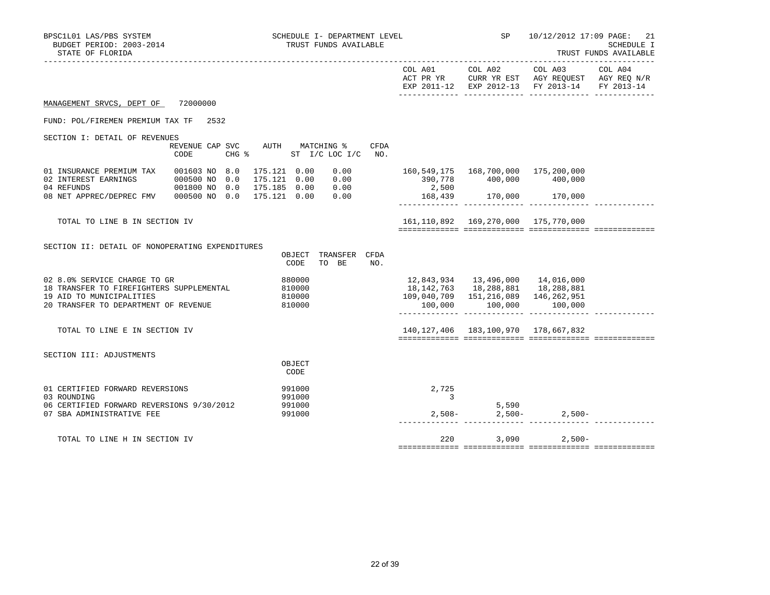| BPSC1L01 LAS/PBS SYSTEM<br>BUDGET PERIOD: 2003-2014<br>STATE OF FLORIDA                                                                                                                                     | SCHEDULE I- DEPARTMENT LEVEL<br>TRUST FUNDS AVAILABLE       |                                      |              | SP                                   | 10/12/2012 17:09 PAGE: 21<br>SCHEDULE I<br>TRUST FUNDS AVAILABLE                  |                                                                                                                                   |  |
|-------------------------------------------------------------------------------------------------------------------------------------------------------------------------------------------------------------|-------------------------------------------------------------|--------------------------------------|--------------|--------------------------------------|-----------------------------------------------------------------------------------|-----------------------------------------------------------------------------------------------------------------------------------|--|
|                                                                                                                                                                                                             |                                                             |                                      |              |                                      |                                                                                   | COL A01 COL A02 COL A03 COL A04<br>ACT PR YR CURR YR EST AGY REQUEST AGY REQ N/R<br>EXP 2011-12 EXP 2012-13 FY 2013-14 FY 2013-14 |  |
| MANAGEMENT SRVCS, DEPT OF 72000000                                                                                                                                                                          |                                                             |                                      |              |                                      |                                                                                   |                                                                                                                                   |  |
| FUND: POL/FIREMEN PREMIUM TAX TF 2532                                                                                                                                                                       |                                                             |                                      |              |                                      |                                                                                   |                                                                                                                                   |  |
| SECTION I: DETAIL OF REVENUES<br>CODE                                                                                                                                                                       | REVENUE CAP SVC AUTH MATCHING %<br>CHG % ST I/C LOC I/C NO. |                                      | <b>CFDA</b>  |                                      |                                                                                   |                                                                                                                                   |  |
| 01 INSURANCE PREMIUM TAX 001603 NO 8.0<br>02 INTEREST EARNINGS<br>000500 NO 0.0 175.121 0.00 0.00<br>04 REFUNDS 001800 NO 0.0 175.185 0.00 0.00<br>08 NET APPREC/DEPREC FMV 000500 NO 0.0 175.121 0.00 0.00 | 175.121 0.00                                                |                                      | 0.00         | 390,778 400,000 400,000<br>2,500     | 160,549,175 168,700,000 175,200,000                                               |                                                                                                                                   |  |
|                                                                                                                                                                                                             |                                                             |                                      |              |                                      |                                                                                   |                                                                                                                                   |  |
| TOTAL TO LINE B IN SECTION IV                                                                                                                                                                               |                                                             |                                      |              |                                      | 161,110,892  169,270,000  175,770,000                                             |                                                                                                                                   |  |
| SECTION II: DETAIL OF NONOPERATING EXPENDITURES                                                                                                                                                             |                                                             | OBJECT TRANSFER CFDA<br>CODE         | TO BE<br>NO. |                                      |                                                                                   |                                                                                                                                   |  |
| 02 8.0% SERVICE CHARGE TO GR<br>18 TRANSFER TO FIREFIGHTERS SUPPLEMENTAL<br>19 AID TO MUNICIPALITIES<br>20 TRANSFER TO DEPARTMENT OF REVENUE                                                                |                                                             | 880000<br>810000<br>810000<br>810000 |              | 12,843,934   13,496,000   14,016,000 | 18, 142, 763   18, 288, 881   18, 288, 881<br>109,040,709 151,216,089 146,262,951 | $100,000$ $100,000$ $100,000$ $100,000$                                                                                           |  |
| TOTAL TO LINE E IN SECTION IV                                                                                                                                                                               |                                                             |                                      |              |                                      | 140, 127, 406  183, 100, 970  178, 667, 832                                       |                                                                                                                                   |  |
| SECTION III: ADJUSTMENTS                                                                                                                                                                                    |                                                             | OBJECT<br>CODE                       |              |                                      |                                                                                   |                                                                                                                                   |  |
| 01 CERTIFIED FORWARD REVERSIONS<br>03 ROUNDING<br>06 CERTIFIED FORWARD REVERSIONS 9/30/2012<br>07 SBA ADMINISTRATIVE FEE                                                                                    |                                                             | 991000<br>991000<br>991000<br>991000 |              | 2,725<br>$\frac{3}{2}$               |                                                                                   | $\begin{array}{cccc} 5,590 \\ 2,508 - & 2,500 - & 2,500 - \end{array}$                                                            |  |
| TOTAL TO LINE H IN SECTION IV                                                                                                                                                                               |                                                             |                                      |              |                                      |                                                                                   | 220 3,090 2,500-                                                                                                                  |  |
|                                                                                                                                                                                                             |                                                             |                                      |              |                                      |                                                                                   |                                                                                                                                   |  |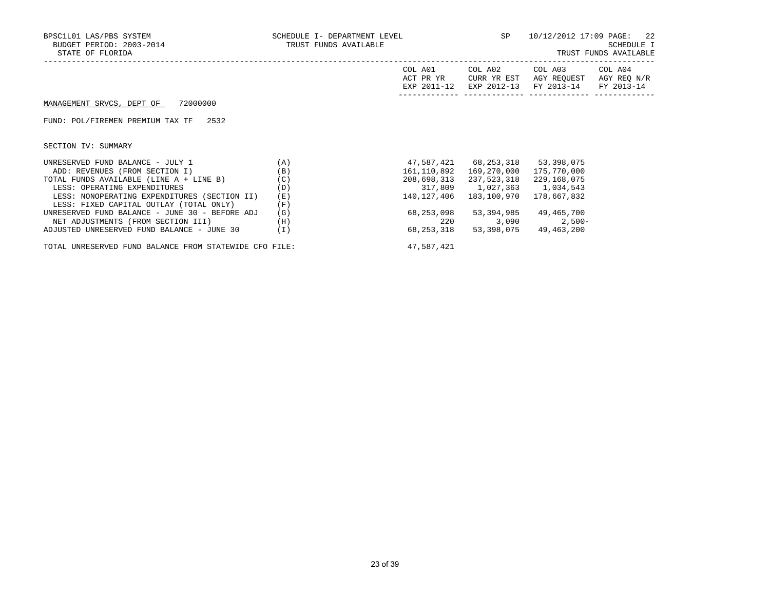| BPSC1L01 LAS/PBS SYSTEM<br>BUDGET PERIOD: 2003-2014<br>STATE OF FLORIDA | SCHEDULE I- DEPARTMENT LEVEL $SP$ 10/12/2012 17:09 PAGE: 22<br>TRUST FUNDS AVAILABLE |                                     |                                             |                                                                                         | SCHEDULE I<br>TRUST FUNDS AVAILABLE |
|-------------------------------------------------------------------------|--------------------------------------------------------------------------------------|-------------------------------------|---------------------------------------------|-----------------------------------------------------------------------------------------|-------------------------------------|
|                                                                         |                                                                                      | COL A01<br>ACT PR YR<br>EXP 2011-12 | CURR YR EST                                 | COL A02 COL A03 COL A04<br>AGY REOUEST AGY REO N/R<br>EXP 2012-13 FY 2013-14 FY 2013-14 |                                     |
| MANAGEMENT SRVCS, DEPT OF 72000000                                      |                                                                                      |                                     |                                             |                                                                                         |                                     |
| FUND: POL/FIREMEN PREMIUM TAX TF 2532                                   |                                                                                      |                                     |                                             |                                                                                         |                                     |
| SECTION IV: SUMMARY                                                     |                                                                                      |                                     |                                             |                                                                                         |                                     |
| (A)<br>UNRESERVED FUND BALANCE - JULY 1                                 |                                                                                      |                                     | 47,587,421 68,253,318 53,398,075            |                                                                                         |                                     |
| ADD: REVENUES (FROM SECTION I)                                          | (B)                                                                                  | 161,110,892                         | 169,270,000                                 | 175,770,000                                                                             |                                     |
| TOTAL FUNDS AVAILABLE (LINE A + LINE B) (C)                             |                                                                                      |                                     | 208,698,313 237,523,318 229,168,075         |                                                                                         |                                     |
| LESS: OPERATING EXPENDITURES                                            | (D)                                                                                  |                                     | 317,809 1,027,363 1,034,543                 |                                                                                         |                                     |
| LESS: NONOPERATING EXPENDITURES (SECTION II)                            | (E)                                                                                  |                                     | 140, 127, 406  183, 100, 970  178, 667, 832 |                                                                                         |                                     |
| LESS: FIXED CAPITAL OUTLAY (TOTAL ONLY)                                 | (F)                                                                                  |                                     |                                             |                                                                                         |                                     |
| UNRESERVED FUND BALANCE - JUNE 30 - BEFORE ADJ                          | (G)                                                                                  |                                     | 68,253,098 53,394,985 49,465,700            |                                                                                         |                                     |
| NET ADJUSTMENTS (FROM SECTION III)                                      | (H)                                                                                  | 220                                 |                                             | $3,090$ 2,500-                                                                          |                                     |
| ADJUSTED UNRESERVED FUND BALANCE - JUNE 30                              | (I)                                                                                  | 68,253,318                          |                                             | 53, 398, 075 49, 463, 200                                                               |                                     |

TOTAL UNRESERVED FUND BALANCE FROM STATEWIDE CFO FILE:  $47,587,421$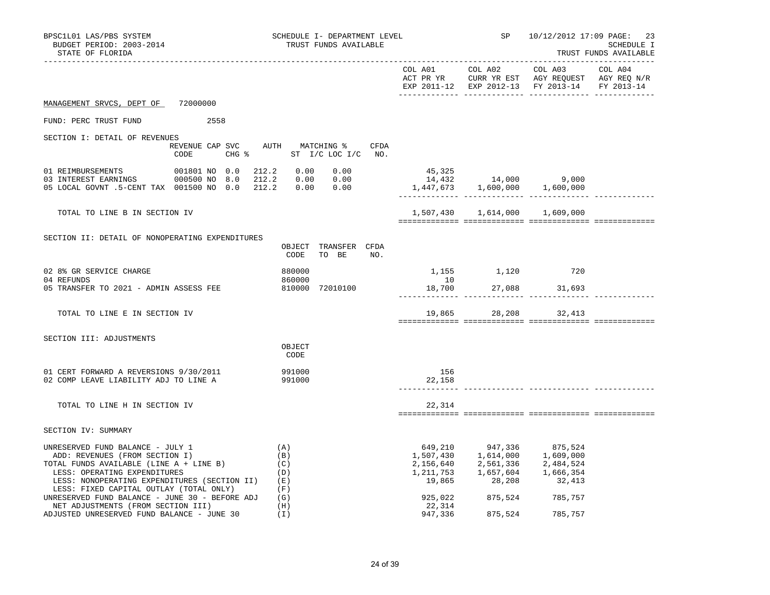| BPSC1L01 LAS/PBS SYSTEM<br>BUDGET PERIOD: 2003-2014<br>STATE OF FLORIDA                                                                                                                                                                                                                              |                                         | SCHEDULE I- DEPARTMENT LEVEL<br>TRUST FUNDS AVAILABLE |                                                                                  |                               | SP 10/12/2012 17:09 PAGE:                                                                                                                                                                                                        | 23<br>SCHEDULE I<br>TRUST FUNDS AVAILABLE |
|------------------------------------------------------------------------------------------------------------------------------------------------------------------------------------------------------------------------------------------------------------------------------------------------------|-----------------------------------------|-------------------------------------------------------|----------------------------------------------------------------------------------|-------------------------------|----------------------------------------------------------------------------------------------------------------------------------------------------------------------------------------------------------------------------------|-------------------------------------------|
|                                                                                                                                                                                                                                                                                                      |                                         |                                                       |                                                                                  |                               | EXP 2011-12 EXP 2012-13 FY 2013-14 FY 2013-14                                                                                                                                                                                    |                                           |
| MANAGEMENT SRVCS, DEPT OF 72000000                                                                                                                                                                                                                                                                   |                                         |                                                       |                                                                                  |                               |                                                                                                                                                                                                                                  |                                           |
| FUND: PERC TRUST FUND                                                                                                                                                                                                                                                                                | 2558                                    |                                                       |                                                                                  |                               |                                                                                                                                                                                                                                  |                                           |
| SECTION I: DETAIL OF REVENUES                                                                                                                                                                                                                                                                        | REVENUE CAP SVC AUTH MATCHING %<br>CODE | CFDA<br>CHG % ST I/C LOC I/C NO.                      |                                                                                  |                               |                                                                                                                                                                                                                                  |                                           |
| 05 LOCAL GOVNT .5-CENT TAX 001500 NO 0.0 212.2 0.00 0.00                                                                                                                                                                                                                                             |                                         |                                                       | $45,325$<br>$14,432$<br>$1,447,673$<br>$1,600,000$<br>$1,600,000$<br>$1,600,000$ |                               |                                                                                                                                                                                                                                  |                                           |
| TOTAL TO LINE B IN SECTION IV                                                                                                                                                                                                                                                                        |                                         |                                                       |                                                                                  | 1,507,430 1,614,000 1,609,000 |                                                                                                                                                                                                                                  |                                           |
| SECTION II: DETAIL OF NONOPERATING EXPENDITURES                                                                                                                                                                                                                                                      |                                         | OBJECT TRANSFER CFDA<br>CODE<br>TO BE<br>NO.          |                                                                                  |                               |                                                                                                                                                                                                                                  |                                           |
| 02 8% GR SERVICE CHARGE<br>04 REFUNDS<br>05 TRANSFER TO 2021 - ADMIN ASSESS FEE                                                                                                                                                                                                                      |                                         | 880000<br>860000<br>810000 72010100                   | 10                                                                               | 1,155 1,120 720               | 18,700 27,088 31,693                                                                                                                                                                                                             |                                           |
| TOTAL TO LINE E IN SECTION IV                                                                                                                                                                                                                                                                        |                                         |                                                       |                                                                                  |                               | 19,865 28,208 32,413                                                                                                                                                                                                             |                                           |
| SECTION III: ADJUSTMENTS                                                                                                                                                                                                                                                                             |                                         | OBJECT<br>CODE                                        |                                                                                  |                               |                                                                                                                                                                                                                                  |                                           |
| 01 CERT FORWARD A REVERSIONS 9/30/2011<br>02 COMP LEAVE LIABILITY ADJ TO LINE A                                                                                                                                                                                                                      |                                         | 991000<br>991000                                      | 156<br>22,158                                                                    |                               |                                                                                                                                                                                                                                  |                                           |
| TOTAL TO LINE H IN SECTION IV                                                                                                                                                                                                                                                                        |                                         |                                                       | 22,314                                                                           |                               |                                                                                                                                                                                                                                  |                                           |
| SECTION IV: SUMMARY                                                                                                                                                                                                                                                                                  |                                         |                                                       |                                                                                  |                               |                                                                                                                                                                                                                                  |                                           |
| UNRESERVED FUND BALANCE - JULY 1<br>ADD: REVENUES (FROM SECTION I)<br>TOTAL FUNDS AVAILABLE (LINE A + LINE B)<br>LESS: OPERATING EXPENDITURES<br>LESS: NONOPERATING EXPENDITURES (SECTION II) (E)<br>LESS: FIXED CAPITAL OUTLAY (TOTAL ONLY)<br>UNRESERVED FUND BALANCE - JUNE $30$ - BEFORE ADJ (G) |                                         | (A)<br>(B)<br>(C)<br>(D)<br>(F)                       | 925,022                                                                          | 875,524 785,757               | $\begin{array}{cccc} 649, 210 & 947, 336 & 875, 524 \\ 1, 507, 430 & 1, 614, 000 & 1, 609, 000 \\ 2, 156, 640 & 2, 561, 336 & 2, 484, 524 \\ 1, 211, 753 & 1, 657, 604 & 1, 666, 354 \\ 19, 865 & 28, 208 & 32, 413 \end{array}$ |                                           |
| NET ADJUSTMENTS (FROM SECTION III)<br>ADJUSTED UNRESERVED FUND BALANCE - JUNE 30                                                                                                                                                                                                                     |                                         | (H)<br>(I)                                            | 22,314<br>947,336                                                                | 875,524                       | 785,757                                                                                                                                                                                                                          |                                           |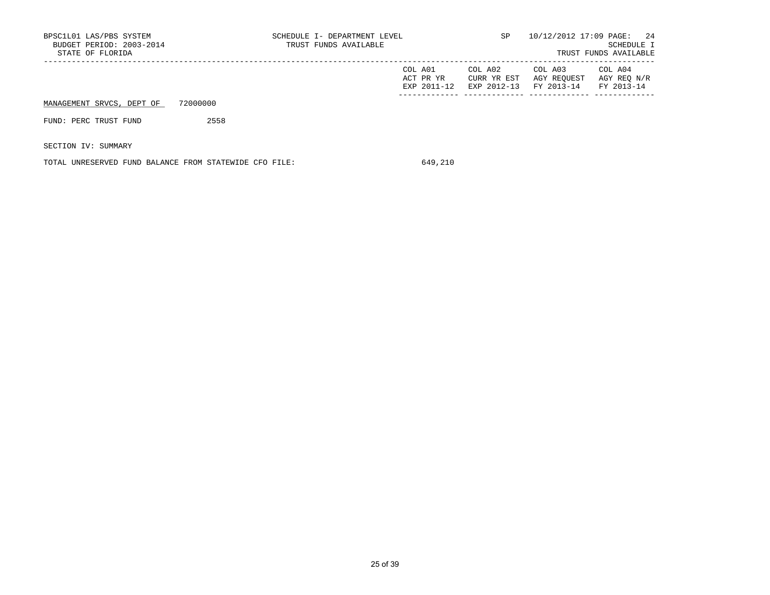| BPSC1L01 LAS/PBS SYSTEM<br>BUDGET PERIOD: 2003-2014<br>STATE OF FLORIDA |          | SCHEDULE I- DEPARTMENT LEVEL<br>TRUST FUNDS AVAILABLE |                                     | SP                                    |                                      | 10/12/2012 17:09 PAGE: 24<br>SCHEDULE I<br>TRUST FUNDS AVAILABLE |
|-------------------------------------------------------------------------|----------|-------------------------------------------------------|-------------------------------------|---------------------------------------|--------------------------------------|------------------------------------------------------------------|
|                                                                         |          |                                                       | COL A01<br>ACT PR YR<br>EXP 2011-12 | COL A02<br>CURR YR EST<br>EXP 2012-13 | COL A03<br>AGY REOUEST<br>FY 2013-14 | COL A04<br>AGY REO N/R<br>FY 2013-14                             |
| MANAGEMENT SRVCS, DEPT OF                                               | 72000000 |                                                       |                                     |                                       |                                      |                                                                  |
| FUND: PERC TRUST FUND                                                   | 2558     |                                                       |                                     |                                       |                                      |                                                                  |
| SECTION IV: SUMMARY                                                     |          |                                                       |                                     |                                       |                                      |                                                                  |

TOTAL UNRESERVED FUND BALANCE FROM STATEWIDE CFO FILE: 649,210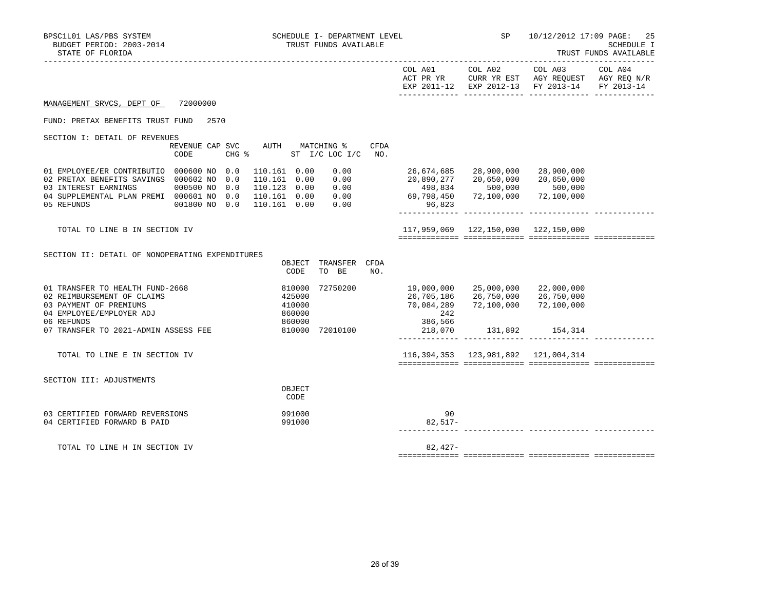| BPSC1L01 LAS/PBS SYSTEM<br>BUDGET PERIOD: 2003-2014<br>STATE OF FLORIDA                                                                                                |                                                | SCHEDULE I- DEPARTMENT LEVEL<br>TRUST FUNDS AVAILABLE                                                                | <b>SP</b> SP                                                             |                                                   | 10/12/2012 17:09 PAGE: 25                                                                                         | <b>SCHEDULE I</b><br>TRUST FUNDS AVAILABLE |  |
|------------------------------------------------------------------------------------------------------------------------------------------------------------------------|------------------------------------------------|----------------------------------------------------------------------------------------------------------------------|--------------------------------------------------------------------------|---------------------------------------------------|-------------------------------------------------------------------------------------------------------------------|--------------------------------------------|--|
|                                                                                                                                                                        |                                                |                                                                                                                      |                                                                          | COL A01 COL A02                                   | COL A03 COL A04<br>ACT PR YR CURR YR EST AGY REQUEST AGY REQ N/R<br>EXP 2011-12 EXP 2012-13 FY 2013-14 FY 2013-14 |                                            |  |
| MANAGEMENT SRVCS, DEPT OF                                                                                                                                              | 72000000                                       |                                                                                                                      |                                                                          |                                                   |                                                                                                                   |                                            |  |
| FUND: PRETAX BENEFITS TRUST FUND                                                                                                                                       | 2570                                           |                                                                                                                      |                                                                          |                                                   |                                                                                                                   |                                            |  |
| SECTION I: DETAIL OF REVENUES                                                                                                                                          | REVENUE CAP SVC<br>CODE<br>$CHG$ $\frac{1}{6}$ | AUTH MATCHING %<br><b>CFDA</b><br>ST I/C LOC I/C<br>NO <sub>z</sub>                                                  |                                                                          |                                                   |                                                                                                                   |                                            |  |
| 01 EMPLOYEE/ER CONTRIBUTIO 000600 NO 0.0<br>02 PRETAX BENEFITS SAVINGS 000602 NO 0.0<br>03 INTEREST EARNINGS<br>04 SUPPLEMENTAL PLAN PREMI 000601 NO 0.0<br>05 REFUNDS | 000500 NO 0.0<br>001800 NO 0.0                 | 110.161 0.00<br>0.00<br>0.00<br>110.161 0.00<br>0.00<br>110.123 0.00<br>0.00<br>110.161 0.00<br>0.00<br>110.161 0.00 | 26,674,685<br>20,890,277<br>498,834<br>834, 898<br>69, 798, 69<br>96,823 | 28,900,000<br>20,650,000<br>500,000<br>72,100,000 | 28,900,000<br>20,650,000<br>500,000<br>72,100,000                                                                 |                                            |  |
| TOTAL TO LINE B IN SECTION IV                                                                                                                                          |                                                |                                                                                                                      |                                                                          | 117,959,069  122,150,000  122,150,000             |                                                                                                                   |                                            |  |
| SECTION II: DETAIL OF NONOPERATING EXPENDITURES                                                                                                                        |                                                | OBJECT<br>TRANSFER CFDA<br>CODE<br>TO BE<br>NO.                                                                      |                                                                          |                                                   |                                                                                                                   |                                            |  |
| 01 TRANSFER TO HEALTH FUND-2668<br>02 REIMBURSEMENT OF CLAIMS<br>03 PAYMENT OF PREMIUMS<br>04 EMPLOYEE/EMPLOYER ADJ                                                    |                                                | 810000<br>72750200<br>425000<br>410000<br>860000                                                                     | 19,000,000<br>26,705,186<br>70,084,289<br>242                            | 25,000,000<br>26,750,000<br>72,100,000            | 22,000,000<br>26,750,000<br>72,100,000                                                                            |                                            |  |
| 06 REFUNDS<br>07 TRANSFER TO 2021-ADMIN ASSESS FEE                                                                                                                     |                                                | 860000<br>810000 72010100                                                                                            | 386,566<br>218,070                                                       |                                                   | 131,892 154,314                                                                                                   |                                            |  |
| TOTAL TO LINE E IN SECTION IV                                                                                                                                          |                                                |                                                                                                                      |                                                                          |                                                   | 116, 394, 353 123, 981, 892 121, 004, 314                                                                         |                                            |  |
| SECTION III: ADJUSTMENTS                                                                                                                                               |                                                | OBJECT<br>CODE                                                                                                       |                                                                          |                                                   |                                                                                                                   |                                            |  |
| 03 CERTIFIED FORWARD REVERSIONS<br>04 CERTIFIED FORWARD B PAID                                                                                                         |                                                | 991000<br>991000                                                                                                     | 90<br>$82,517-$                                                          |                                                   |                                                                                                                   |                                            |  |
| TOTAL TO LINE H IN SECTION IV                                                                                                                                          |                                                |                                                                                                                      | $82,427-$                                                                |                                                   |                                                                                                                   |                                            |  |
|                                                                                                                                                                        |                                                |                                                                                                                      |                                                                          |                                                   |                                                                                                                   |                                            |  |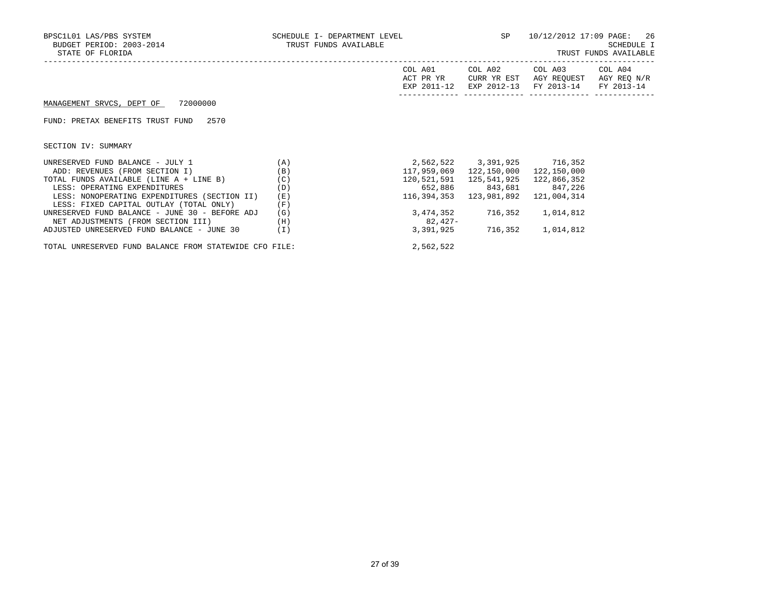| BPSC1L01 LAS/PBS SYSTEM<br>BUDGET PERIOD: 2003-2014<br>STATE OF FLORIDA | SCHEDULE I- DEPARTMENT LEVEL<br>TRUST FUNDS AVAILABLE |                      | <b>SP</b>              | 10/12/2012 17:09 PAGE: 26<br>SCHEDULE I<br>TRUST FUNDS AVAILABLE        |                        |  |
|-------------------------------------------------------------------------|-------------------------------------------------------|----------------------|------------------------|-------------------------------------------------------------------------|------------------------|--|
|                                                                         |                                                       | COL A01<br>ACT PR YR | COL A02<br>CURR YR EST | COL A03<br>AGY REOUEST<br>EXP 2011-12 EXP 2012-13 FY 2013-14 FY 2013-14 | COL A04<br>AGY REQ N/R |  |
| MANAGEMENT SRVCS, DEPT OF 72000000                                      |                                                       |                      |                        |                                                                         |                        |  |
| FUND: PRETAX BENEFITS TRUST FUND<br>2570                                |                                                       |                      |                        |                                                                         |                        |  |
| SECTION IV: SUMMARY                                                     |                                                       |                      |                        |                                                                         |                        |  |
| UNRESERVED FUND BALANCE - JULY 1                                        | (A)                                                   |                      |                        | 2,562,522 3,391,925 716,352                                             |                        |  |
| ADD: REVENUES (FROM SECTION I)                                          | (B)                                                   | 117,959,069          | 122,150,000            | 122,150,000                                                             |                        |  |
| TOTAL FUNDS AVAILABLE (LINE A + LINE B)                                 | (C)                                                   |                      |                        | 122,866,352                                                             |                        |  |
| LESS: OPERATING EXPENDITURES                                            | (D)                                                   |                      |                        | 652,886 843,681 847,226                                                 |                        |  |
| LESS: NONOPERATING EXPENDITURES (SECTION II)                            | (E)                                                   | 116,394,353          | 123,981,892            | 121,004,314                                                             |                        |  |
| LESS: FIXED CAPITAL OUTLAY (TOTAL ONLY)                                 | (F)                                                   |                      |                        |                                                                         |                        |  |
| UNRESERVED FUND BALANCE - JUNE 30 - BEFORE ADJ                          | (G)                                                   |                      |                        | 3,474,352 716,352 1,014,812                                             |                        |  |
| NET ADJUSTMENTS (FROM SECTION III)                                      | (H)                                                   | 82,427-              |                        |                                                                         |                        |  |
| ADJUSTED UNRESERVED FUND BALANCE - JUNE 30                              | (I)                                                   |                      |                        | 3,391,925 716,352 1,014,812                                             |                        |  |
|                                                                         |                                                       |                      |                        |                                                                         |                        |  |

TOTAL UNRESERVED FUND BALANCE FROM STATEWIDE CFO FILE: 2,562,522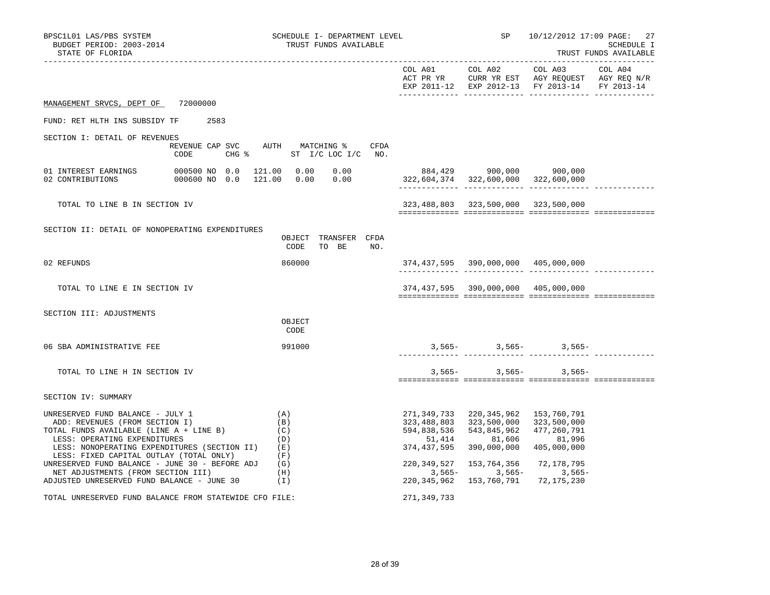| BPSC1L01 LAS/PBS SYSTEM<br>BUDGET PERIOD: 2003-2014<br>STATE OF FLORIDA                                                                                                                                                                           |                                                                          | SCHEDULE I- DEPARTMENT LEVEL<br>TRUST FUNDS AVAILABLE |           |                                                                    |                                                                                                                | SP 10/12/2012 17:09 PAGE:                                                                                         | -27<br>SCHEDULE I<br>TRUST FUNDS AVAILABLE |
|---------------------------------------------------------------------------------------------------------------------------------------------------------------------------------------------------------------------------------------------------|--------------------------------------------------------------------------|-------------------------------------------------------|-----------|--------------------------------------------------------------------|----------------------------------------------------------------------------------------------------------------|-------------------------------------------------------------------------------------------------------------------|--------------------------------------------|
|                                                                                                                                                                                                                                                   |                                                                          |                                                       |           |                                                                    | COL A01 COL A02                                                                                                | COL A03 COL A04<br>ACT PR YR CURR YR EST AGY REQUEST AGY REQ N/R<br>EXP 2011-12 EXP 2012-13 FY 2013-14 FY 2013-14 |                                            |
| MANAGEMENT SRVCS, DEPT OF 72000000                                                                                                                                                                                                                |                                                                          |                                                       |           |                                                                    |                                                                                                                |                                                                                                                   |                                            |
| FUND: RET HLTH INS SUBSIDY TF<br>2583                                                                                                                                                                                                             |                                                                          |                                                       |           |                                                                    |                                                                                                                |                                                                                                                   |                                            |
| SECTION I: DETAIL OF REVENUES                                                                                                                                                                                                                     | REVENUE CAP SVC AUTH MATCHING $\$$ CFDA<br>CODE CHG % ST I/C LOC I/C NO. |                                                       |           |                                                                    |                                                                                                                |                                                                                                                   |                                            |
| $\begin{tabular}{lcccccc} 01 INTEREST EARNING & 000500 N0 & 0.0 & 121.00 & 0.00 & 0.00 & 0.00 & 884,429 & 900,000 & 900,000 \\ 02 CONTRIBUTIONS & 000600 N0 & 0.0 & 121.00 & 0.00 & 0.00 & 322,604,374 & 322,600,000 & 322,600,000 \end{tabular}$ |                                                                          |                                                       |           |                                                                    |                                                                                                                |                                                                                                                   |                                            |
| TOTAL TO LINE B IN SECTION IV                                                                                                                                                                                                                     |                                                                          |                                                       |           |                                                                    | 323,488,803 323,500,000 323,500,000                                                                            |                                                                                                                   |                                            |
| SECTION II: DETAIL OF NONOPERATING EXPENDITURES                                                                                                                                                                                                   |                                                                          | OBJECT TRANSFER CFDA<br>CODE                          | TO BE NO. |                                                                    |                                                                                                                |                                                                                                                   |                                            |
| 02 REFUNDS                                                                                                                                                                                                                                        |                                                                          | 860000                                                |           |                                                                    | 374,437,595 390,000,000 405,000,000                                                                            |                                                                                                                   |                                            |
| TOTAL TO LINE E IN SECTION IV                                                                                                                                                                                                                     |                                                                          |                                                       |           |                                                                    | 374,437,595 390,000,000 405,000,000                                                                            |                                                                                                                   |                                            |
| SECTION III: ADJUSTMENTS                                                                                                                                                                                                                          |                                                                          | OBJECT<br>CODE                                        |           |                                                                    |                                                                                                                |                                                                                                                   |                                            |
| 06 SBA ADMINISTRATIVE FEE                                                                                                                                                                                                                         |                                                                          | 991000                                                |           |                                                                    |                                                                                                                | $3,565 3,565 3,565-$                                                                                              |                                            |
| TOTAL TO LINE H IN SECTION IV                                                                                                                                                                                                                     |                                                                          |                                                       |           |                                                                    |                                                                                                                | $3,565-$ 3,565- 3,565-                                                                                            |                                            |
| SECTION IV: SUMMARY                                                                                                                                                                                                                               |                                                                          |                                                       |           |                                                                    |                                                                                                                |                                                                                                                   |                                            |
| UNRESERVED FUND BALANCE - JULY 1<br>ADD: REVENUES (FROM SECTION I)<br>TOTAL FUNDS AVAILABLE (LINE A + LINE B) (C)<br>LESS: OPERATING EXPENDITURES<br>LESS: NONOPERATING EXPENDITURES (SECTION II)<br>LESS: FIXED CAPITAL OUTLAY (TOTAL ONLY)      | (A)<br>(B)                                                               | (D)<br>(E)<br>(F)                                     |           | 271,349,733<br>323,488,803<br>594,838,536<br>51,414<br>374,437,595 | 220,345,962 153,760,791<br>323,500,000<br>543,845,962<br>81,606<br>390,000,000                                 | 323,500,000<br>477,260,791<br>81,996<br>405,000,000                                                               |                                            |
| UNRESERVED FUND BALANCE - JUNE 30 - BEFORE ADJ $(G)$<br>NET ADJUSTMENTS (FROM SECTION III)<br>ADJUSTED UNRESERVED FUND BALANCE - JUNE 30                                                                                                          | (I)                                                                      | (H)                                                   |           |                                                                    | 220, 349, 527 153, 764, 356 72, 178, 795<br>$3,565-$ 3,565- 3,565-<br>220, 345, 962 153, 760, 791 72, 175, 230 |                                                                                                                   |                                            |
| TOTAL UNRESERVED FUND BALANCE FROM STATEWIDE CFO FILE:                                                                                                                                                                                            |                                                                          |                                                       |           | 271,349,733                                                        |                                                                                                                |                                                                                                                   |                                            |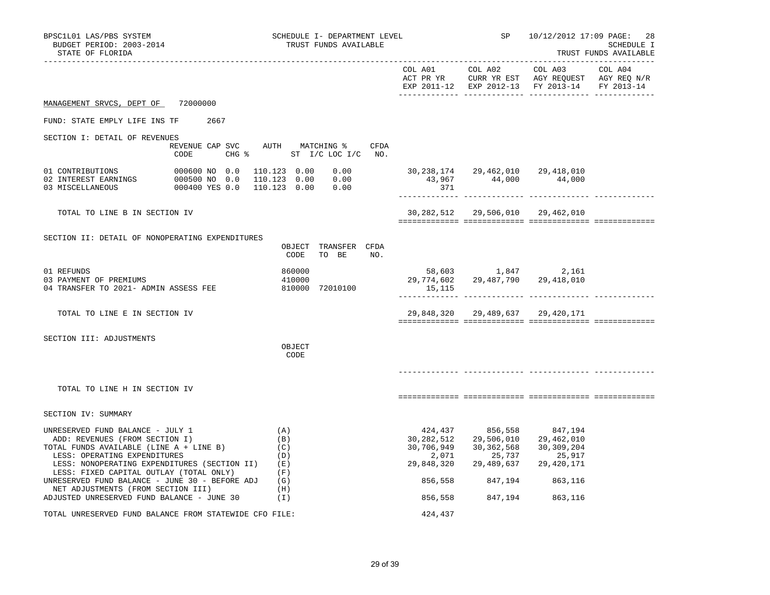| BPSC1L01 LAS/PBS SYSTEM<br>BUDGET PERIOD: 2003-2014<br>STATE OF FLORIDA                                                                                                                                                                                                             |                                                                          | SCHEDULE I- DEPARTMENT LEVEL<br>TRUST FUNDS AVAILABLE |                                                      |                                                                                                              | SP 10/12/2012 17:09 PAGE:                     | 28<br>SCHEDULE I<br>TRUST FUNDS AVAILABLE |
|-------------------------------------------------------------------------------------------------------------------------------------------------------------------------------------------------------------------------------------------------------------------------------------|--------------------------------------------------------------------------|-------------------------------------------------------|------------------------------------------------------|--------------------------------------------------------------------------------------------------------------|-----------------------------------------------|-------------------------------------------|
|                                                                                                                                                                                                                                                                                     |                                                                          |                                                       |                                                      |                                                                                                              | EXP 2011-12 EXP 2012-13 FY 2013-14 FY 2013-14 |                                           |
| MANAGEMENT SRVCS, DEPT OF 72000000                                                                                                                                                                                                                                                  |                                                                          |                                                       |                                                      |                                                                                                              |                                               |                                           |
| FUND: STATE EMPLY LIFE INS TF 2667                                                                                                                                                                                                                                                  |                                                                          |                                                       |                                                      |                                                                                                              |                                               |                                           |
| SECTION I: DETAIL OF REVENUES                                                                                                                                                                                                                                                       |                                                                          |                                                       |                                                      |                                                                                                              |                                               |                                           |
|                                                                                                                                                                                                                                                                                     | REVENUE CAP SVC AUTH MATCHING % CFDA<br>CHG % ST I/C LOC I/C NO.<br>CODE |                                                       |                                                      |                                                                                                              |                                               |                                           |
| 01 CONTRIBUTIONS 000600 NO 0.0 110.123 0.00 0.00<br>02 INTEREST EARNINGS 000500 NO 0.0 110.123 0.00 0.00<br>03 MISCELLANEOUS 000400 YES 0.0 110.123 0.00 0.00                                                                                                                       |                                                                          |                                                       | $0.00$ 30, 238, 174 29, 462, 010 29, 418, 010<br>371 | 43,967 44,000 44,000                                                                                         |                                               |                                           |
| TOTAL TO LINE B IN SECTION IV                                                                                                                                                                                                                                                       |                                                                          |                                                       |                                                      | 30,282,512  29,506,010  29,462,010                                                                           |                                               |                                           |
| SECTION II: DETAIL OF NONOPERATING EXPENDITURES                                                                                                                                                                                                                                     |                                                                          | OBJECT TRANSFER CFDA<br>CODE<br>TO BE NO.             |                                                      |                                                                                                              |                                               |                                           |
| 01 REFUNDS<br>03 PAYMENT OF PREMIUMS<br>04 TRANSFER TO 2021- ADMIN ASSESS FEE 810000 72010100                                                                                                                                                                                       |                                                                          | 860000<br>860000<br>410000                            | $29,774,602$ $29,487,790$ $29,418,010$<br>15,115     | 58,603 1,847 2,161                                                                                           |                                               |                                           |
| TOTAL TO LINE E IN SECTION IV                                                                                                                                                                                                                                                       |                                                                          |                                                       |                                                      | 29,848,320 29,489,637 29,420,171                                                                             |                                               |                                           |
| SECTION III: ADJUSTMENTS                                                                                                                                                                                                                                                            |                                                                          | OBJECT<br>CODE                                        |                                                      |                                                                                                              |                                               |                                           |
| TOTAL TO LINE H IN SECTION IV                                                                                                                                                                                                                                                       |                                                                          |                                                       |                                                      |                                                                                                              |                                               |                                           |
| SECTION IV: SUMMARY                                                                                                                                                                                                                                                                 |                                                                          |                                                       |                                                      |                                                                                                              |                                               |                                           |
| UNRESERVED FUND BALANCE - JULY 1<br>ADD: REVENUES (FROM SECTION I)<br>TAL FUNDS AVAILATED (THE SECTION I)<br>TOTAL FUNDS AVAILABLE (LINE A + LINE B)<br>LESS: OPERATING EXPENDITURES<br>LESS: NONOPERATING EXPENDITURES (SECTION II) (E)<br>LESS: FIXED CAPITAL OUTLAY (TOTAL ONLY) |                                                                          | (A)<br>(B)<br>(C)<br>(D)<br>(F)                       | 30,706,949<br>2,071                                  | 424,437 856,558 847,194<br>30,282,512 29,506,010<br>30,362,568<br>25,737<br>29,848,320 29,489,637 29,420,171 | 29,462,010<br>30,309,204<br>25,917            |                                           |
| UNRESERVED FUND BALANCE - JUNE 30 - BEFORE ADJ $(G)$<br>NET ADJUSTMENTS (FROM SECTION III)                                                                                                                                                                                          |                                                                          | (H)                                                   |                                                      | 856,558 847,194 863,116                                                                                      |                                               |                                           |
| ADJUSTED UNRESERVED FUND BALANCE - JUNE 30                                                                                                                                                                                                                                          |                                                                          | (1)                                                   | 856,558                                              | 847,194 863,116                                                                                              |                                               |                                           |
| TOTAL UNRESERVED FUND BALANCE FROM STATEWIDE CFO FILE:                                                                                                                                                                                                                              |                                                                          |                                                       | 424,437                                              |                                                                                                              |                                               |                                           |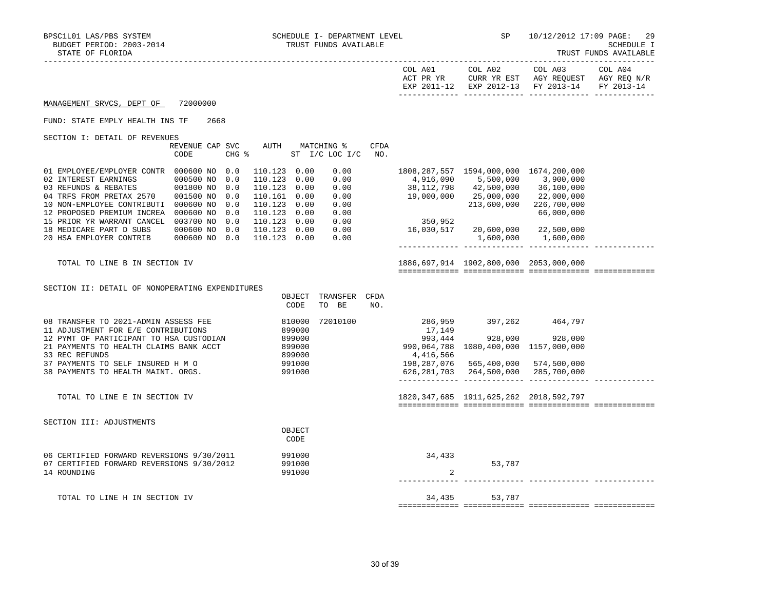|                                                                                                                                                                                                                                                                                                            |                                                                                                |                                                                                                                                              |                                                              |      |                                                                                                                    |                                                                                                         |                                                                                                                   | INOUT FONDO AVAINADHE |
|------------------------------------------------------------------------------------------------------------------------------------------------------------------------------------------------------------------------------------------------------------------------------------------------------------|------------------------------------------------------------------------------------------------|----------------------------------------------------------------------------------------------------------------------------------------------|--------------------------------------------------------------|------|--------------------------------------------------------------------------------------------------------------------|---------------------------------------------------------------------------------------------------------|-------------------------------------------------------------------------------------------------------------------|-----------------------|
|                                                                                                                                                                                                                                                                                                            |                                                                                                |                                                                                                                                              |                                                              |      |                                                                                                                    | COL A01 COL A02                                                                                         | COL A03 COL A04<br>ACT PR YR CURR YR EST AGY REQUEST AGY REQ N/R<br>EXP 2011-12 EXP 2012-13 FY 2013-14 FY 2013-14 |                       |
| MANAGEMENT SRVCS, DEPT OF                                                                                                                                                                                                                                                                                  | 72000000                                                                                       |                                                                                                                                              |                                                              |      |                                                                                                                    |                                                                                                         |                                                                                                                   |                       |
| FUND: STATE EMPLY HEALTH INS TF                                                                                                                                                                                                                                                                            | 2668                                                                                           |                                                                                                                                              |                                                              |      |                                                                                                                    |                                                                                                         |                                                                                                                   |                       |
| SECTION I: DETAIL OF REVENUES                                                                                                                                                                                                                                                                              | REVENUE CAP SVC<br>CODE                                                                        | AUTH MATCHING %<br>CHG $\frac{1}{2}$ ST I/C LOC I/C NO.                                                                                      |                                                              | CFDA |                                                                                                                    |                                                                                                         |                                                                                                                   |                       |
| 01 EMPLOYEE/EMPLOYER CONTR 000600 NO 0.0<br>02 INTEREST EARNINGS<br>03 REFUNDS & REBATES<br>04 TRFS FROM PRETAX 2570<br>10 NON-EMPLOYEE CONTRIBUTI 000600 NO<br>12 PROPOSED PREMIUM INCREA 000600 NO 0.0<br>15 PRIOR YR WARRANT CANCEL 003700 NO 0.0<br>18 MEDICARE PART D SUBS<br>20 HSA EMPLOYER CONTRIB | 000500 NO 0.0<br>001800 NO<br>0.0<br>001500 NO<br>0.0<br>0.0<br>000600 NO 0.0<br>000600 NO 0.0 | 110.123 0.00<br>110.123 0.00<br>110.123 0.00<br>110.161 0.00<br>110.123 0.00<br>110.123 0.00<br>110.123 0.00<br>110.123 0.00<br>110.123 0.00 | 0.00<br>0.00<br>0.00<br>0.00<br>0.00<br>0.00<br>0.00<br>0.00 |      | 38,112,798        42,500,000<br>19,000,000        25,000,000<br>350,952<br>$0.00$ 16,030,517 20,600,000 22,500,000 | 1808, 287, 557 1594, 000, 000 1674, 200, 000<br>4,916,090 5,500,000 3,900,000                           | 36,100,000<br>22,000,000<br>213,600,000 226,700,000<br>66,000,000<br>1,600,000 1,600,000                          |                       |
| TOTAL TO LINE B IN SECTION IV                                                                                                                                                                                                                                                                              |                                                                                                |                                                                                                                                              |                                                              |      |                                                                                                                    | 1886,697,914 1902,800,000 2053,000,000                                                                  |                                                                                                                   |                       |
| SECTION II: DETAIL OF NONOPERATING EXPENDITURES                                                                                                                                                                                                                                                            |                                                                                                | OBJECT<br>CODE                                                                                                                               | TRANSFER CFDA<br>TO BE                                       | NO.  |                                                                                                                    |                                                                                                         |                                                                                                                   |                       |
| 08 TRANSFER TO 2021-ADMIN ASSESS FEE<br>11 ADJUSTMENT FOR E/E CONTRIBUTIONS<br>12 PYMT OF PARTICIPANT TO HSA CUSTODIAN<br>21 PAYMENTS TO HEALTH CLAIMS BANK ACCT<br>33 REC REFUNDS<br>37 PAYMENTS TO SELF INSURED H M O<br>38 PAYMENTS TO HEALTH MAINT. ORGS.                                              |                                                                                                | 810000<br>899000<br>899000<br>899000<br>899000<br>991000<br>991000                                                                           | 72010100                                                     |      | 17,149<br>993,444<br>990,064,788 1080,400,000 1157,000,000<br>4,416,566                                            | 286,959 397,262 464,797<br>198,287,076  565,400,000  574,500,000<br>626,281,703 264,500,000 285,700,000 | 928,000 928,000                                                                                                   |                       |
| TOTAL TO LINE E IN SECTION IV                                                                                                                                                                                                                                                                              |                                                                                                |                                                                                                                                              |                                                              |      |                                                                                                                    | 1820, 347, 685 1911, 625, 262 2018, 592, 797                                                            |                                                                                                                   |                       |
| SECTION III: ADJUSTMENTS                                                                                                                                                                                                                                                                                   |                                                                                                | OBJECT<br>CODE                                                                                                                               |                                                              |      |                                                                                                                    |                                                                                                         |                                                                                                                   |                       |
| 06 CERTIFIED FORWARD REVERSIONS 9/30/2011<br>07 CERTIFIED FORWARD REVERSIONS 9/30/2012<br>14 ROUNDING                                                                                                                                                                                                      |                                                                                                | 991000<br>991000<br>991000                                                                                                                   |                                                              |      | 34,433<br>2                                                                                                        | 53,787                                                                                                  |                                                                                                                   |                       |
| TOTAL TO LINE H IN SECTION IV                                                                                                                                                                                                                                                                              |                                                                                                |                                                                                                                                              |                                                              |      | 34,435                                                                                                             | 53,787                                                                                                  |                                                                                                                   |                       |

============= ============= ============= =============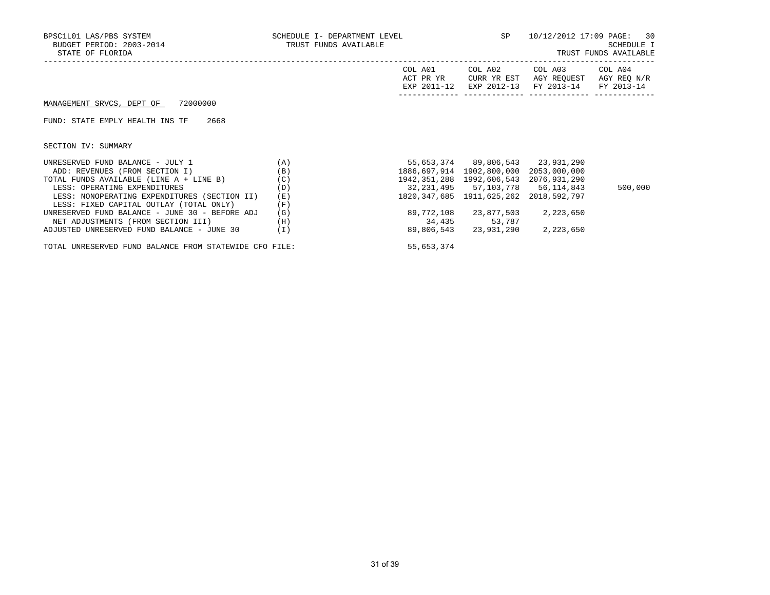| BPSC1L01 LAS/PBS SYSTEM<br>BUDGET PERIOD: 2003-2014<br>STATE OF FLORIDA | SCHEDULE I- DEPARTMENT LEVEL<br>TRUST FUNDS AVAILABLE |                                     | SP                                           | 10/12/2012 17:09 PAGE: 30                                   | SCHEDULE I<br>TRUST FUNDS AVAILABLE |
|-------------------------------------------------------------------------|-------------------------------------------------------|-------------------------------------|----------------------------------------------|-------------------------------------------------------------|-------------------------------------|
|                                                                         |                                                       | COL A01<br>ACT PR YR<br>EXP 2011-12 | COL A02<br>CURR YR EST<br>EXP 2012-13        | COL A03<br>AGY REQUEST AGY REQ N/R<br>FY 2013-14 FY 2013-14 | COL A04                             |
| MANAGEMENT SRVCS, DEPT OF 72000000                                      |                                                       |                                     |                                              |                                                             |                                     |
| 2668<br>FUND: STATE EMPLY HEALTH INS TF                                 |                                                       |                                     |                                              |                                                             |                                     |
| SECTION IV: SUMMARY                                                     |                                                       |                                     |                                              |                                                             |                                     |
| UNRESERVED FUND BALANCE - JULY 1                                        | (A)                                                   |                                     | 55,653,374 89,806,543 23,931,290             |                                                             |                                     |
| ADD: REVENUES (FROM SECTION I)                                          | (B)                                                   |                                     | 1886,697,914 1902,800,000 2053,000,000       |                                                             |                                     |
| TOTAL FUNDS AVAILABLE (LINE A + LINE B)                                 | (C)                                                   |                                     | 1942, 351, 288 1992, 606, 543 2076, 931, 290 |                                                             |                                     |
| LESS: OPERATING EXPENDITURES                                            | (D)                                                   |                                     | 32, 231, 495 57, 103, 778 56, 114, 843       |                                                             | 500,000                             |
| LESS: NONOPERATING EXPENDITURES (SECTION II)                            | (E)                                                   |                                     | 1820, 347, 685 1911, 625, 262 2018, 592, 797 |                                                             |                                     |
| LESS: FIXED CAPITAL OUTLAY (TOTAL ONLY)                                 | (F)                                                   |                                     |                                              |                                                             |                                     |
| UNRESERVED FUND BALANCE - JUNE 30 - BEFORE ADJ                          | (G)                                                   | 89,772,108                          | 23,877,503                                   | 2,223,650                                                   |                                     |
| NET ADJUSTMENTS (FROM SECTION III)                                      | (H)                                                   |                                     | 34,435 53,787                                |                                                             |                                     |
| ADJUSTED UNRESERVED FUND BALANCE - JUNE 30                              | ( I )                                                 | 89,806,543                          | 23,931,290                                   | 2,223,650                                                   |                                     |

TOTAL UNRESERVED FUND BALANCE FROM STATEWIDE CFO FILE:  $55,653,374$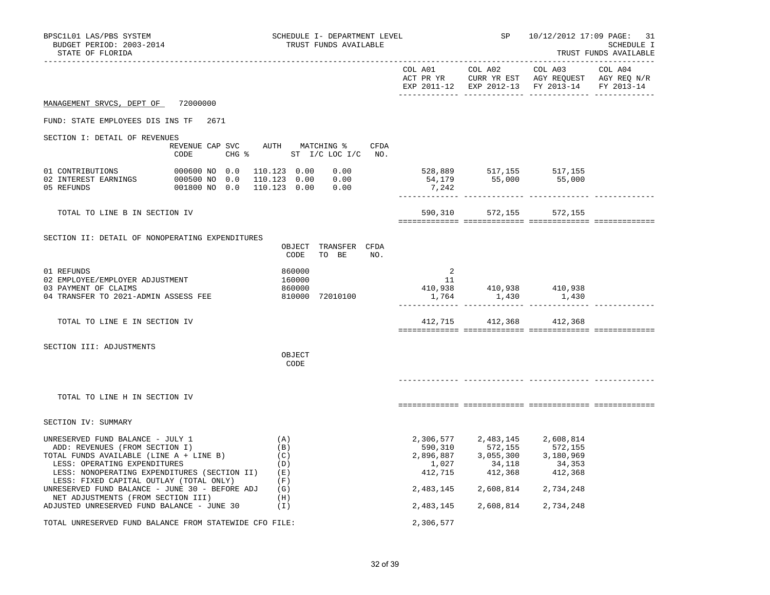| BPSC1L01 LAS/PBS SYSTEM<br>BUDGET PERIOD: 2003-2014<br>STATE OF FLORIDA                                                                                                                                                                                                                              |                                                               | SCHEDULE I- DEPARTMENT LEVEL<br>TRUST FUNDS AVAILABLE |  |                                                     |                                                                                                                                                                            | SP 10/12/2012 17:09 PAGE: 31<br>SCHEDULE I<br>TRUST FUNDS AVAILABLE |  |  |
|------------------------------------------------------------------------------------------------------------------------------------------------------------------------------------------------------------------------------------------------------------------------------------------------------|---------------------------------------------------------------|-------------------------------------------------------|--|-----------------------------------------------------|----------------------------------------------------------------------------------------------------------------------------------------------------------------------------|---------------------------------------------------------------------|--|--|
|                                                                                                                                                                                                                                                                                                      |                                                               |                                                       |  |                                                     |                                                                                                                                                                            | EXP 2011-12 EXP 2012-13 FY 2013-14 FY 2013-14                       |  |  |
| MANAGEMENT SRVCS, DEPT OF 72000000                                                                                                                                                                                                                                                                   |                                                               |                                                       |  |                                                     |                                                                                                                                                                            |                                                                     |  |  |
| FUND: STATE EMPLOYEES DIS INS TF 2671                                                                                                                                                                                                                                                                |                                                               |                                                       |  |                                                     |                                                                                                                                                                            |                                                                     |  |  |
| SECTION I: DETAIL OF REVENUES                                                                                                                                                                                                                                                                        | REVENUE CAP SVC AUTH MATCHING % CFDA<br>CODE                  | CHG % ST I/C LOC I/C NO.                              |  |                                                     |                                                                                                                                                                            |                                                                     |  |  |
| 01 CONTRIBUTIONS<br>05 REFUNDS                                                                                                                                                                                                                                                                       | 000600 NO 0.0 110.123 0.00 0.00<br>001800 NO 0.0 110.123 0.00 | 0.00                                                  |  | 7,242                                               | 528,889 517,155 517,155<br>54,179 55,000 55,000                                                                                                                            |                                                                     |  |  |
| TOTAL TO LINE B IN SECTION IV                                                                                                                                                                                                                                                                        |                                                               |                                                       |  |                                                     |                                                                                                                                                                            | 590,310 572,155 572,155                                             |  |  |
| SECTION II: DETAIL OF NONOPERATING EXPENDITURES                                                                                                                                                                                                                                                      |                                                               | OBJECT TRANSFER CFDA<br>CODE TO BE NO.                |  |                                                     |                                                                                                                                                                            |                                                                     |  |  |
| 01 REFUNDS<br>02 EMPLOYEE/EMPLOYER ADJUSTMENT<br>03 PAYMENT OF CLAIMS<br>04 TRANSFER TO 2021-ADMIN ASSESS FEE                                                                                                                                                                                        |                                                               | 860000<br>160000<br>860000<br>810000 72010100         |  | $\overline{2}$<br>$\begin{array}{c} 11 \end{array}$ | 410,938 410,938 410,938<br>1,764 1,430 1,430                                                                                                                               |                                                                     |  |  |
| TOTAL TO LINE E IN SECTION IV                                                                                                                                                                                                                                                                        |                                                               |                                                       |  |                                                     | 412,715 412,368 412,368                                                                                                                                                    |                                                                     |  |  |
| SECTION III: ADJUSTMENTS                                                                                                                                                                                                                                                                             |                                                               | OBJECT<br>CODE                                        |  |                                                     |                                                                                                                                                                            |                                                                     |  |  |
| TOTAL TO LINE H IN SECTION IV                                                                                                                                                                                                                                                                        |                                                               |                                                       |  |                                                     |                                                                                                                                                                            |                                                                     |  |  |
| SECTION IV: SUMMARY                                                                                                                                                                                                                                                                                  |                                                               |                                                       |  |                                                     |                                                                                                                                                                            |                                                                     |  |  |
| UNRESERVED FUND BALANCE - JULY 1<br>ADD: REVENUES (FROM SECTION I)<br>TOTAL FUNDS AVAILABLE (LINE A + LINE B)<br>LESS: OPERATING EXPENDITURES<br>LESS: NONOPERATING EXPENDITURES (SECTION II) (E)<br>LESS: FIXED CAPITAL OUTLAY (TOTAL ONLY)<br>UNRESERVED FUND BALANCE - JUNE $30$ - BEFORE ADJ (G) |                                                               | (A)<br>(B)<br>(C)<br>(D)<br>(F)                       |  | 412,715                                             | 2,306,577 2,483,145 2,608,814<br>590,310 572,155 572,155<br>2,896,887 3,055,300 3,180,969<br>1,027 34,118 34,353<br>$34,118$<br>$412,368$<br>2,483,145 2,608,814 2,734,248 | 34,353<br>412,368                                                   |  |  |
| NET ADJUSTMENTS (FROM SECTION III)<br>ADJUSTED UNRESERVED FUND BALANCE - JUNE 30                                                                                                                                                                                                                     |                                                               | (H)<br>(I)                                            |  |                                                     | 2,483,145 2,608,814 2,734,248                                                                                                                                              |                                                                     |  |  |
| TOTAL UNRESERVED FUND BALANCE FROM STATEWIDE CFO FILE:                                                                                                                                                                                                                                               |                                                               |                                                       |  | 2,306,577                                           |                                                                                                                                                                            |                                                                     |  |  |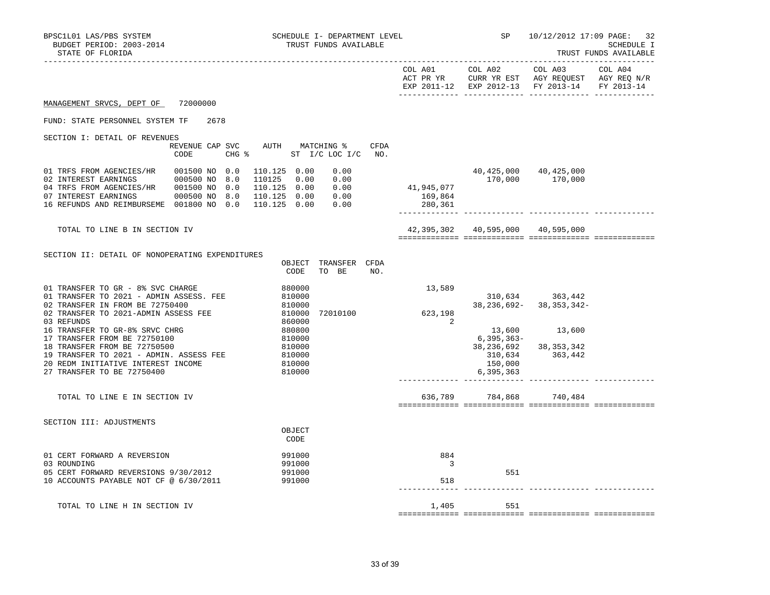| BPSC1L01 LAS/PBS SYSTEM<br>SCHEDULE I- DEPARTMENT LEVEL<br>BUDGET PERIOD: 2003-2014<br>TRUST FUNDS AVAILABLE<br>STATE OF FLORIDA                                                                                                                                                                                                                                                                                                          |                         |                                                                                                                                                                 | SP 10/12/2012 17:09 PAGE: 32<br>SCHEDULE I<br>TRUST FUNDS AVAILABLE |                                       |                                        |                                                                                                                           |         |
|-------------------------------------------------------------------------------------------------------------------------------------------------------------------------------------------------------------------------------------------------------------------------------------------------------------------------------------------------------------------------------------------------------------------------------------------|-------------------------|-----------------------------------------------------------------------------------------------------------------------------------------------------------------|---------------------------------------------------------------------|---------------------------------------|----------------------------------------|---------------------------------------------------------------------------------------------------------------------------|---------|
|                                                                                                                                                                                                                                                                                                                                                                                                                                           |                         |                                                                                                                                                                 |                                                                     |                                       |                                        | COL A01 COL A02 COL A03<br>ACT PR YR CURR YR EST AGY REQUEST AGY REQ N/R<br>EXP 2011-12 EXP 2012-13 FY 2013-14 FY 2013-14 | COL A04 |
| MANAGEMENT SRVCS, DEPT OF 72000000                                                                                                                                                                                                                                                                                                                                                                                                        |                         |                                                                                                                                                                 |                                                                     |                                       |                                        |                                                                                                                           |         |
| FUND: STATE PERSONNEL SYSTEM TF                                                                                                                                                                                                                                                                                                                                                                                                           | 2678                    |                                                                                                                                                                 |                                                                     |                                       |                                        |                                                                                                                           |         |
| SECTION I: DETAIL OF REVENUES                                                                                                                                                                                                                                                                                                                                                                                                             |                         |                                                                                                                                                                 |                                                                     |                                       |                                        |                                                                                                                           |         |
|                                                                                                                                                                                                                                                                                                                                                                                                                                           | REVENUE CAP SVC<br>CODE | AUTH MATCHING %<br>CHG % ST I/C LOC I/C NO.                                                                                                                     | CFDA                                                                |                                       |                                        |                                                                                                                           |         |
| 01 TRFS FROM AGENCIES/HR<br>02 INTEREST EARNINGS 000500 NO 8.0<br>04 TRFS FROM AGENCIES/HR  001500 NO 0.0<br>07 INTEREST EARNINGS 000500 NO 8.0<br>16 REFUNDS AND REIMBURSEME 001800 NO 0.0                                                                                                                                                                                                                                               | 001500 NO 0.0           | 110.125 0.00<br>0.00<br>110125 0.00<br>0.00<br>110.125  0.00  0.00<br>110.125  0.00  0.00<br>110.125  0.00  0.00                                                |                                                                     | 41,945,077<br>169,864<br>280,361      |                                        | 40,425,000 40,425,000<br>170,000 170,000                                                                                  |         |
| TOTAL TO LINE B IN SECTION IV                                                                                                                                                                                                                                                                                                                                                                                                             |                         |                                                                                                                                                                 |                                                                     |                                       | 42,395,302    40,595,000    40,595,000 |                                                                                                                           |         |
| SECTION II: DETAIL OF NONOPERATING EXPENDITURES<br>01 TRANSFER TO GR - 8% SVC CHARGE<br>01 TRANSFER TO 2021 - ADMIN ASSESS. FEE<br>02 TRANSFER IN FROM BE 72750400<br>02 TRANSFER TO 2021-ADMIN ASSESS FEE<br>03 REFUNDS<br>16 TRANSFER TO GR-8% SRVC CHRG<br>17 TRANSFER FROM BE 72750100<br>18 TRANSFER FROM BE 72750500<br>19 TRANSFER TO 2021 - ADMIN. ASSESS FEE<br>20 REDM INITIATIVE INTEREST INCOME<br>27 TRANSFER TO BE 72750400 |                         | OBJECT TRANSFER CFDA<br>CODE<br>TO BE<br>880000<br>810000<br>810000<br>810000<br>860000<br>72010100<br>880800<br>810000<br>810000<br>810000<br>810000<br>810000 | NO.                                                                 | 13,589<br>623, 198<br>$\sim$ 2        | 6,395,363–<br>150,000<br>6,395,363     | 310,634 363,442<br>$38, 236, 692 - 38, 353, 342 -$<br>13,600 13,600<br>38, 236, 692 38, 353, 342<br>310,634 363,442       |         |
| TOTAL TO LINE E IN SECTION IV                                                                                                                                                                                                                                                                                                                                                                                                             |                         |                                                                                                                                                                 |                                                                     |                                       | 636,789 784,868 740,484                |                                                                                                                           |         |
| SECTION III: ADJUSTMENTS                                                                                                                                                                                                                                                                                                                                                                                                                  |                         | OBJECT<br>CODE                                                                                                                                                  |                                                                     |                                       |                                        |                                                                                                                           |         |
| 01 CERT FORWARD A REVERSION<br>03 ROUNDING<br>05 CERT FORWARD REVERSIONS 9/30/2012<br>10 ACCOUNTS PAYABLE NOT CF @ 6/30/2011                                                                                                                                                                                                                                                                                                              |                         | 991000<br>991000<br>991000<br>991000                                                                                                                            |                                                                     | 884<br>$\overline{\mathbf{3}}$<br>518 | 551                                    |                                                                                                                           |         |
| TOTAL TO LINE H IN SECTION IV                                                                                                                                                                                                                                                                                                                                                                                                             |                         |                                                                                                                                                                 |                                                                     | 1,405                                 | 551                                    |                                                                                                                           |         |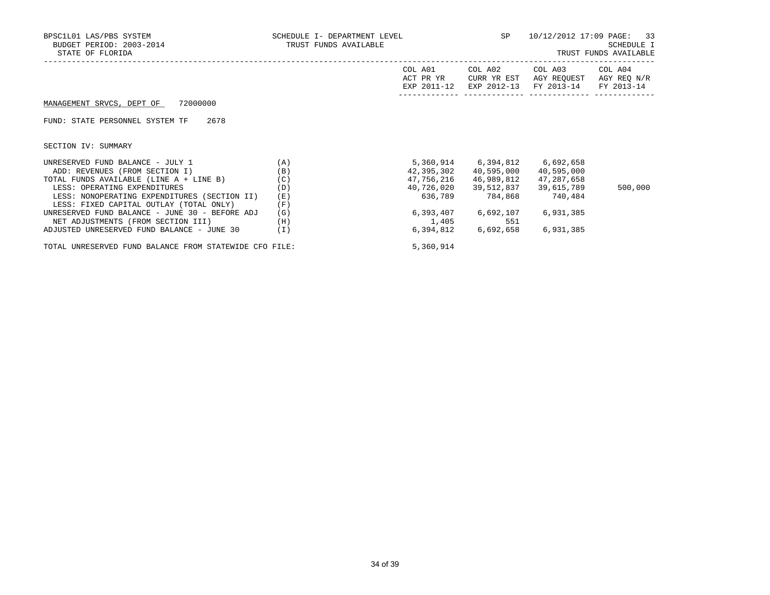| BPSC1L01 LAS/PBS SYSTEM<br>BUDGET PERIOD: 2003-2014<br>STATE OF FLORIDA | SCHEDULE I- DEPARTMENT LEVEL<br>TRUST FUNDS AVAILABLE |                                     | SP                                    | 10/12/2012 17:09 PAGE:                          | 33<br>SCHEDULE I<br>TRUST FUNDS AVAILABLE |
|-------------------------------------------------------------------------|-------------------------------------------------------|-------------------------------------|---------------------------------------|-------------------------------------------------|-------------------------------------------|
|                                                                         |                                                       | COL A01<br>ACT PR YR<br>EXP 2011-12 | COL A02<br>CURR YR EST<br>EXP 2012-13 | COL A03<br>AGY REOUEST<br>FY 2013-14 FY 2013-14 | COL A04<br>AGY REO N/R                    |
| 72000000<br>MANAGEMENT SRVCS, DEPT OF                                   |                                                       |                                     |                                       |                                                 |                                           |
| 2678<br>FUND: STATE PERSONNEL SYSTEM TF                                 |                                                       |                                     |                                       |                                                 |                                           |
| SECTION IV: SUMMARY                                                     |                                                       |                                     |                                       |                                                 |                                           |
| UNRESERVED FUND BALANCE - JULY 1                                        | (A)                                                   |                                     |                                       | 5,360,914 6,394,812 6,692,658                   |                                           |
| ADD: REVENUES (FROM SECTION I)                                          | (B)                                                   | 42,395,302                          | 40,595,000                            | 40,595,000                                      |                                           |
| TOTAL FUNDS AVAILABLE (LINE A + LINE B)                                 | (C)                                                   | 47,756,216                          | 46,989,812                            | 47,287,658                                      |                                           |
| LESS: OPERATING EXPENDITURES                                            | (D)                                                   | 40,726,020                          | 39,512,837                            | 39,615,789                                      | 500,000                                   |
| LESS: NONOPERATING EXPENDITURES (SECTION II)                            | (E)                                                   | 636,789                             | 784,868                               | 740,484                                         |                                           |
| LESS: FIXED CAPITAL OUTLAY (TOTAL ONLY)                                 | (F)                                                   |                                     |                                       |                                                 |                                           |
| UNRESERVED FUND BALANCE - JUNE 30 - BEFORE ADJ                          | (G)                                                   |                                     | 6,393,407 6,692,107                   | 6,931,385                                       |                                           |
| NET ADJUSTMENTS (FROM SECTION III)                                      | (H)                                                   | 1,405                               | 551                                   |                                                 |                                           |
| ADJUSTED UNRESERVED FUND BALANCE - JUNE 30                              | (I)                                                   |                                     | 6,394,812 6,692,658                   | 6,931,385                                       |                                           |

TOTAL UNRESERVED FUND BALANCE FROM STATEWIDE CFO FILE: 5,360,914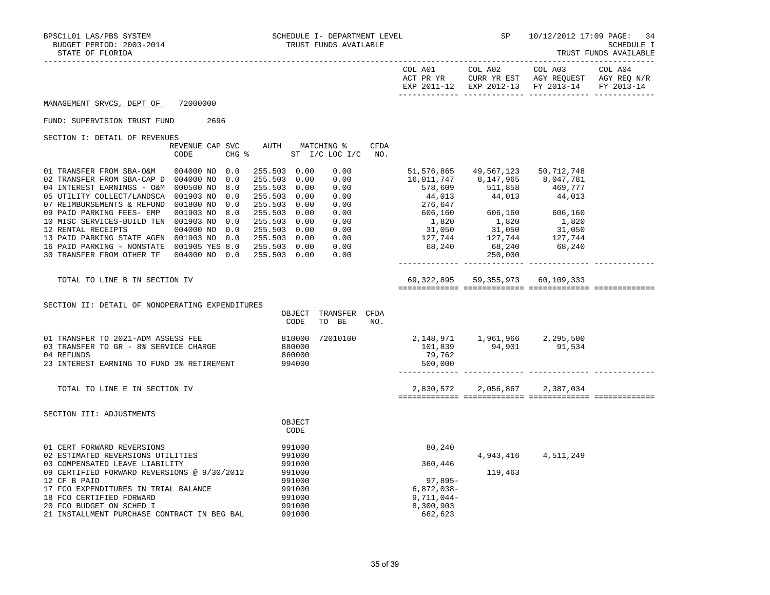| STATE OF FLORIDA                                                                                                                                                                                                                                                                                                                                                                                                                                                                                                                                                                                                                                                                                                                                                                                     | TRUST FUNDS AVAILABLE                                                                                                                                                                                              |                                                                                       |                                                                                                      |                       |
|------------------------------------------------------------------------------------------------------------------------------------------------------------------------------------------------------------------------------------------------------------------------------------------------------------------------------------------------------------------------------------------------------------------------------------------------------------------------------------------------------------------------------------------------------------------------------------------------------------------------------------------------------------------------------------------------------------------------------------------------------------------------------------------------------|--------------------------------------------------------------------------------------------------------------------------------------------------------------------------------------------------------------------|---------------------------------------------------------------------------------------|------------------------------------------------------------------------------------------------------|-----------------------|
|                                                                                                                                                                                                                                                                                                                                                                                                                                                                                                                                                                                                                                                                                                                                                                                                      | COL A01<br>ACT PR YR                                                                                                                                                                                               | COL A02                                                                               | COL A03<br>CURR YR EST AGY REQUEST AGY REQ N/R<br>EXP 2011-12 EXP 2012-13 FY 2013-14                 | COL A04<br>FY 2013-14 |
| 72000000<br>MANAGEMENT SRVCS, DEPT OF                                                                                                                                                                                                                                                                                                                                                                                                                                                                                                                                                                                                                                                                                                                                                                |                                                                                                                                                                                                                    |                                                                                       |                                                                                                      |                       |
| 2696<br>FUND: SUPERVISION TRUST FUND                                                                                                                                                                                                                                                                                                                                                                                                                                                                                                                                                                                                                                                                                                                                                                 |                                                                                                                                                                                                                    |                                                                                       |                                                                                                      |                       |
| SECTION I: DETAIL OF REVENUES<br>AUTH<br><b>CFDA</b><br>REVENUE CAP SVC<br>MATCHING %<br>CODE<br>CHG %<br>ST $I/C$ LOC $I/C$<br>NO.                                                                                                                                                                                                                                                                                                                                                                                                                                                                                                                                                                                                                                                                  |                                                                                                                                                                                                                    |                                                                                       |                                                                                                      |                       |
| 0.00<br>01 TRANSFER FROM SBA-O&M<br>004000 NO 0.0<br>255.503 0.00<br>255.503<br>0.00<br>02 TRANSFER FROM SBA-CAP D 004000 NO<br>0.0<br>0.00<br>255.503 0.00<br>0.00<br>04 INTEREST EARNINGS - O&M 000500 NO<br>8.0<br>05 UTILITY COLLECT/LANDSCA 001903 NO<br>0.0<br>255.503 0.00<br>0.00<br>07 REIMBURSEMENTS & REFUND 001800 NO<br>0.0<br>255.503 0.00<br>0.00<br>09 PAID PARKING FEES- EMP<br>001903 NO<br>8.0<br>255.503 0.00<br>0.00<br>10 MISC SERVICES-BUILD TEN 001903 NO<br>0.0<br>255.503 0.00<br>0.00<br>12 RENTAL RECEIPTS<br>004000 NO<br>0.0<br>255.503 0.00<br>0.00<br>13 PAID PARKING STATE AGEN 001903 NO<br>0.00<br>0.0<br>255.503 0.00<br>16 PAID PARKING - NONSTATE 001905 YES 8.0<br>255.503 0.00<br>0.00<br>30 TRANSFER FROM OTHER TF<br>004000 NO 0.0<br>255.503 0.00<br>0.00 | 51,576,865<br>16,011,747<br>578,609<br>44,013<br>276,647<br>606,160<br>1,820<br>$\begin{array}{ccc} 31\,, 050 & \quad & 31\,, 050 \\ 127\,, 744 & \quad & 127\,, 744 \\ 68\,, 240 & \quad & 68\,, 240 \end{array}$ | 49,567,123<br>8,147,965<br>511,858<br>44,013<br>606,160<br>1,820<br>31,050<br>250,000 | 50,712,748<br>8,047,781<br>469,777<br>44,013<br>606,160<br>1,820<br>31,050<br>$\frac{127}{68}$ , 240 |                       |
| TOTAL TO LINE B IN SECTION IV                                                                                                                                                                                                                                                                                                                                                                                                                                                                                                                                                                                                                                                                                                                                                                        |                                                                                                                                                                                                                    | 69, 322, 895 59, 355, 973 60, 109, 333                                                |                                                                                                      |                       |
| SECTION II: DETAIL OF NONOPERATING EXPENDITURES<br>OBJECT<br>TRANSFER CFDA<br>CODE<br>TO BE<br>NO.                                                                                                                                                                                                                                                                                                                                                                                                                                                                                                                                                                                                                                                                                                   |                                                                                                                                                                                                                    |                                                                                       |                                                                                                      |                       |
| 01 TRANSFER TO 2021-ADM ASSESS FEE<br>810000<br>72010100<br>03 TRANSFER TO GR - 8% SERVICE CHARGE<br>880000<br>04 REFUNDS<br>860000<br>23 INTEREST EARNING TO FUND 3% RETIREMENT<br>994000                                                                                                                                                                                                                                                                                                                                                                                                                                                                                                                                                                                                           | 79,762<br>500,000                                                                                                                                                                                                  | 2,148,971 1,961,966 2,295,500<br>101,839 94,901 91,534                                |                                                                                                      |                       |
| TOTAL TO LINE E IN SECTION IV                                                                                                                                                                                                                                                                                                                                                                                                                                                                                                                                                                                                                                                                                                                                                                        | 2,830,572                                                                                                                                                                                                          |                                                                                       | 2,056,867 2,387,034                                                                                  |                       |
| SECTION III: ADJUSTMENTS<br>OBJECT<br>CODE                                                                                                                                                                                                                                                                                                                                                                                                                                                                                                                                                                                                                                                                                                                                                           |                                                                                                                                                                                                                    |                                                                                       |                                                                                                      |                       |
| 01 CERT FORWARD REVERSIONS<br>991000<br>991000<br>02 ESTIMATED REVERSIONS UTILITIES<br>03 COMPENSATED LEAVE LIABILITY<br>991000<br>09 CERTIFIED FORWARD REVERSIONS @ 9/30/2012<br>991000<br>12 CF B PAID<br>991000<br>17 FCO EXPENDITURES IN TRIAL BALANCE<br>991000<br>18 FCO CERTIFIED FORWARD<br>991000<br>20 FCO BUDGET ON SCHED I<br>991000<br>21 INSTALLMENT PURCHASE CONTRACT IN BEG BAL<br>991000                                                                                                                                                                                                                                                                                                                                                                                            | 80,240<br>360,446<br>97,895-<br>$6,872,038-$<br>9,711,044-<br>8,300,903<br>662,623                                                                                                                                 | 119,463                                                                               | 4, 943, 416 4, 511, 249                                                                              |                       |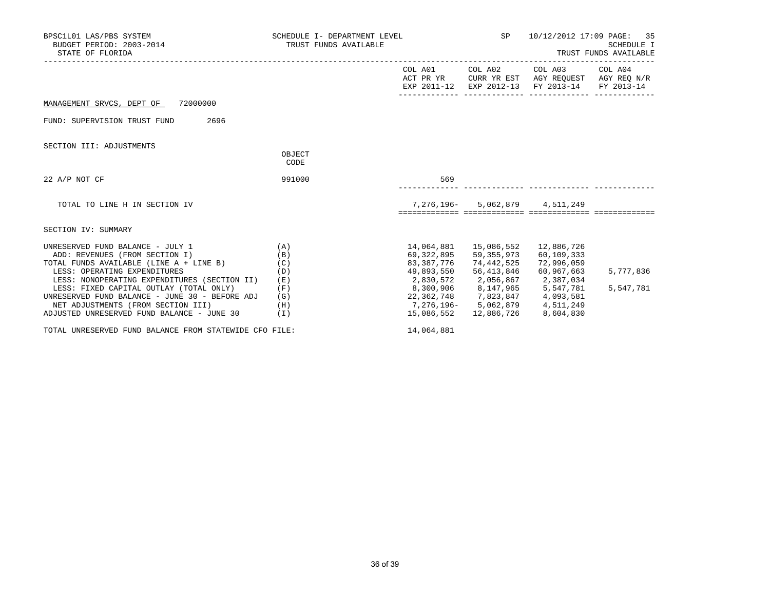| BPSC1L01 LAS/PBS SYSTEM<br>BUDGET PERIOD: 2003-2014<br>STATE OF FLORIDA                                                                                                                                                                                                                                                                                                                   | SCHEDULE I- DEPARTMENT LEVEL<br>TRUST FUNDS AVAILABLE |                                                                                                                                                                | SP                                                                                                                           | 35<br>10/12/2012 17:09 PAGE:<br>SCHEDULE I<br>TRUST FUNDS AVAILABLE                                                               |                        |
|-------------------------------------------------------------------------------------------------------------------------------------------------------------------------------------------------------------------------------------------------------------------------------------------------------------------------------------------------------------------------------------------|-------------------------------------------------------|----------------------------------------------------------------------------------------------------------------------------------------------------------------|------------------------------------------------------------------------------------------------------------------------------|-----------------------------------------------------------------------------------------------------------------------------------|------------------------|
|                                                                                                                                                                                                                                                                                                                                                                                           |                                                       |                                                                                                                                                                |                                                                                                                              | COL A01 COL A02 COL A03 COL A04<br>ACT PR YR CURR YR EST AGY REQUEST AGY REQ N/R<br>EXP 2011-12 EXP 2012-13 FY 2013-14 FY 2013-14 |                        |
| MANAGEMENT SRVCS, DEPT OF 72000000                                                                                                                                                                                                                                                                                                                                                        |                                                       |                                                                                                                                                                |                                                                                                                              |                                                                                                                                   |                        |
| FUND: SUPERVISION TRUST FUND 2696                                                                                                                                                                                                                                                                                                                                                         |                                                       |                                                                                                                                                                |                                                                                                                              |                                                                                                                                   |                        |
| SECTION III: ADJUSTMENTS                                                                                                                                                                                                                                                                                                                                                                  |                                                       |                                                                                                                                                                |                                                                                                                              |                                                                                                                                   |                        |
|                                                                                                                                                                                                                                                                                                                                                                                           | OBJECT<br>CODE                                        |                                                                                                                                                                |                                                                                                                              |                                                                                                                                   |                        |
| $22$ A/P NOT CF                                                                                                                                                                                                                                                                                                                                                                           | 991000                                                | 569                                                                                                                                                            |                                                                                                                              |                                                                                                                                   |                        |
| TOTAL TO LINE H IN SECTION IV                                                                                                                                                                                                                                                                                                                                                             |                                                       |                                                                                                                                                                | 7,276,196- 5,062,879 4,511,249                                                                                               |                                                                                                                                   |                        |
| SECTION IV: SUMMARY                                                                                                                                                                                                                                                                                                                                                                       |                                                       |                                                                                                                                                                |                                                                                                                              |                                                                                                                                   |                        |
| UNRESERVED FUND BALANCE - JULY 1<br>(A)<br>ADD: REVENUES (FROM SECTION I)<br>TOTAL FUNDS AVAILABLE (LINE A + LINE B)<br>LESS: OPERATING EXPENDITURES<br>LESS: NONOPERATING EXPENDITURES (SECTION II)<br>LESS: FIXED CAPITAL OUTLAY (TOTAL ONLY)<br>UNRESERVED FUND BALANCE - JUNE 30 - BEFORE ADJ<br>NET ADJUSTMENTS (FROM SECTION III) (H)<br>ADJUSTED UNRESERVED FUND BALANCE - JUNE 30 | (B)<br>(C)<br>(D)<br>(E)<br>(F)<br>(G)<br>(I)         | 69,322,895<br>83,387,776<br>2,830,572 2,056,867 2,387,034<br>8,300,906 8,147,965 5,547,781<br>22,362,748 7,823,847 4,093,581<br>7,276,196- 5,062,879 4,511,249 | 14,064,881  15,086,552  12,886,726<br>59,355,973<br>74,442,525<br>49,893,550 56,413,846<br>15,086,552  12,886,726  8,604,830 | 60,109,333<br>72,996,059<br>60,967,663                                                                                            | 5,777,836<br>5,547,781 |

TOTAL UNRESERVED FUND BALANCE FROM STATEWIDE CFO FILE: 14,064,881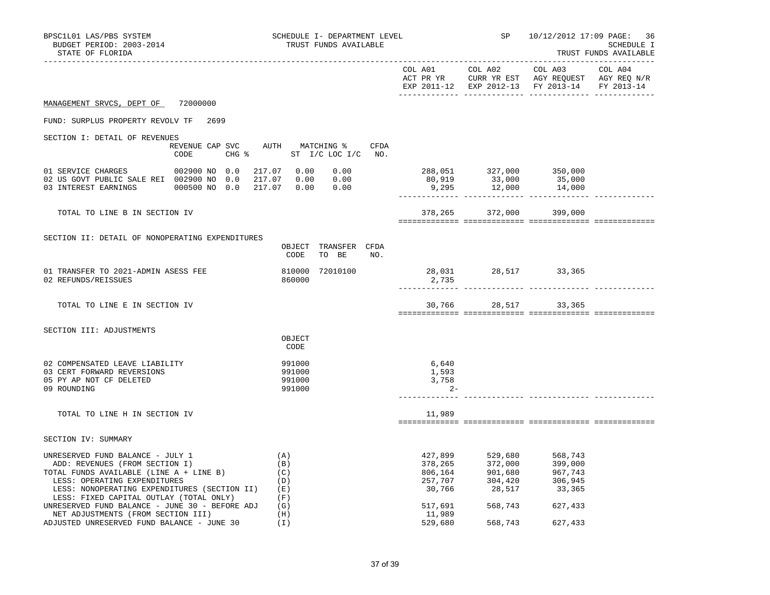| BPSC1L01 LAS/PBS SYSTEM<br>BUDGET PERIOD: 2003-2014<br>STATE OF FLORIDA                                                                                                                                                                                                        | SCHEDULE I- DEPARTMENT LEVEL<br>TRUST FUNDS AVAILABLE |                                                                  |                                  |         | 10/12/2012 17:09 PAGE: 36<br>SCHEDULE I<br>TRUST FUNDS AVAILABLE                                                    |  |
|--------------------------------------------------------------------------------------------------------------------------------------------------------------------------------------------------------------------------------------------------------------------------------|-------------------------------------------------------|------------------------------------------------------------------|----------------------------------|---------|---------------------------------------------------------------------------------------------------------------------|--|
|                                                                                                                                                                                                                                                                                |                                                       |                                                                  |                                  |         | ACT PR YR $\,$ CURR YR EST $\,$ AGY REQUEST $\,$ AGY REQ $\rm N/R$<br>EXP 2011-12 EXP 2012-13 FY 2013-14 FY 2013-14 |  |
| MANAGEMENT SRVCS, DEPT OF 72000000                                                                                                                                                                                                                                             |                                                       |                                                                  |                                  |         |                                                                                                                     |  |
| FUND: SURPLUS PROPERTY REVOLV TF 2699                                                                                                                                                                                                                                          |                                                       |                                                                  |                                  |         |                                                                                                                     |  |
| SECTION I: DETAIL OF REVENUES                                                                                                                                                                                                                                                  |                                                       |                                                                  |                                  |         |                                                                                                                     |  |
| CODE                                                                                                                                                                                                                                                                           |                                                       | REVENUE CAP SVC AUTH MATCHING % CFDA<br>CHG % ST I/C LOC I/C NO. |                                  |         |                                                                                                                     |  |
| 01 SERVICE CHARGES 002900 NO 0.0<br>02 US GOVT PUBLIC SALE REI 002900 NO 0.0 217.07 0.00 0.00<br>03 INTEREST EARNINGS 000500 NO 0.0 217.07 0.00 0.00                                                                                                                           |                                                       | 217.07  0.00  0.00                                               |                                  |         | 288,051 327,000 350,000<br>80,919 33,000 35,000<br>9,295 12,000 14,000                                              |  |
| TOTAL TO LINE B IN SECTION IV                                                                                                                                                                                                                                                  |                                                       |                                                                  |                                  |         | 378,265 372,000 399,000                                                                                             |  |
|                                                                                                                                                                                                                                                                                |                                                       |                                                                  |                                  |         |                                                                                                                     |  |
| SECTION II: DETAIL OF NONOPERATING EXPENDITURES                                                                                                                                                                                                                                |                                                       | OBJECT TRANSFER CFDA<br>TO BE NO.<br>CODE                        |                                  |         |                                                                                                                     |  |
| 01 TRANSFER TO 2021-ADMIN ASESS FEE<br>02 REFUNDS/REISSUES                                                                                                                                                                                                                     |                                                       | 810000 72010100<br>860000                                        | 28,031 28,517 33,365<br>2,735    |         |                                                                                                                     |  |
| TOTAL TO LINE E IN SECTION IV                                                                                                                                                                                                                                                  |                                                       |                                                                  |                                  |         | 30,766 28,517 33,365                                                                                                |  |
| SECTION III: ADJUSTMENTS                                                                                                                                                                                                                                                       |                                                       |                                                                  |                                  |         |                                                                                                                     |  |
|                                                                                                                                                                                                                                                                                |                                                       | OBJECT<br>CODE                                                   |                                  |         |                                                                                                                     |  |
| 02 COMPENSATED LEAVE LIABILITY<br>03 CERT FORWARD REVERSIONS<br>05 PY AP NOT CF DELETED<br>09 ROUNDING                                                                                                                                                                         |                                                       | 991000<br>991000<br>991000<br>991000                             | 6,640<br>1,593<br>3,758<br>$2 -$ |         |                                                                                                                     |  |
| TOTAL TO LINE H IN SECTION IV                                                                                                                                                                                                                                                  |                                                       |                                                                  | 11,989                           |         |                                                                                                                     |  |
| SECTION IV: SUMMARY                                                                                                                                                                                                                                                            |                                                       |                                                                  |                                  |         |                                                                                                                     |  |
| UNRESERVED FUND BALANCE - JULY 1<br>ADD: REVENUES (FROM SECTION I)<br>ADD: REVENUES (FROM SECTION I)<br>TOTAL FUNDS AVAILABLE (LINE A + LINE B)<br>LESS: OPERATING EXPENDITURES<br>LESS: NONOPERATING EXPENDITURES (SECTION II) (E)<br>LESS: FIXED CAPITAL OUTLAY (TOTAL ONLY) |                                                       | (A)<br>(B)<br>(C)<br>(D)<br>(F)                                  |                                  |         |                                                                                                                     |  |
| UNRESERVED FUND BALANCE - JUNE 30 - BEFORE ADJ<br>NET ADJUSTMENTS (FROM SECTION III)                                                                                                                                                                                           |                                                       | (G)<br>(H)                                                       | 517,691<br>11,989                |         | 568,743 627,433                                                                                                     |  |
| ADJUSTED UNRESERVED FUND BALANCE - JUNE 30                                                                                                                                                                                                                                     |                                                       | (I)                                                              | 529,680                          | 568,743 | 627,433                                                                                                             |  |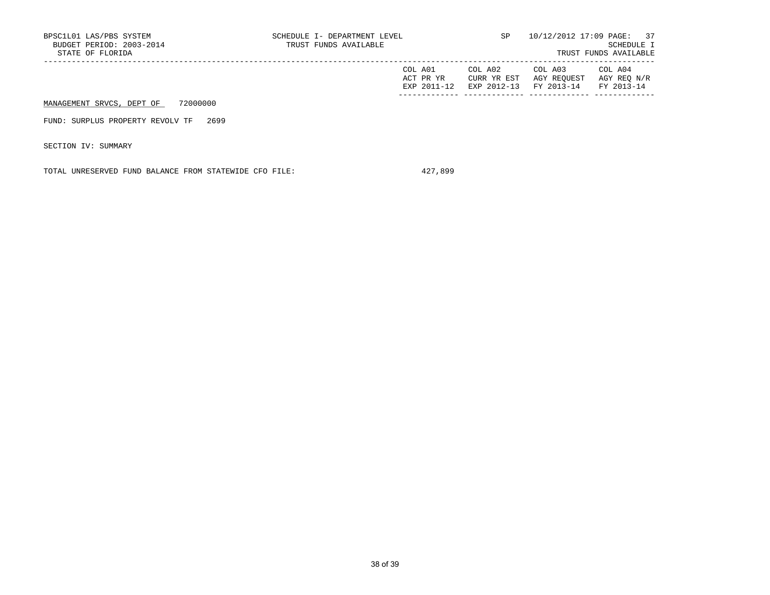| BPSC1L01 LAS/PBS SYSTEM<br>BUDGET PERIOD: 2003-2014<br>STATE OF FLORIDA | SCHEDULE I- DEPARTMENT LEVEL<br>TRUST FUNDS AVAILABLE | SP                                    | 10/12/2012 17:09 PAGE: 37<br>SCHEDULE I<br>TRUST FUNDS AVAILABLE |                                      |
|-------------------------------------------------------------------------|-------------------------------------------------------|---------------------------------------|------------------------------------------------------------------|--------------------------------------|
|                                                                         | COL A01<br>ACT PR YR<br>EXP 2011-12                   | COL A02<br>CURR YR EST<br>EXP 2012-13 | COL A03<br>AGY REOUEST<br>FY 2013-14                             | COL A04<br>AGY REO N/R<br>FY 2013-14 |
| 72000000<br>MANAGEMENT SRVCS, DEPT OF                                   |                                                       |                                       |                                                                  |                                      |
| 2699<br>FUND: SURPLUS PROPERTY REVOLV TF                                |                                                       |                                       |                                                                  |                                      |
| SECTION IV: SUMMARY                                                     |                                                       |                                       |                                                                  |                                      |

TOTAL UNRESERVED FUND BALANCE FROM STATEWIDE CFO FILE: 427,899